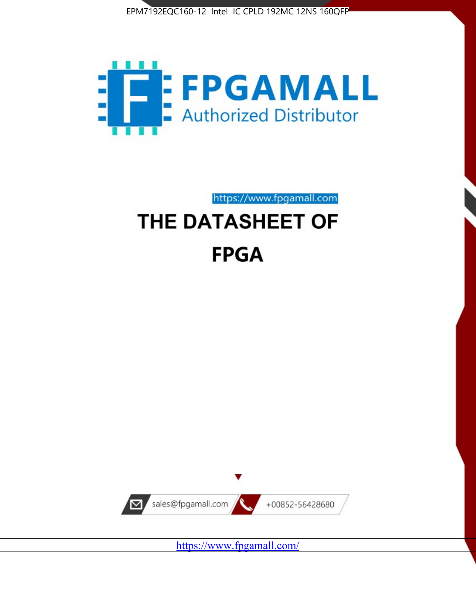



https://www.fpgamall.com

# THE DATASHEET OF **FPGA**



<https://www.fpgamall.com/>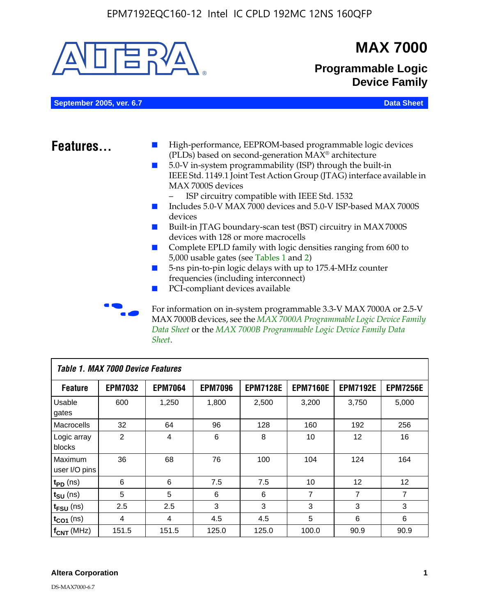

MAX 7000B devices, see the *MAX 7000A Programmable Logic Device Family Data Sheet* or the *MAX 7000B Programmable Logic Device Family Data Sheet*.

| <b>Table 1. MAX 7000 Device Features</b> |                |                |                |                 |                 |                 |                 |
|------------------------------------------|----------------|----------------|----------------|-----------------|-----------------|-----------------|-----------------|
| <b>Feature</b>                           | <b>EPM7032</b> | <b>EPM7064</b> | <b>EPM7096</b> | <b>EPM7128E</b> | <b>EPM7160E</b> | <b>EPM7192E</b> | <b>EPM7256E</b> |
| Usable<br>gates                          | 600            | 1,250          | 1,800          | 2,500           | 3,200           | 3,750           | 5,000           |
| Macrocells                               | 32             | 64             | 96             | 128             | 160             | 192             | 256             |
| Logic array<br>blocks                    | 2              | 4              | 6              | 8               | 10              | 12              | 16              |
| Maximum<br>user I/O pins                 | 36             | 68             | 76             | 100             | 104             | 124             | 164             |
| $t_{PD}$ (ns)                            | 6              | 6              | 7.5            | 7.5             | 10              | 12              | 12              |
| $t_{\text{SU}}$ (ns)                     | 5              | 5              | 6              | 6               | 7               | 7               | 7               |
| $t_{\text{FSU}}$ (ns)                    | 2.5            | 2.5            | 3              | 3               | 3               | 3               | 3               |
| $t_{CO1}$ (ns)                           | 4              | 4              | 4.5            | 4.5             | 5               | 6               | 6               |
| $f_{CNT}$ (MHz)                          | 151.5          | 151.5          | 125.0          | 125.0           | 100.0           | 90.9            | 90.9            |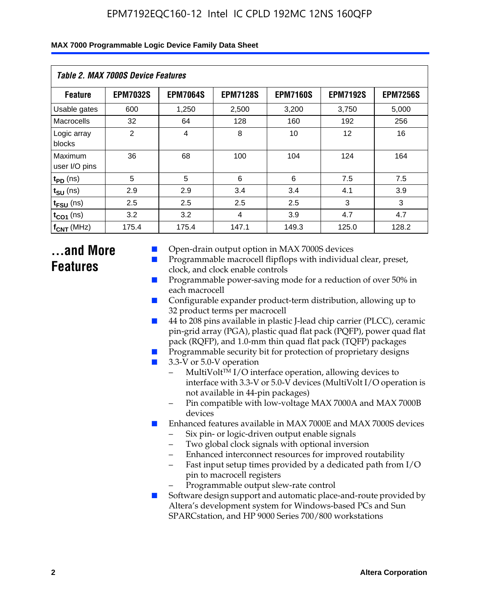| Table 2. MAX 7000S Device Features |                 |                 |                 |                 |                   |                 |  |
|------------------------------------|-----------------|-----------------|-----------------|-----------------|-------------------|-----------------|--|
| <b>Feature</b>                     | <b>EPM7032S</b> | <b>EPM7064S</b> | <b>EPM7128S</b> | <b>EPM7160S</b> | <b>EPM7192S</b>   | <b>EPM7256S</b> |  |
| Usable gates                       | 600             | 1,250           | 2,500           | 3,200           | 3,750             | 5,000           |  |
| Macrocells                         | 32              | 64              | 128             | 160             | 192               | 256             |  |
| Logic array<br>blocks              | $\overline{2}$  | $\overline{4}$  | 8               | 10              | $12 \overline{ }$ | 16              |  |
| Maximum<br>user I/O pins           | 36              | 68              | 100             | 104             | 124               | 164             |  |
| $t_{PD}$ (ns)                      | 5               | 5               | 6               | 6               | 7.5               | 7.5             |  |
| $t_{SU}$ (ns)                      | 2.9             | 2.9             | 3.4             | 3.4             | 4.1               | 3.9             |  |
| $t_{\text{FSU}}$ (ns)              | 2.5             | 2.5             | 2.5             | 2.5             | 3                 | 3               |  |
| $t_{CO1}$ (ns)                     | 3.2             | 3.2             | 4               | 3.9             | 4.7               | 4.7             |  |
| $f_{\text{CNT}}$ (MHz)             | 175.4           | 175.4           | 147.1           | 149.3           | 125.0             | 128.2           |  |

### **...and More Features**

- Open-drain output option in MAX 7000S devices
- Programmable macrocell flipflops with individual clear, preset, clock, and clock enable controls
- Programmable power-saving mode for a reduction of over 50% in each macrocell
- Configurable expander product-term distribution, allowing up to 32 product terms per macrocell
- 44 to 208 pins available in plastic J-lead chip carrier (PLCC), ceramic pin-grid array (PGA), plastic quad flat pack (PQFP), power quad flat pack (RQFP), and 1.0-mm thin quad flat pack (TQFP) packages
- Programmable security bit for protection of proprietary designs
- 3.3-V or 5.0-V operation
	- MultiVolt<sup>TM</sup> I/O interface operation, allowing devices to interface with 3.3-V or 5.0-V devices (MultiVolt I/O operation is not available in 44-pin packages)
	- Pin compatible with low-voltage MAX 7000A and MAX 7000B devices
- Enhanced features available in MAX 7000E and MAX 7000S devices
	- Six pin- or logic-driven output enable signals
	- Two global clock signals with optional inversion
	- Enhanced interconnect resources for improved routability
	- Fast input setup times provided by a dedicated path from I/O pin to macrocell registers
	- Programmable output slew-rate control
- Software design support and automatic place-and-route provided by Altera's development system for Windows-based PCs and Sun SPARCstation, and HP 9000 Series 700/800 workstations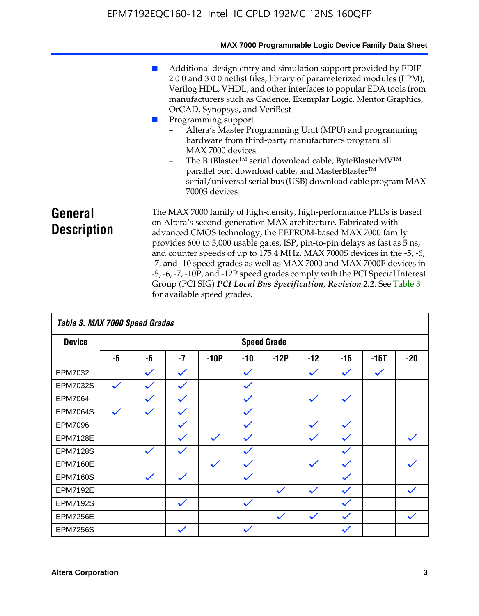|                               | MAX 7000 Programmable Logic Device Family Data Sheet                                                                                                                                                                                                                                                                                                                                                                                                                                                                                                                                                                                                                                                                         |
|-------------------------------|------------------------------------------------------------------------------------------------------------------------------------------------------------------------------------------------------------------------------------------------------------------------------------------------------------------------------------------------------------------------------------------------------------------------------------------------------------------------------------------------------------------------------------------------------------------------------------------------------------------------------------------------------------------------------------------------------------------------------|
|                               | Additional design entry and simulation support provided by EDIF<br>200 and 300 netlist files, library of parameterized modules (LPM),<br>Verilog HDL, VHDL, and other interfaces to popular EDA tools from<br>manufacturers such as Cadence, Exemplar Logic, Mentor Graphics,<br>OrCAD, Synopsys, and VeriBest<br>Programming support<br>Altera's Master Programming Unit (MPU) and programming<br>hardware from third-party manufacturers program all<br>MAX 7000 devices<br>The BitBlaster <sup>™</sup> serial download cable, ByteBlasterMV <sup>™</sup><br>$\overline{\phantom{0}}$<br>parallel port download cable, and MasterBlaster™<br>serial/universal serial bus (USB) download cable program MAX<br>7000S devices |
| General<br><b>Description</b> | The MAX 7000 family of high-density, high-performance PLDs is based<br>on Altera's second-generation MAX architecture. Fabricated with<br>advanced CMOS technology, the EEPROM-based MAX 7000 family<br>provides 600 to 5,000 usable gates, ISP, pin-to-pin delays as fast as 5 ns,<br>and counter speeds of up to 175.4 MHz. MAX 7000S devices in the -5, -6,<br>-7, and -10 speed grades as well as MAX 7000 and MAX 7000E devices in<br>-5, -6, -7, -10P, and -12P speed grades comply with the PCI Special Interest<br>Group (PCI SIG) PCI Local Bus Specification, Revision 2.2. See Table 3                                                                                                                            |

| Table 3. MAX 7000 Speed Grades |              |              |              |              |              |                    |              |              |              |              |
|--------------------------------|--------------|--------------|--------------|--------------|--------------|--------------------|--------------|--------------|--------------|--------------|
| <b>Device</b>                  |              |              |              |              |              | <b>Speed Grade</b> |              |              |              |              |
|                                | -5           | -6           | $-7$         | $-10P$       | $-10$        | $-12P$             | $-12$        | $-15$        | $-15T$       | $-20$        |
| EPM7032                        |              | $\checkmark$ | $\checkmark$ |              | $\checkmark$ |                    | $\checkmark$ | $\checkmark$ | $\checkmark$ |              |
| EPM7032S                       | $\checkmark$ | $\checkmark$ | $\checkmark$ |              | $\checkmark$ |                    |              |              |              |              |
| EPM7064                        |              | $\checkmark$ | $\checkmark$ |              | $\checkmark$ |                    | $\checkmark$ | $\checkmark$ |              |              |
| <b>EPM7064S</b>                | $\checkmark$ | $\checkmark$ | $\checkmark$ |              | $\checkmark$ |                    |              |              |              |              |
| <b>EPM7096</b>                 |              |              | $\checkmark$ |              | $\checkmark$ |                    | $\checkmark$ | $\checkmark$ |              |              |
| <b>EPM7128E</b>                |              |              | $\checkmark$ | $\checkmark$ | $\checkmark$ |                    | $\checkmark$ | $\checkmark$ |              | $\checkmark$ |
| <b>EPM7128S</b>                |              | $\checkmark$ | $\checkmark$ |              | $\checkmark$ |                    |              | $\checkmark$ |              |              |
| <b>EPM7160E</b>                |              |              |              | $\checkmark$ | $\checkmark$ |                    | $\checkmark$ | $\checkmark$ |              | $\checkmark$ |
| <b>EPM7160S</b>                |              | $\checkmark$ | $\checkmark$ |              | $\checkmark$ |                    |              | $\checkmark$ |              |              |
| <b>EPM7192E</b>                |              |              |              |              |              | $\checkmark$       | $\checkmark$ | $\checkmark$ |              |              |
| <b>EPM7192S</b>                |              |              | $\checkmark$ |              | $\checkmark$ |                    |              | $\checkmark$ |              |              |
| <b>EPM7256E</b>                |              |              |              |              |              | $\checkmark$       | $\checkmark$ | $\checkmark$ |              | $\checkmark$ |
| <b>EPM7256S</b>                |              |              | $\checkmark$ |              | $\checkmark$ |                    |              | $\checkmark$ |              |              |

for available speed grades.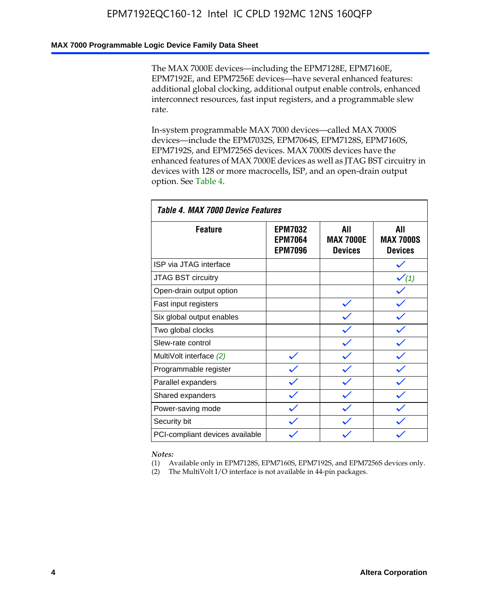#### **MAX 7000 Programmable Logic Device Family Data Sheet**

The MAX 7000E devices—including the EPM7128E, EPM7160E, EPM7192E, and EPM7256E devices—have several enhanced features: additional global clocking, additional output enable controls, enhanced interconnect resources, fast input registers, and a programmable slew rate.

In-system programmable MAX 7000 devices—called MAX 7000S devices—include the EPM7032S, EPM7064S, EPM7128S, EPM7160S, EPM7192S, and EPM7256S devices. MAX 7000S devices have the enhanced features of MAX 7000E devices as well as JTAG BST circuitry in devices with 128 or more macrocells, ISP, and an open-drain output option. See Table 4.

| Table 4. MAX 7000 Device Features |                                                    |                                           |                                           |  |  |  |
|-----------------------------------|----------------------------------------------------|-------------------------------------------|-------------------------------------------|--|--|--|
| <b>Feature</b>                    | <b>EPM7032</b><br><b>EPM7064</b><br><b>EPM7096</b> | All<br><b>MAX 7000E</b><br><b>Devices</b> | All<br><b>MAX 7000S</b><br><b>Devices</b> |  |  |  |
| ISP via JTAG interface            |                                                    |                                           |                                           |  |  |  |
| <b>JTAG BST circuitry</b>         |                                                    |                                           | $\checkmark$ (1)                          |  |  |  |
| Open-drain output option          |                                                    |                                           |                                           |  |  |  |
| Fast input registers              |                                                    |                                           |                                           |  |  |  |
| Six global output enables         |                                                    |                                           |                                           |  |  |  |
| Two global clocks                 |                                                    |                                           |                                           |  |  |  |
| Slew-rate control                 |                                                    |                                           |                                           |  |  |  |
| MultiVolt interface (2)           |                                                    |                                           |                                           |  |  |  |
| Programmable register             |                                                    |                                           |                                           |  |  |  |
| Parallel expanders                |                                                    |                                           |                                           |  |  |  |
| Shared expanders                  |                                                    |                                           |                                           |  |  |  |
| Power-saving mode                 |                                                    |                                           |                                           |  |  |  |
| Security bit                      |                                                    |                                           |                                           |  |  |  |
| PCI-compliant devices available   |                                                    |                                           |                                           |  |  |  |

*Notes:*

(1) Available only in EPM7128S, EPM7160S, EPM7192S, and EPM7256S devices only.

(2) The MultiVolt I/O interface is not available in 44-pin packages.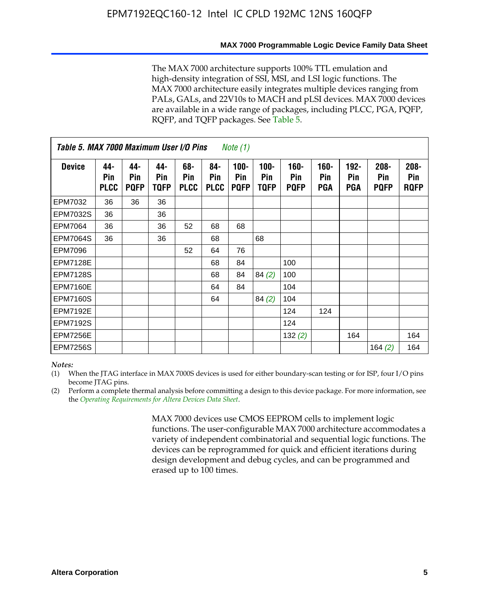#### **MAX 7000 Programmable Logic Device Family Data Sheet**

The MAX 7000 architecture supports 100% TTL emulation and high-density integration of SSI, MSI, and LSI logic functions. The MAX 7000 architecture easily integrates multiple devices ranging from PALs, GALs, and 22V10s to MACH and pLSI devices. MAX 7000 devices are available in a wide range of packages, including PLCC, PGA, PQFP, RQFP, and TQFP packages. See Table 5.

| Table 5. MAX 7000 Maximum User I/O Pins<br><i>Note</i> $(1)$ |                           |                           |                           |                           |                           |                               |                        |                            |                       |                                     |                               |                               |
|--------------------------------------------------------------|---------------------------|---------------------------|---------------------------|---------------------------|---------------------------|-------------------------------|------------------------|----------------------------|-----------------------|-------------------------------------|-------------------------------|-------------------------------|
| <b>Device</b>                                                | 44-<br>Pin<br><b>PLCC</b> | 44-<br>Pin<br><b>PQFP</b> | 44-<br><b>Pin</b><br>TQFP | 68-<br>Pin<br><b>PLCC</b> | 84-<br>Pin<br><b>PLCC</b> | $100 -$<br>Pin<br><b>PQFP</b> | $100 -$<br>Pin<br>TQFP | 160-<br>Pin<br><b>PQFP</b> | $160 -$<br>Pin<br>PGA | $192 -$<br><b>Pin</b><br><b>PGA</b> | $208 -$<br>Pin<br><b>PQFP</b> | $208 -$<br>Pin<br><b>ROFP</b> |
| EPM7032                                                      | 36                        | 36                        | 36                        |                           |                           |                               |                        |                            |                       |                                     |                               |                               |
| <b>EPM7032S</b>                                              | 36                        |                           | 36                        |                           |                           |                               |                        |                            |                       |                                     |                               |                               |
| EPM7064                                                      | 36                        |                           | 36                        | 52                        | 68                        | 68                            |                        |                            |                       |                                     |                               |                               |
| <b>EPM7064S</b>                                              | 36                        |                           | 36                        |                           | 68                        |                               | 68                     |                            |                       |                                     |                               |                               |
| EPM7096                                                      |                           |                           |                           | 52                        | 64                        | 76                            |                        |                            |                       |                                     |                               |                               |
| <b>EPM7128E</b>                                              |                           |                           |                           |                           | 68                        | 84                            |                        | 100                        |                       |                                     |                               |                               |
| <b>EPM7128S</b>                                              |                           |                           |                           |                           | 68                        | 84                            | 84(2)                  | 100                        |                       |                                     |                               |                               |
| <b>EPM7160E</b>                                              |                           |                           |                           |                           | 64                        | 84                            |                        | 104                        |                       |                                     |                               |                               |
| <b>EPM7160S</b>                                              |                           |                           |                           |                           | 64                        |                               | 84(2)                  | 104                        |                       |                                     |                               |                               |
| <b>EPM7192E</b>                                              |                           |                           |                           |                           |                           |                               |                        | 124                        | 124                   |                                     |                               |                               |
| <b>EPM7192S</b>                                              |                           |                           |                           |                           |                           |                               |                        | 124                        |                       |                                     |                               |                               |
| <b>EPM7256E</b>                                              |                           |                           |                           |                           |                           |                               |                        | 132(2)                     |                       | 164                                 |                               | 164                           |
| <b>EPM7256S</b>                                              |                           |                           |                           |                           |                           |                               |                        |                            |                       |                                     | 164 $(2)$                     | 164                           |

#### *Notes:*

(1) When the JTAG interface in MAX 7000S devices is used for either boundary-scan testing or for ISP, four I/O pins become JTAG pins.

(2) Perform a complete thermal analysis before committing a design to this device package. For more information, see the *Operating Requirements for Altera Devices Data Sheet*.

> MAX 7000 devices use CMOS EEPROM cells to implement logic functions. The user-configurable MAX 7000 architecture accommodates a variety of independent combinatorial and sequential logic functions. The devices can be reprogrammed for quick and efficient iterations during design development and debug cycles, and can be programmed and erased up to 100 times.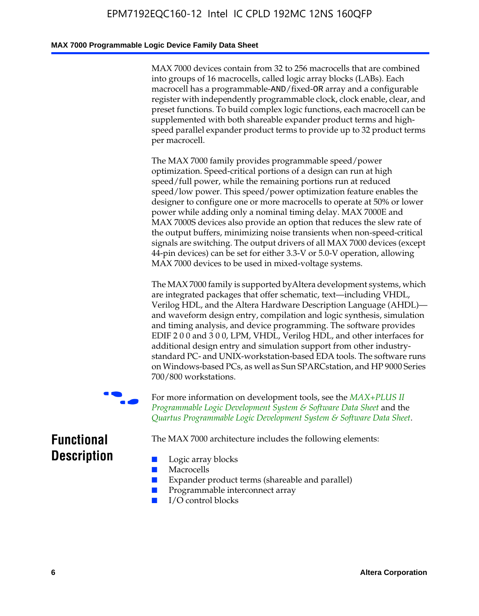#### **MAX 7000 Programmable Logic Device Family Data Sheet**

MAX 7000 devices contain from 32 to 256 macrocells that are combined into groups of 16 macrocells, called logic array blocks (LABs). Each macrocell has a programmable-AND/fixed-OR array and a configurable register with independently programmable clock, clock enable, clear, and preset functions. To build complex logic functions, each macrocell can be supplemented with both shareable expander product terms and highspeed parallel expander product terms to provide up to 32 product terms per macrocell.

The MAX 7000 family provides programmable speed/power optimization. Speed-critical portions of a design can run at high speed/full power, while the remaining portions run at reduced speed/low power. This speed/power optimization feature enables the designer to configure one or more macrocells to operate at 50% or lower power while adding only a nominal timing delay. MAX 7000E and MAX 7000S devices also provide an option that reduces the slew rate of the output buffers, minimizing noise transients when non-speed-critical signals are switching. The output drivers of all MAX 7000 devices (except 44-pin devices) can be set for either 3.3-V or 5.0-V operation, allowing MAX 7000 devices to be used in mixed-voltage systems.

The MAX 7000 family is supported byAltera development systems, which are integrated packages that offer schematic, text—including VHDL, Verilog HDL, and the Altera Hardware Description Language (AHDL) and waveform design entry, compilation and logic synthesis, simulation and timing analysis, and device programming. The [software provides](http://www.altera.com/literature/ds/dsmii.pdf)  [EDIF 2 0 0 and 3 0 0, LPM, VHDL, Verilog HDL, and other in](http://www.altera.com/literature/ds/dsmii.pdf)terfaces for [additional design entry and simulation support from other industry](http://www.altera.com/literature/ds/quartus.pdf)standard PC- and UNIX-workstation-based EDA tools. The software runs on Windows-based PCs, as well as Sun SPARCstation, and HP 9000 Series 700/800 workstations.

For more information on development tools, see the **MAX+PLUS II** *Programmable Logic Development System & Software Data Sheet* and the *Quartus Programmable Logic Development System & Software Data Sheet*.

The MAX 7000 architecture includes the following elements:

### **Functional Description**

- Logic array blocks
- **Macrocells**
- Expander product terms (shareable and parallel)
- Programmable interconnect array
- I/O control blocks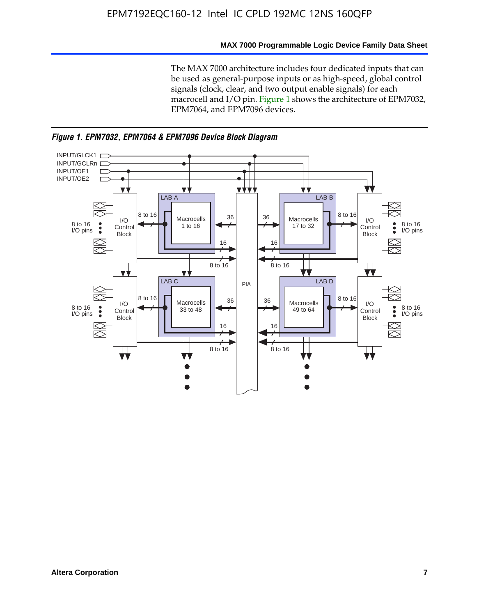#### **MAX 7000 Programmable Logic Device Family Data Sheet**

The MAX 7000 architecture includes four dedicated inputs that can be used as general-purpose inputs or as high-speed, global control signals (clock, clear, and two output enable signals) for each macrocell and I/O pin. Figure 1 shows the architecture of EPM7032, EPM7064, and EPM7096 devices.



*Figure 1. EPM7032, EPM7064 & EPM7096 Device Block Diagram*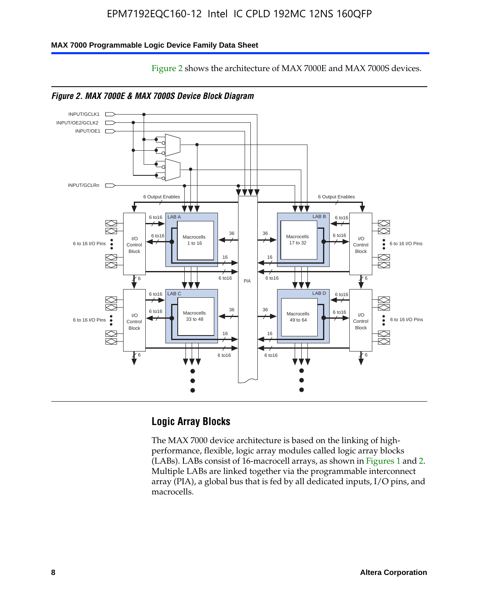Figure 2 shows the architecture of MAX 7000E and MAX 7000S devices.

#### **MAX 7000 Programmable Logic Device Family Data Sheet**





#### **Logic Array Blocks**

The MAX 7000 device architecture is based on the linking of highperformance, flexible, logic array modules called logic array blocks (LABs). LABs consist of 16-macrocell arrays, as shown in Figures 1 and 2. Multiple LABs are linked together via the programmable interconnect array (PIA), a global bus that is fed by all dedicated inputs, I/O pins, and macrocells.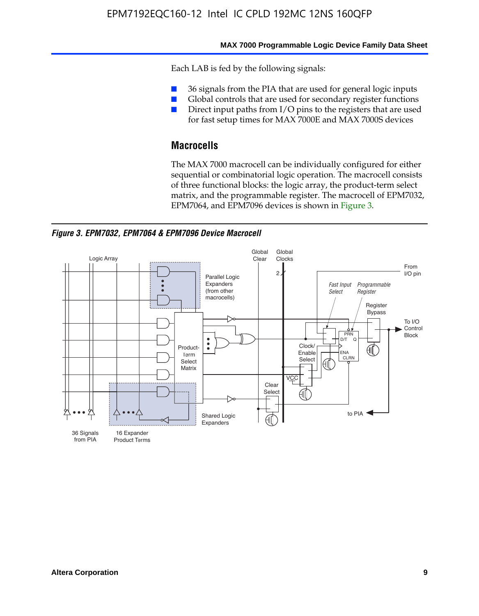#### **MAX 7000 Programmable Logic Device Family Data Sheet**

Each LAB is fed by the following signals:

- 36 signals from the PIA that are used for general logic inputs
- Global controls that are used for secondary register functions
- Direct input paths from I/O pins to the registers that are used for fast setup times for MAX 7000E and MAX 7000S devices

#### **Macrocells**

The MAX 7000 macrocell can be individually configured for either sequential or combinatorial logic operation. The macrocell consists of three functional blocks: the logic array, the product-term select matrix, and the programmable register. The macrocell of EPM7032, EPM7064, and EPM7096 devices is shown in Figure 3.

*Figure 3. EPM7032, EPM7064 & EPM7096 Device Macrocell*

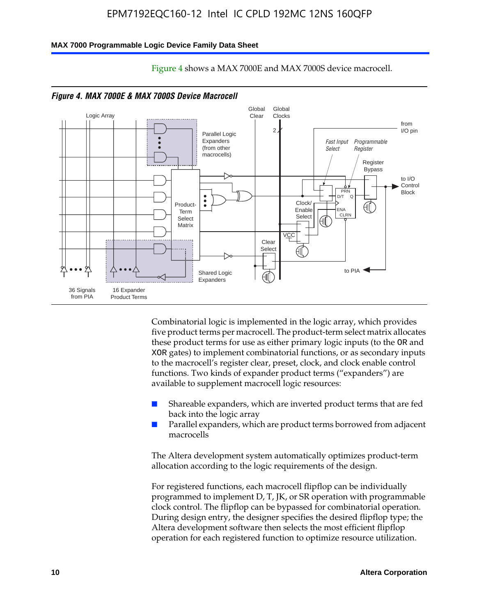#### **MAX 7000 Programmable Logic Device Family Data Sheet**



Figure 4 shows a MAX 7000E and MAX 7000S device macrocell.

Combinatorial logic is implemented in the logic array, which provides five product terms per macrocell. The product-term select matrix allocates these product terms for use as either primary logic inputs (to the OR and XOR gates) to implement combinatorial functions, or as secondary inputs to the macrocell's register clear, preset, clock, and clock enable control functions. Two kinds of expander product terms ("expanders") are available to supplement macrocell logic resources:

- Shareable expanders, which are inverted product terms that are fed back into the logic array
- Parallel expanders, which are product terms borrowed from adjacent macrocells

The Altera development system automatically optimizes product-term allocation according to the logic requirements of the design.

For registered functions, each macrocell flipflop can be individually programmed to implement D, T, JK, or SR operation with programmable clock control. The flipflop can be bypassed for combinatorial operation. During design entry, the designer specifies the desired flipflop type; the Altera development software then selects the most efficient flipflop operation for each registered function to optimize resource utilization.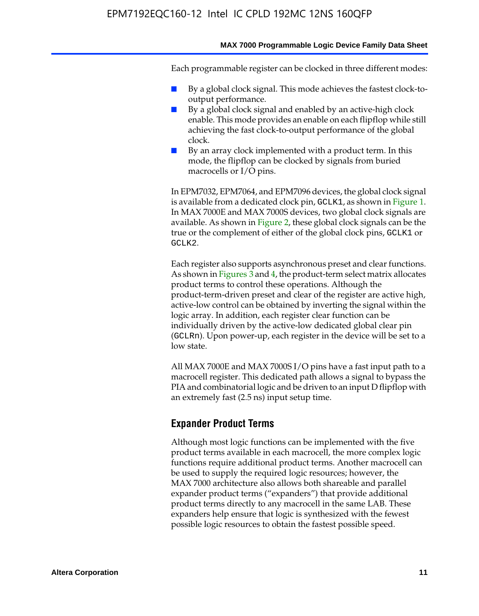#### **MAX 7000 Programmable Logic Device Family Data Sheet**

Each programmable register can be clocked in three different modes:

- By a global clock signal. This mode achieves the fastest clock-tooutput performance.
- By a global clock signal and enabled by an active-high clock enable. This mode provides an enable on each flipflop while still achieving the fast clock-to-output performance of the global clock.
- By an array clock implemented with a product term. In this mode, the flipflop can be clocked by signals from buried macrocells or I/O pins.

In EPM7032, EPM7064, and EPM7096 devices, the global clock signal is available from a dedicated clock pin, GCLK1, as shown in Figure 1. In MAX 7000E and MAX 7000S devices, two global clock signals are available. As shown in Figure 2, these global clock signals can be the true or the complement of either of the global clock pins, GCLK1 or GCLK2.

Each register also supports asynchronous preset and clear functions. As shown in Figures 3 and 4, the product-term select matrix allocates product terms to control these operations. Although the product-term-driven preset and clear of the register are active high, active-low control can be obtained by inverting the signal within the logic array. In addition, each register clear function can be individually driven by the active-low dedicated global clear pin (GCLRn). Upon power-up, each register in the device will be set to a low state.

All MAX 7000E and MAX 7000S I/O pins have a fast input path to a macrocell register. This dedicated path allows a signal to bypass the PIA and combinatorial logic and be driven to an input D flipflop with an extremely fast (2.5 ns) input setup time.

#### **Expander Product Terms**

Although most logic functions can be implemented with the five product terms available in each macrocell, the more complex logic functions require additional product terms. Another macrocell can be used to supply the required logic resources; however, the MAX 7000 architecture also allows both shareable and parallel expander product terms ("expanders") that provide additional product terms directly to any macrocell in the same LAB. These expanders help ensure that logic is synthesized with the fewest possible logic resources to obtain the fastest possible speed.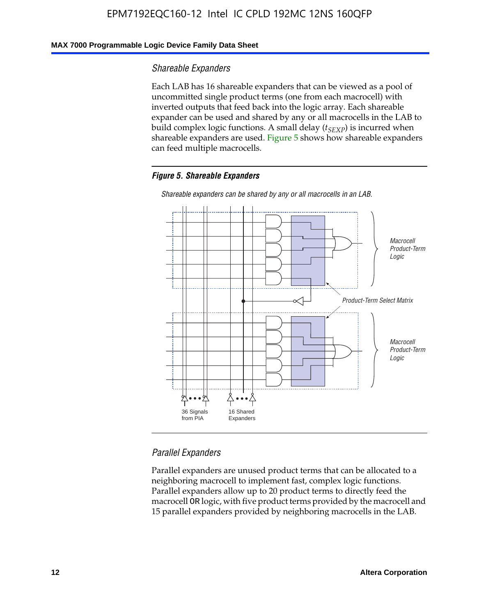#### **MAX 7000 Programmable Logic Device Family Data Sheet**

#### *Shareable Expanders*

Each LAB has 16 shareable expanders that can be viewed as a pool of uncommitted single product terms (one from each macrocell) with inverted outputs that feed back into the logic array. Each shareable expander can be used and shared by any or all macrocells in the LAB to build complex logic functions. A small delay ( $t_{SEXP}$ ) is incurred when shareable expanders are used. Figure 5 shows how shareable expanders can feed multiple macrocells.

#### *Figure 5. Shareable Expanders*



*Shareable expanders can be shared by any or all macrocells in an LAB.*

#### *Parallel Expanders*

Parallel expanders are unused product terms that can be allocated to a neighboring macrocell to implement fast, complex logic functions. Parallel expanders allow up to 20 product terms to directly feed the macrocell OR logic, with five product terms provided by the macrocell and 15 parallel expanders provided by neighboring macrocells in the LAB.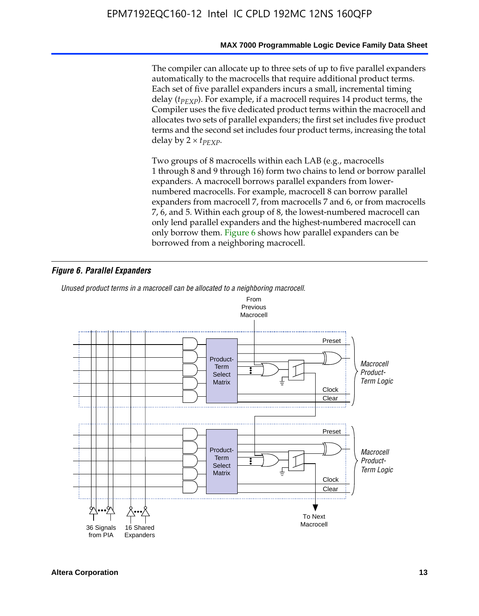#### **MAX 7000 Programmable Logic Device Family Data Sheet**

The compiler can allocate up to three sets of up to five parallel expanders automatically to the macrocells that require additional product terms. Each set of five parallel expanders incurs a small, incremental timing delay (*t<sub>PEXP</sub>*). For example, if a macrocell requires 14 product terms, the Compiler uses the five dedicated product terms within the macrocell and allocates two sets of parallel expanders; the first set includes five product terms and the second set includes four product terms, increasing the total delay by  $2 \times t_{PFXP}$ .

Two groups of 8 macrocells within each LAB (e.g., macrocells 1 through 8 and 9 through 16) form two chains to lend or borrow parallel expanders. A macrocell borrows parallel expanders from lowernumbered macrocells. For example, macrocell 8 can borrow parallel expanders from macrocell 7, from macrocells 7 and 6, or from macrocells 7, 6, and 5. Within each group of 8, the lowest-numbered macrocell can only lend parallel expanders and the highest-numbered macrocell can only borrow them. Figure 6 shows how parallel expanders can be borrowed from a neighboring macrocell.

#### *Figure 6. Parallel Expanders*

*Unused product terms in a macrocell can be allocated to a neighboring macrocell.*

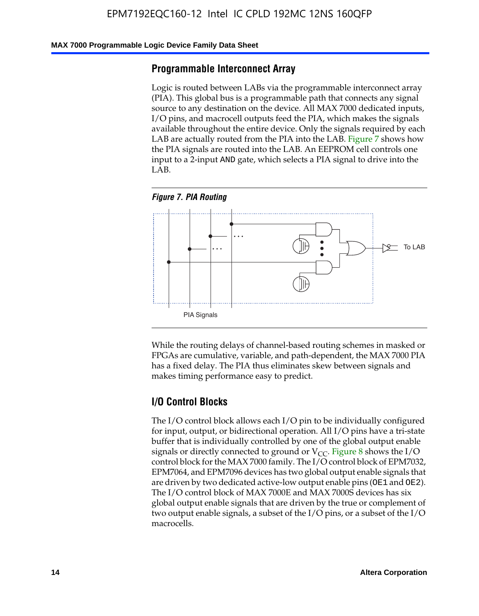#### **MAX 7000 Programmable Logic Device Family Data Sheet**

#### **Programmable Interconnect Array**

Logic is routed between LABs via the programmable interconnect array (PIA). This global bus is a programmable path that connects any signal source to any destination on the device. All MAX 7000 dedicated inputs, I/O pins, and macrocell outputs feed the PIA, which makes the signals available throughout the entire device. Only the signals required by each LAB are actually routed from the PIA into the LAB. Figure 7 shows how the PIA signals are routed into the LAB. An EEPROM cell controls one input to a 2-input AND gate, which selects a PIA signal to drive into the LAB.





While the routing delays of channel-based routing schemes in masked or FPGAs are cumulative, variable, and path-dependent, the MAX 7000 PIA has a fixed delay. The PIA thus eliminates skew between signals and makes timing performance easy to predict.

#### **I/O Control Blocks**

The I/O control block allows each I/O pin to be individually configured for input, output, or bidirectional operation. All I/O pins have a tri-state buffer that is individually controlled by one of the global output enable signals or directly connected to ground or  $V_{CC}$ . Figure 8 shows the I/O control block for the MAX 7000 family. The I/O control block of EPM7032, EPM7064, and EPM7096 devices has two global output enable signals that are driven by two dedicated active-low output enable pins (OE1 and OE2). The I/O control block of MAX 7000E and MAX 7000S devices has six global output enable signals that are driven by the true or complement of two output enable signals, a subset of the I/O pins, or a subset of the I/O macrocells.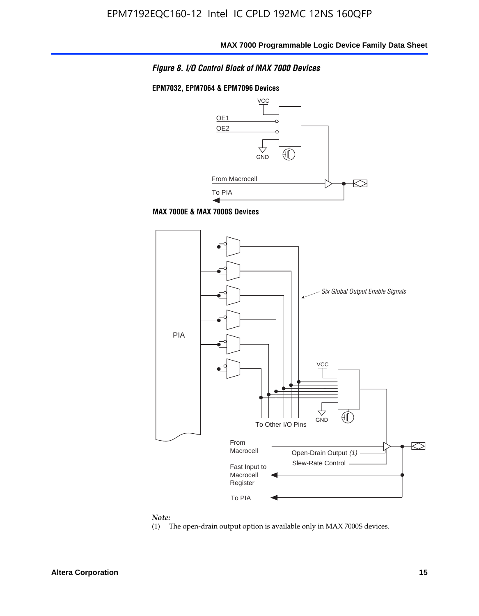

#### **EPM7032, EPM7064 & EPM7096 Devices**







#### *Note:*

(1) The open-drain output option is available only in MAX 7000S devices.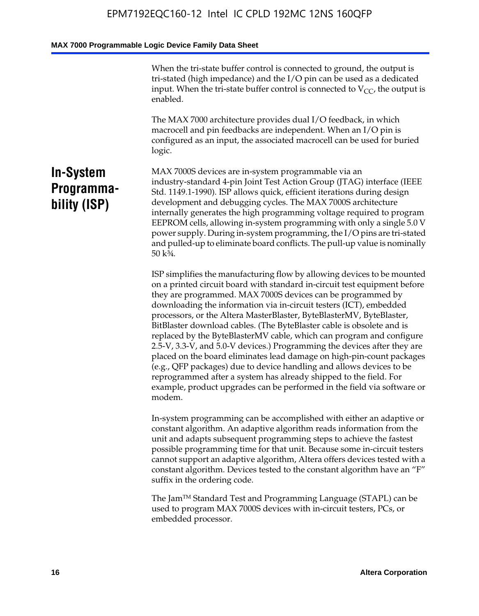When the tri-state buffer control is connected to ground, the output is tri-stated (high impedance) and the I/O pin can be used as a dedicated input. When the tri-state buffer control is connected to  $V_{CC}$ , the output is enabled.

The MAX 7000 architecture provides dual I/O feedback, in which macrocell and pin feedbacks are independent. When an I/O pin is configured as an input, the associated macrocell can be used for buried logic.

### **In-System Programmability (ISP)**

MAX 7000S devices are in-system programmable via an industry-standard 4-pin Joint Test Action Group (JTAG) interface (IEEE Std. 1149.1-1990). ISP allows quick, efficient iterations during design development and debugging cycles. The MAX 7000S architecture internally generates the high programming voltage required to program EEPROM cells, allowing in-system programming with only a single 5.0 V power supply. During in-system programming, the I/O pins are tri-stated and pulled-up to eliminate board conflicts. The pull-up value is nominally 50 k¾.

ISP simplifies the manufacturing flow by allowing devices to be mounted on a printed circuit board with standard in-circuit test equipment before they are programmed. MAX 7000S devices can be programmed by downloading the information via in-circuit testers (ICT), embedded processors, or the Altera MasterBlaster, ByteBlasterMV, ByteBlaster, BitBlaster download cables. (The ByteBlaster cable is obsolete and is replaced by the ByteBlasterMV cable, which can program and configure 2.5-V, 3.3-V, and 5.0-V devices.) Programming the devices after they are placed on the board eliminates lead damage on high-pin-count packages (e.g., QFP packages) due to device handling and allows devices to be reprogrammed after a system has already shipped to the field. For example, product upgrades can be performed in the field via software or modem.

In-system programming can be accomplished with either an adaptive or constant algorithm. An adaptive algorithm reads information from the unit and adapts subsequent programming steps to achieve the fastest possible programming time for that unit. Because some in-circuit testers cannot support an adaptive algorithm, Altera offers devices tested with a constant algorithm. Devices tested to the constant algorithm have an "F" suffix in the ordering code.

The Jam™ Standard Test and Programming Language (STAPL) can be used to program MAX 7000S devices with in-circuit testers, PCs, or embedded processor.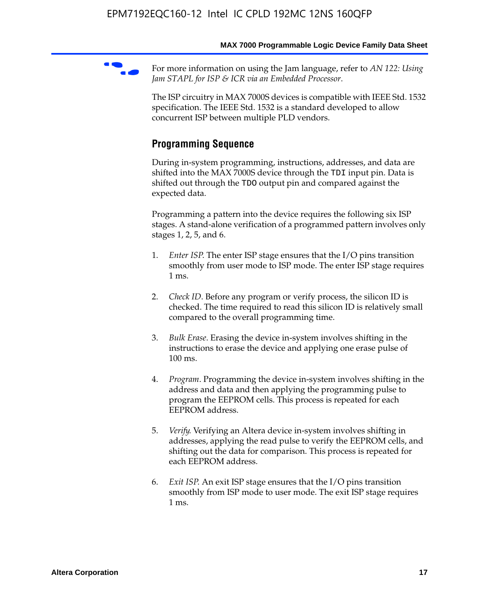For more information on using the Jam language, refer to *AN* 122: Using *Jam STAPL for ISP & ICR via an Embedded Processor*.

The ISP circuitry in MAX 7000S devices is compatible with IEEE Std. 1532 specification. The IEEE Std. 1532 is a standard developed to allow concurrent ISP between multiple PLD vendors.

### **Programming Sequence**

During in-system programming, instructions, addresses, and data are shifted into the MAX 7000S device through the TDI input pin. Data is shifted out through the TDO output pin and compared against the expected data.

Programming a pattern into the device requires the following six ISP stages. A stand-alone verification of a programmed pattern involves only stages 1, 2, 5, and 6.

- 1. *Enter ISP*. The enter ISP stage ensures that the I/O pins transition smoothly from user mode to ISP mode. The enter ISP stage requires 1 ms.
- 2. *Check ID*. Before any program or verify process, the silicon ID is checked. The time required to read this silicon ID is relatively small compared to the overall programming time.
- 3. *Bulk Erase*. Erasing the device in-system involves shifting in the instructions to erase the device and applying one erase pulse of 100 ms.
- 4. *Program*. Programming the device in-system involves shifting in the address and data and then applying the programming pulse to program the EEPROM cells. This process is repeated for each EEPROM address.
- 5. *Verify*. Verifying an Altera device in-system involves shifting in addresses, applying the read pulse to verify the EEPROM cells, and shifting out the data for comparison. This process is repeated for each EEPROM address.
- 6. *Exit ISP*. An exit ISP stage ensures that the I/O pins transition smoothly from ISP mode to user mode. The exit ISP stage requires 1 ms.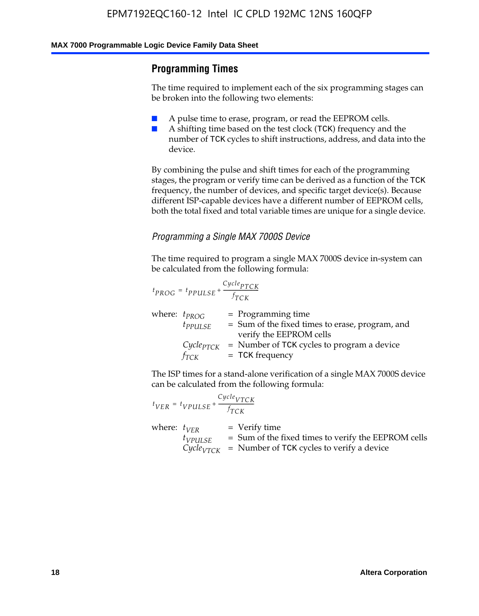#### **Programming Times**

The time required to implement each of the six programming stages can be broken into the following two elements:

- A pulse time to erase, program, or read the EEPROM cells.
- A shifting time based on the test clock (TCK) frequency and the number of TCK cycles to shift instructions, address, and data into the device.

By combining the pulse and shift times for each of the programming stages, the program or verify time can be derived as a function of the TCK frequency, the number of devices, and specific target device(s). Because different ISP-capable devices have a different number of EEPROM cells, both the total fixed and total variable times are unique for a single device.

#### *Programming a Single MAX 7000S Device*

The time required to program a single MAX 7000S device in-system can be calculated from the following formula:

$$
t_{PROG} = t_{PPULSE} + \frac{C_{ycle_{PTCK}}}{f_{TCK}}
$$
  
where:  $t_{PROG}$  = Programming time  
 $t_{PPULSE}$  = Sum of the fixed times to erase, program, and  
verify the EEPROM cells  
 $C_{ycle_{PTCK}}$  = Number of TCK cycles to program a device  
 $f_{TCK}$  = TCK frequency

The ISP times for a stand-alone verification of a single MAX 7000S device can be calculated from the following formula:

|                  | $t_{VER} = t_{VPULSE} + \frac{Cycle_{VTCK}}{f_{TCK}}$ |                                                                                                                                    |
|------------------|-------------------------------------------------------|------------------------------------------------------------------------------------------------------------------------------------|
| where: $t_{VFR}$ | $t_{VPULSE}$                                          | $=$ Verify time<br>= Sum of the fixed times to verify the EEPROM cells<br>$Cycle_{VTCK}$ = Number of TCK cycles to verify a device |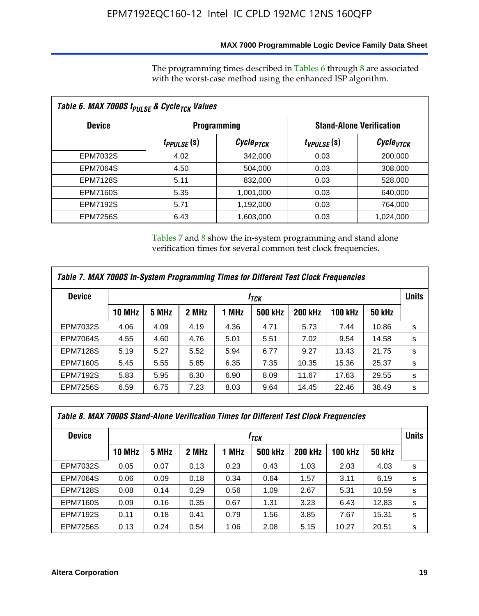#### **MAX 7000 Programmable Logic Device Family Data Sheet**

The programming times described in Tables 6 through 8 are associated with the worst-case method using the enhanced ISP algorithm.

| Table 6. MAX 7000S t <sub>PULSE</sub> & Cycle <sub>TCK</sub> Values |                               |                       |                 |                                 |  |  |  |
|---------------------------------------------------------------------|-------------------------------|-----------------------|-----------------|---------------------------------|--|--|--|
| <b>Device</b>                                                       |                               | <b>Programming</b>    |                 | <b>Stand-Alone Verification</b> |  |  |  |
|                                                                     | <i>t<sub>PPULSE</sub></i> (S) | Cycle <sub>PTCK</sub> | $t_{VPULSE}(s)$ | Cycle <sub>VTCK</sub>           |  |  |  |
| EPM7032S                                                            | 4.02                          | 342,000               | 0.03            | 200,000                         |  |  |  |
| <b>EPM7064S</b>                                                     | 4.50                          | 504.000               | 0.03            | 308,000                         |  |  |  |
| <b>EPM7128S</b>                                                     | 5.11                          | 832,000               | 0.03            | 528,000                         |  |  |  |
| <b>EPM7160S</b>                                                     | 5.35                          | 1,001,000             | 0.03            | 640,000                         |  |  |  |
| <b>EPM7192S</b>                                                     | 5.71                          | 1,192,000             | 0.03            | 764,000                         |  |  |  |
| <b>EPM7256S</b>                                                     | 6.43                          | 1,603,000             | 0.03            | 1,024,000                       |  |  |  |

Tables 7 and 8 show the in-system programming and stand alone verification times for several common test clock frequencies.

| Table 7. MAX 7000S In-System Programming Times for Different Test Clock Frequencies |               |       |       |       |                    |                |                |               |              |
|-------------------------------------------------------------------------------------|---------------|-------|-------|-------|--------------------|----------------|----------------|---------------|--------------|
| <b>Device</b>                                                                       |               |       |       |       | $t_{\textit{TCK}}$ |                |                |               | <b>Units</b> |
|                                                                                     | <b>10 MHz</b> | 5 MHz | 2 MHz | 1 MHz | <b>500 kHz</b>     | <b>200 kHz</b> | <b>100 kHz</b> | <b>50 kHz</b> |              |
| <b>EPM7032S</b>                                                                     | 4.06          | 4.09  | 4.19  | 4.36  | 4.71               | 5.73           | 7.44           | 10.86         | s            |
| <b>EPM7064S</b>                                                                     | 4.55          | 4.60  | 4.76  | 5.01  | 5.51               | 7.02           | 9.54           | 14.58         | s            |
| <b>EPM7128S</b>                                                                     | 5.19          | 5.27  | 5.52  | 5.94  | 6.77               | 9.27           | 13.43          | 21.75         | s            |
| <b>EPM7160S</b>                                                                     | 5.45          | 5.55  | 5.85  | 6.35  | 7.35               | 10.35          | 15.36          | 25.37         | s            |
| <b>EPM7192S</b>                                                                     | 5.83          | 5.95  | 6.30  | 6.90  | 8.09               | 11.67          | 17.63          | 29.55         | s            |
| <b>EPM7256S</b>                                                                     | 6.59          | 6.75  | 7.23  | 8.03  | 9.64               | 14.45          | 22.46          | 38.49         | s            |

| Table 8. MAX 7000S Stand-Alone Verification Times for Different Test Clock Frequencies |               |       |       |       |                  |                |                |               |              |
|----------------------------------------------------------------------------------------|---------------|-------|-------|-------|------------------|----------------|----------------|---------------|--------------|
| <b>Device</b>                                                                          |               |       |       |       | f <sub>тск</sub> |                |                |               | <b>Units</b> |
|                                                                                        | <b>10 MHz</b> | 5 MHz | 2 MHz | 1 MHz | <b>500 kHz</b>   | <b>200 kHz</b> | <b>100 kHz</b> | <b>50 kHz</b> |              |
| EPM7032S                                                                               | 0.05          | 0.07  | 0.13  | 0.23  | 0.43             | 1.03           | 2.03           | 4.03          | s            |
| <b>EPM7064S</b>                                                                        | 0.06          | 0.09  | 0.18  | 0.34  | 0.64             | 1.57           | 3.11           | 6.19          | s            |
| <b>EPM7128S</b>                                                                        | 0.08          | 0.14  | 0.29  | 0.56  | 1.09             | 2.67           | 5.31           | 10.59         | s            |
| <b>EPM7160S</b>                                                                        | 0.09          | 0.16  | 0.35  | 0.67  | 1.31             | 3.23           | 6.43           | 12.83         | s            |
| <b>EPM7192S</b>                                                                        | 0.11          | 0.18  | 0.41  | 0.79  | 1.56             | 3.85           | 7.67           | 15.31         | s            |
| <b>EPM7256S</b>                                                                        | 0.13          | 0.24  | 0.54  | 1.06  | 2.08             | 5.15           | 10.27          | 20.51         | s            |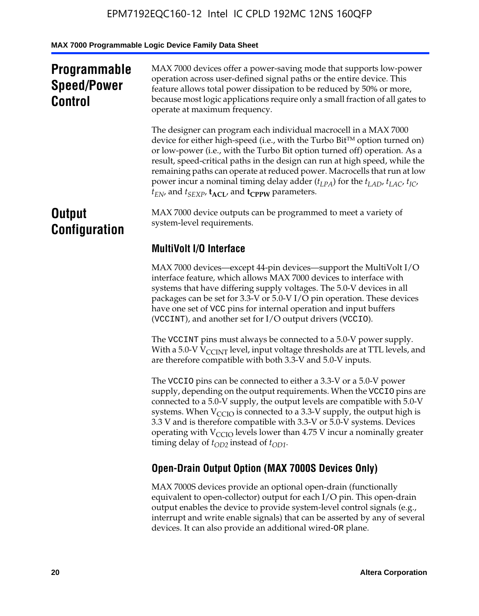### **Programmable Speed/Power Control**

MAX 7000 devices offer a power-saving mode that supports low-power operation across user-defined signal paths or the entire device. This feature allows total power dissipation to be reduced by 50% or more, because most logic applications require only a small fraction of all gates to operate at maximum frequency.

The designer can program each individual macrocell in a MAX 7000 device for either high-speed (i.e., with the Turbo  $Bit^{TM}$  option turned on) or low-power (i.e., with the Turbo Bit option turned off) operation. As a result, speed-critical paths in the design can run at high speed, while the remaining paths can operate at reduced power. Macrocells that run at low power incur a nominal timing delay adder  $(t_{LPA})$  for the  $t_{LAD}$ ,  $t_{LAC}$ ,  $t_{IC}$ ,  $t_{EN}$ , and  $t_{SEXP}$ ,  $t_{ACL}$ , and  $t_{CPPW}$  parameters.

### **Output Configuration**

MAX 7000 device outputs can be programmed to meet a variety of system-level requirements.

### **MultiVolt I/O Interface**

MAX 7000 devices—except 44-pin devices—support the MultiVolt I/O interface feature, which allows MAX 7000 devices to interface with systems that have differing supply voltages. The 5.0-V devices in all packages can be set for 3.3-V or 5.0-V I/O pin operation. These devices have one set of VCC pins for internal operation and input buffers (VCCINT), and another set for I/O output drivers (VCCIO).

The VCCINT pins must always be connected to a 5.0-V power supply. With a 5.0-V  $V_{\text{CCINT}}$  level, input voltage thresholds are at TTL levels, and are therefore compatible with both 3.3-V and 5.0-V inputs.

The VCCIO pins can be connected to either a 3.3-V or a 5.0-V power supply, depending on the output requirements. When the VCCIO pins are connected to a 5.0-V supply, the output levels are compatible with 5.0-V systems. When  $V_{\text{CGO}}$  is connected to a 3.3-V supply, the output high is 3.3 V and is therefore compatible with 3.3-V or 5.0-V systems. Devices operating with  $V_{\text{CCIO}}$  levels lower than 4.75 V incur a nominally greater timing delay of  $t_{OD2}$  instead of  $t_{OD1}$ .

### **Open-Drain Output Option (MAX 7000S Devices Only)**

MAX 7000S devices provide an optional open-drain (functionally equivalent to open-collector) output for each I/O pin. This open-drain output enables the device to provide system-level control signals (e.g., interrupt and write enable signals) that can be asserted by any of several devices. It can also provide an additional wired-OR plane.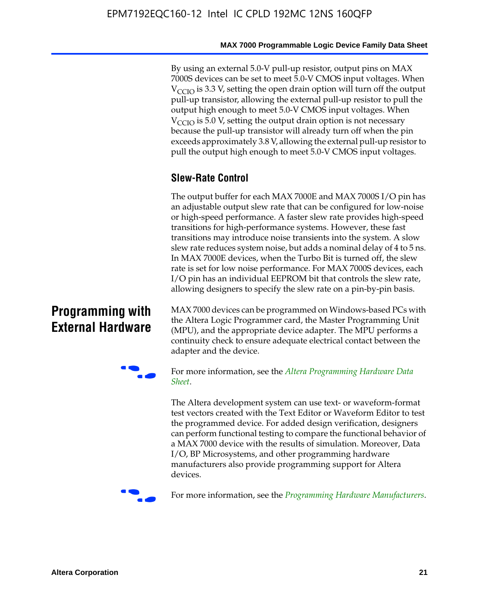By using an external 5.0-V pull-up resistor, output pins on MAX 7000S devices can be set to meet 5.0-V CMOS input voltages. When  $V_{\text{CCIO}}$  is 3.3 V, setting the open drain option will turn off the output pull-up transistor, allowing the external pull-up resistor to pull the output high enough to meet 5.0-V CMOS input voltages. When  $V_{\text{CCIO}}$  is 5.0 V, setting the output drain option is not necessary because the pull-up transistor will already turn off when the pin exceeds approximately 3.8 V, allowing the external pull-up resistor to pull the output high enough to meet 5.0-V CMOS input voltages.

#### **Slew-Rate Control**

The output buffer for each MAX 7000E and MAX 7000S I/O pin has an adjustable output slew rate that can be configured for low-noise or high-speed performance. A faster slew rate provides high-speed transitions for high-performance systems. However, these fast transitions may introduce noise transients into the system. A slow slew rate reduces system noise, but adds a nominal delay of 4 to 5 ns. In MAX 7000E devices, when the Turbo Bit is turned off, the slew rate is set for low noise performance. For MAX 7000S devices, each I/O pin has an individual EEPROM bit that controls the slew rate, allowing designers to specify the slew rate on a pin-by-pin basis.

### **Programming with External Hardware**

[MAX](http://www.altera.com/literature/ds/dspghd.pdf) 7000 devices can be prog[rammed on Windows-based PCs with](http://www.altera.com/literature/ds/dspghd.pdf)  the Altera Logic Programmer card, the Master Programming Unit (MPU), and the appropriate device adapter. The MPU performs a continuity check to ensure adequate electrical contact between the adapter and the device.



For more information, see the *Altera Programming Hardware Data Sheet*.

The Altera development system can use text- or waveform-format test vectors created with the Text Editor or Waveform Editor to test the programmed device. For added design verification, designers can perform functional testing to compare the functional behavior of a MAX 7000 device with the results of simulation. Moreover, Data I/O, BP Microsystems, and other programming hardware manufacturers also provide programming support for Altera devices.



For more information, see the *Programming Hardware Manufacturers*.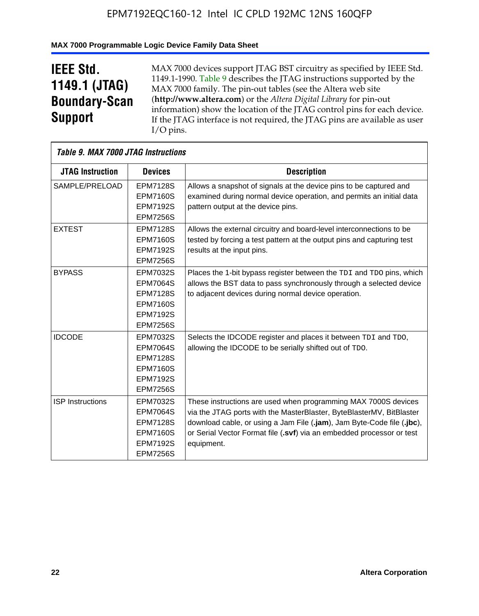#### **MAX 7000 Programmable Logic Device Family Data Sheet**

## **IEEE Std. 1149.1 (JTAG) Boundary-Scan Support**

 $\mathsf{r}$ 

MAX 7000 devices support JTAG BST circuitry as specified by IEEE Std. 1149.1-1990. Table 9 describes the JTAG instructions supported by the MAX 7000 family. The pin-out tables (see the Altera web site (**http://www.altera.com**) or the *Altera Digital Library* for pin-out information) show the location of the JTAG control pins for each device. If the JTAG interface is not required, the JTAG pins are available as user I/O pins.

| <b>Table 9. MAX 7000 JTAG Instructions</b> |                 |                                                                        |
|--------------------------------------------|-----------------|------------------------------------------------------------------------|
| <b>JTAG Instruction</b>                    | <b>Devices</b>  | <b>Description</b>                                                     |
| SAMPLE/PRELOAD                             | <b>EPM7128S</b> | Allows a snapshot of signals at the device pins to be captured and     |
|                                            | <b>EPM7160S</b> | examined during normal device operation, and permits an initial data   |
|                                            | <b>EPM7192S</b> | pattern output at the device pins.                                     |
|                                            | <b>EPM7256S</b> |                                                                        |
| <b>EXTEST</b>                              | <b>EPM7128S</b> | Allows the external circuitry and board-level interconnections to be   |
|                                            | <b>EPM7160S</b> | tested by forcing a test pattern at the output pins and capturing test |
|                                            | <b>EPM7192S</b> | results at the input pins.                                             |
|                                            | <b>EPM7256S</b> |                                                                        |
| <b>BYPASS</b>                              | EPM7032S        | Places the 1-bit bypass register between the TDI and TDO pins, which   |
|                                            | <b>EPM7064S</b> | allows the BST data to pass synchronously through a selected device    |
|                                            | <b>EPM7128S</b> | to adjacent devices during normal device operation.                    |
|                                            | <b>EPM7160S</b> |                                                                        |
|                                            | <b>EPM7192S</b> |                                                                        |
|                                            | <b>EPM7256S</b> |                                                                        |
| <b>IDCODE</b>                              | <b>EPM7032S</b> | Selects the IDCODE register and places it between TDI and TDO,         |
|                                            | <b>EPM7064S</b> | allowing the IDCODE to be serially shifted out of TDO.                 |
|                                            | <b>EPM7128S</b> |                                                                        |
|                                            | <b>EPM7160S</b> |                                                                        |
|                                            | <b>EPM7192S</b> |                                                                        |
|                                            | <b>EPM7256S</b> |                                                                        |
| <b>ISP Instructions</b>                    | EPM7032S        | These instructions are used when programming MAX 7000S devices         |
|                                            | <b>EPM7064S</b> | via the JTAG ports with the MasterBlaster, ByteBlasterMV, BitBlaster   |
|                                            | <b>EPM7128S</b> | download cable, or using a Jam File (.jam), Jam Byte-Code file (.jbc), |
|                                            | <b>EPM7160S</b> | or Serial Vector Format file (.svf) via an embedded processor or test  |
|                                            | <b>EPM7192S</b> | equipment.                                                             |
|                                            | <b>EPM7256S</b> |                                                                        |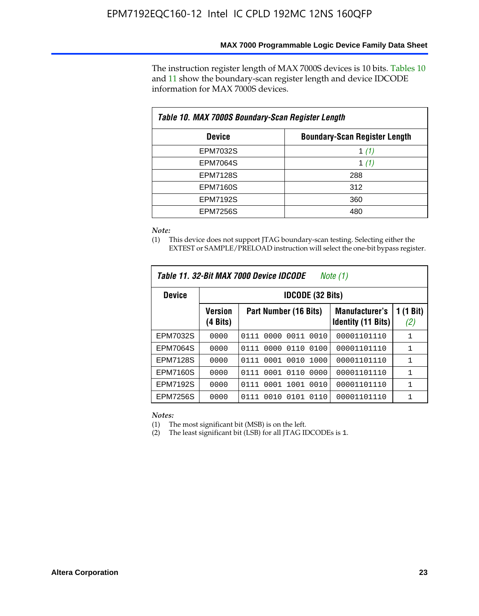The instruction register length of MAX 7000S devices is 10 bits. Tables 10 and 11 show the boundary-scan register length and device IDCODE information for MAX 7000S devices.

| Table 10. MAX 7000S Boundary-Scan Register Length |                                      |  |  |  |  |  |
|---------------------------------------------------|--------------------------------------|--|--|--|--|--|
| <b>Device</b>                                     | <b>Boundary-Scan Register Length</b> |  |  |  |  |  |
| <b>EPM7032S</b>                                   | 1 $(1)$                              |  |  |  |  |  |
| <b>EPM7064S</b>                                   | 1 $(1)$                              |  |  |  |  |  |
| <b>EPM7128S</b>                                   | 288                                  |  |  |  |  |  |
| <b>EPM7160S</b>                                   | 312                                  |  |  |  |  |  |
| <b>EPM7192S</b>                                   | 360                                  |  |  |  |  |  |
| <b>EPM7256S</b>                                   | 480                                  |  |  |  |  |  |

*Note:*

(1) This device does not support JTAG boundary-scan testing. Selecting either the EXTEST or SAMPLE/PRELOAD instruction will select the one-bit bypass register.

|                 |                            | Table 11, 32-Bit MAX 7000 Device IDCODE | Note (1)                                           |                  |  |  |  |
|-----------------|----------------------------|-----------------------------------------|----------------------------------------------------|------------------|--|--|--|
| <b>Device</b>   |                            | <b>IDCODE (32 Bits)</b>                 |                                                    |                  |  |  |  |
|                 | <b>Version</b><br>(4 Bits) | Part Number (16 Bits)                   | <b>Manufacturer's</b><br><b>Identity (11 Bits)</b> | 1 (1 Bit)<br>(2) |  |  |  |
| EPM7032S        | 0000                       | 0010<br>0111<br>0000<br>0011            | 00001101110                                        | 1                |  |  |  |
| <b>EPM7064S</b> | 0000                       | 0000<br>0110<br>0100<br>0111            | 00001101110                                        | 1                |  |  |  |
| <b>EPM7128S</b> | 0000                       | 0001 0010<br>1000<br>0111               | 00001101110                                        | 1                |  |  |  |
| <b>EPM7160S</b> | 0000                       | 0001<br>0110<br>0000<br>0111            | 00001101110                                        | $\mathbf{1}$     |  |  |  |
| <b>EPM7192S</b> | 0000                       | 1001<br>0010<br>0111<br>0001            | 00001101110                                        | 1                |  |  |  |
| EPM7256S        | 0000                       | 0111<br>0010<br>0101<br>0110            | 00001101110                                        | 1                |  |  |  |

*Notes:*

(1) The most significant bit (MSB) is on the left.

(2) The least significant bit (LSB) for all JTAG IDCODEs is 1.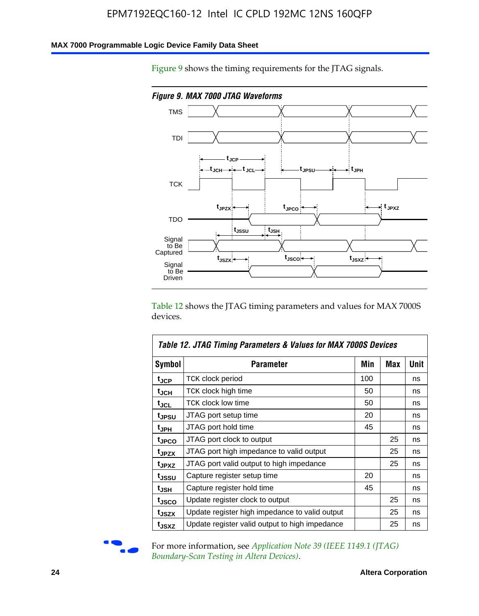#### **MAX 7000 Programmable Logic Device Family Data Sheet**

Figure 9 shows the timing requirements for the JTAG signals.



Table 12 shows the JTAG timing parameters and values for MAX 7000S devices.

|                   | Table 12. JTAG Timing Parameters & Values for MAX 7000S Devices |     |     |             |
|-------------------|-----------------------------------------------------------------|-----|-----|-------------|
| <b>Symbol</b>     | Parameter                                                       | Min | Max | <b>Unit</b> |
| t <sub>JCP</sub>  | TCK clock period                                                | 100 |     | ns          |
| t <sub>JCH</sub>  | TCK clock high time                                             | 50  |     | ns          |
| $t_{\sf JCL}$     | <b>TCK clock low time</b>                                       | 50  |     | ns          |
| tjpsu             | JTAG port setup time                                            | 20  |     | ns          |
| t <sub>JPH</sub>  | JTAG port hold time                                             | 45  |     | ns          |
| tjpco             | JTAG port clock to output                                       |     | 25  | ns          |
| t <sub>JPZX</sub> | JTAG port high impedance to valid output                        |     | 25  | ns          |
| t <sub>JPXZ</sub> | JTAG port valid output to high impedance                        |     | 25  | ns          |
| t <sub>JSSU</sub> | Capture register setup time                                     | 20  |     | ns          |
| t <sub>JSH</sub>  | Capture register hold time                                      | 45  |     | ns          |
| tjsco             | Update register clock to output                                 |     | 25  | ns          |
| t <sub>JSZX</sub> | Update register high impedance to valid output                  |     | 25  | ns          |
| tjsxz             | Update register valid output to high impedance                  |     | 25  | ns          |



For more information, see *Application Note 39 (IEEE 1149.1 (JTAG) Boundary-Scan Testing in Altera Devices)*.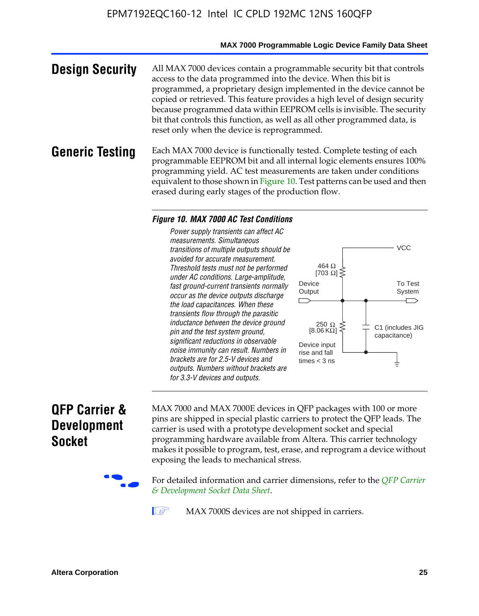#### **MAX 7000 Programmable Logic Device Family Data Sheet**

**Design Security** All MAX 7000 devices contain a programmable security bit that controls access to the data programmed into the device. When this bit is programmed, a proprietary design implemented in the device cannot be copied or retrieved. This feature provides a high level of design security because programmed data within EEPROM cells is invisible. The security bit that controls this function, as well as all other programmed data, is reset only when the device is reprogrammed.

#### **Generic Testing** Each MAX 7000 device is functionally tested. Complete testing of each programmable EEPROM bit and all internal logic elements ensures 100% programming yield. AC test measurements are taken under conditions equivalent to those shown in Figure 10. Test patterns can be used and then erased during early stages of the production flow.

#### *Figure 10. MAX 7000 AC Test Conditions*

*Power supply transients can affect AC measurements. Simultaneous transitions of multiple outputs should be avoided for accurate measurement. Threshold tests must not be performed under AC conditions. Large-amplitude, fast ground-current transients normally occur as the device outputs discharge the load capacitances. When these transients flow through the parasitic inductance between the device ground pin and the test system ground, significant reductions in observable noise immunity can result. Numbers in brackets are for 2.5-V devices and outputs. Numbers without brackets are for 3.3-V devices and outputs.*



### **QFP Carrier & Development Socket**

MAX 7000 and MAX 7000E devices in QFP packages with 10[0 or more](http://www.altera.com/literature/ds/dsqfp.pdf)  [pins are shipped in special plas](http://www.altera.com/literature/ds/dsqfp.pdf)tic carriers to protect the QFP leads. The carrier is used with a prototype development socket and special programming hardware available from Altera. This carrier technology makes it possible to program, test, erase, and reprogram a device without exposing the leads to mechanical stress.

For detailed information and carrier dimensions, refer to the *QFP Carrier & Development Socket Data Sheet*.

MAX 7000S devices are not shipped in carriers.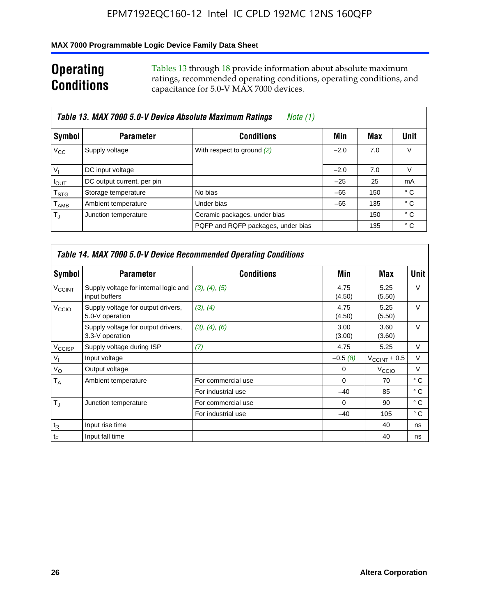#### **MAX 7000 Programmable Logic Device Family Data Sheet**

### **Operating Conditions**

Tables 13 through 18 provide information about absolute maximum ratings, recommended operating conditions, operating conditions, and capacitance for 5.0-V MAX 7000 devices.

| Table 13. MAX 7000 5.0-V Device Absolute Maximum Ratings<br>Note (1)<br>Unit<br>Symbol<br><b>Conditions</b><br><b>Parameter</b><br>Min<br>Max<br>V<br>$V_{\rm CC}$<br>Supply voltage<br>With respect to ground (2)<br>7.0<br>$-2.0$<br>$V_{1}$<br>V<br>DC input voltage<br>7.0<br>$-2.0$<br>DC output current, per pin<br>$-25$<br>25<br>mA<br>$I_{\text{OUT}}$<br>° C<br>No bias<br>$-65$<br>$\mathsf{T}_{\text{STG}}$<br>Storage temperature<br>150 |                      |                                    |       |     |     |
|-------------------------------------------------------------------------------------------------------------------------------------------------------------------------------------------------------------------------------------------------------------------------------------------------------------------------------------------------------------------------------------------------------------------------------------------------------|----------------------|------------------------------------|-------|-----|-----|
|                                                                                                                                                                                                                                                                                                                                                                                                                                                       |                      |                                    |       |     |     |
|                                                                                                                                                                                                                                                                                                                                                                                                                                                       |                      |                                    |       |     |     |
|                                                                                                                                                                                                                                                                                                                                                                                                                                                       |                      |                                    |       |     |     |
|                                                                                                                                                                                                                                                                                                                                                                                                                                                       |                      |                                    |       |     |     |
|                                                                                                                                                                                                                                                                                                                                                                                                                                                       |                      |                                    |       |     |     |
| $\mathsf{T}_{\mathsf{AMB}}$                                                                                                                                                                                                                                                                                                                                                                                                                           | Ambient temperature  | Under bias                         | $-65$ | 135 | ° C |
| $T_{\rm J}$                                                                                                                                                                                                                                                                                                                                                                                                                                           | Junction temperature | Ceramic packages, under bias       |       | 150 | ° C |
|                                                                                                                                                                                                                                                                                                                                                                                                                                                       |                      | PQFP and RQFP packages, under bias |       | 135 | ° C |

|                          | <b>Table 14. MAX 7000 5.0-V Device Recommended Operating Conditions</b> |                    |                |                       |              |  |  |  |
|--------------------------|-------------------------------------------------------------------------|--------------------|----------------|-----------------------|--------------|--|--|--|
| Symbol                   | <b>Parameter</b>                                                        | <b>Conditions</b>  | Min            | Max                   | <b>Unit</b>  |  |  |  |
| <b>V<sub>CCINT</sub></b> | Supply voltage for internal logic and<br>input buffers                  | (3), (4), (5)      | 4.75<br>(4.50) | 5.25<br>(5.50)        | $\vee$       |  |  |  |
| V <sub>CCIO</sub>        | Supply voltage for output drivers,<br>5.0-V operation                   | (3), (4)           | 4.75<br>(4.50) | 5.25<br>(5.50)        | $\vee$       |  |  |  |
|                          | Supply voltage for output drivers,<br>3.3-V operation                   | (3), (4), (6)      | 3.00<br>(3.00) | 3.60<br>(3.60)        | $\vee$       |  |  |  |
| V <sub>CCISP</sub>       | Supply voltage during ISP                                               | (7)                | 4.75           | 5.25                  | V            |  |  |  |
| $V_{1}$                  | Input voltage                                                           |                    | $-0.5(8)$      | $V_{\rm CCINT}$ + 0.5 | V            |  |  |  |
| $V_{\rm O}$              | Output voltage                                                          |                    | 0              | V <sub>CCIO</sub>     | V            |  |  |  |
| T <sub>A</sub>           | Ambient temperature                                                     | For commercial use | $\Omega$       | 70                    | $^{\circ}$ C |  |  |  |
|                          |                                                                         | For industrial use | $-40$          | 85                    | $^{\circ}$ C |  |  |  |
| $T_{\rm J}$              | Junction temperature                                                    | For commercial use | $\Omega$       | 90                    | ° C          |  |  |  |
|                          |                                                                         | For industrial use | $-40$          | 105                   | ° C          |  |  |  |
| $t_{\mathsf{R}}$         | Input rise time                                                         |                    |                | 40                    | ns           |  |  |  |
| $t_{\mathsf{F}}$         | Input fall time                                                         |                    |                | 40                    | ns           |  |  |  |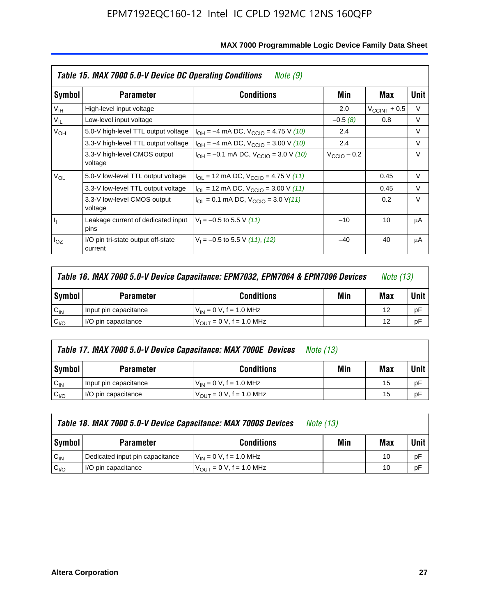|                 | Table 15. MAX 7000 5.0-V Device DC Operating Conditions<br>Note (9) |                                                                                                                                                                                                                                                                                                                                                                                                                                                                              |       |                       |        |  |  |  |
|-----------------|---------------------------------------------------------------------|------------------------------------------------------------------------------------------------------------------------------------------------------------------------------------------------------------------------------------------------------------------------------------------------------------------------------------------------------------------------------------------------------------------------------------------------------------------------------|-------|-----------------------|--------|--|--|--|
| Symbol          | <b>Parameter</b>                                                    | <b>Conditions</b><br>Min<br>Max<br>2.0<br>$-0.5(8)$<br>$I_{OH} = -4$ mA DC, $V_{CClO} = 4.75$ V (10)<br>2.4<br>2.4<br>$I_{OH} = -4$ mA DC, $V_{CClO} = 3.00$ V (10)<br>$I_{OH} = -0.1$ mA DC, $V_{CClO} = 3.0$ V (10)<br>$V_{CCD}$ – 0.2<br>$I_{\text{OI}}$ = 12 mA DC, $V_{\text{CCIO}}$ = 4.75 V (11)<br>$I_{OL}$ = 12 mA DC, $V_{CCIO}$ = 3.00 V (11)<br>$I_{\text{OI}} = 0.1 \text{ mA DC}, V_{\text{CCIO}} = 3.0 \text{ V} (11)$<br>$V_1 = -0.5$ to 5.5 V (11)<br>$-10$ |       |                       |        |  |  |  |
| V <sub>IH</sub> | High-level input voltage                                            |                                                                                                                                                                                                                                                                                                                                                                                                                                                                              |       | $V_{\rm CCINT}$ + 0.5 | V      |  |  |  |
| $V_{IL}$        | Low-level input voltage                                             |                                                                                                                                                                                                                                                                                                                                                                                                                                                                              |       | 0.8                   | V      |  |  |  |
| $V_{OH}$        | 5.0-V high-level TTL output voltage                                 |                                                                                                                                                                                                                                                                                                                                                                                                                                                                              |       |                       | V      |  |  |  |
|                 | 3.3-V high-level TTL output voltage                                 |                                                                                                                                                                                                                                                                                                                                                                                                                                                                              |       |                       | V      |  |  |  |
|                 | 3.3-V high-level CMOS output<br>voltage                             |                                                                                                                                                                                                                                                                                                                                                                                                                                                                              |       |                       | $\vee$ |  |  |  |
| $V_{OL}$        | 5.0-V low-level TTL output voltage                                  |                                                                                                                                                                                                                                                                                                                                                                                                                                                                              |       | 0.45                  | V      |  |  |  |
|                 | 3.3-V low-level TTL output voltage                                  |                                                                                                                                                                                                                                                                                                                                                                                                                                                                              |       | 0.45                  | $\vee$ |  |  |  |
|                 | 3.3-V low-level CMOS output<br>voltage                              |                                                                                                                                                                                                                                                                                                                                                                                                                                                                              |       | 0.2                   | $\vee$ |  |  |  |
| 4               | Leakage current of dedicated input<br>pins                          |                                                                                                                                                                                                                                                                                                                                                                                                                                                                              |       | 10                    | μA     |  |  |  |
| $I_{OZ}$        | I/O pin tri-state output off-state<br>current                       | $V_1 = -0.5$ to 5.5 V (11), (12)                                                                                                                                                                                                                                                                                                                                                                                                                                             | $-40$ | 40                    | μA     |  |  |  |

|                  | Table 16. MAX 7000 5.0-V Device Capacitance: EPM7032, EPM7064 & EPM7096 Devices<br><i>Note (13)</i> |                                     |  |    |             |
|------------------|-----------------------------------------------------------------------------------------------------|-------------------------------------|--|----|-------------|
| Symbol           | Min<br><b>Conditions</b><br><b>Parameter</b>                                                        |                                     |  |    | <b>Unit</b> |
| $C_{IN}$         | Input pin capacitance                                                                               | $V_{IN} = 0 V$ , f = 1.0 MHz        |  | 12 | рF          |
| C <sub>I/O</sub> | I/O pin capacitance                                                                                 | $V_{\text{OUT}} = 0$ V, f = 1.0 MHz |  | 12 | рF          |

|                  | Table 17. MAX 7000 5.0-V Device Capacitance: MAX 7000E Devices<br><i>Note (13)</i> |                                |     |     |        |  |
|------------------|------------------------------------------------------------------------------------|--------------------------------|-----|-----|--------|--|
| Symbol           | <b>Parameter</b>                                                                   | <b>Conditions</b>              | Min | Max | Unit I |  |
| $C_{IN}$         | Input pin capacitance                                                              | $V_{1N} = 0 V$ , f = 1.0 MHz   |     | 15  | pF     |  |
| C <sub>I/O</sub> | I/O pin capacitance                                                                | $V_{OIII} = 0 V$ , f = 1.0 MHz |     | 15  | pF     |  |

|                  | Table 18. MAX 7000 5.0-V Device Capacitance: MAX 7000S Devices | <i>Note (13)</i>                    |     |     |        |
|------------------|----------------------------------------------------------------|-------------------------------------|-----|-----|--------|
| Symbol           | <b>Parameter</b>                                               | <b>Conditions</b>                   | Min | Max | Unit I |
| $C_{IN}$         | Dedicated input pin capacitance                                | $V_{IN} = 0 V$ , f = 1.0 MHz        |     | 10  | pF     |
| C <sub>I/O</sub> | I/O pin capacitance                                            | $V_{\text{OUT}} = 0$ V, f = 1.0 MHz |     | 10  | pF     |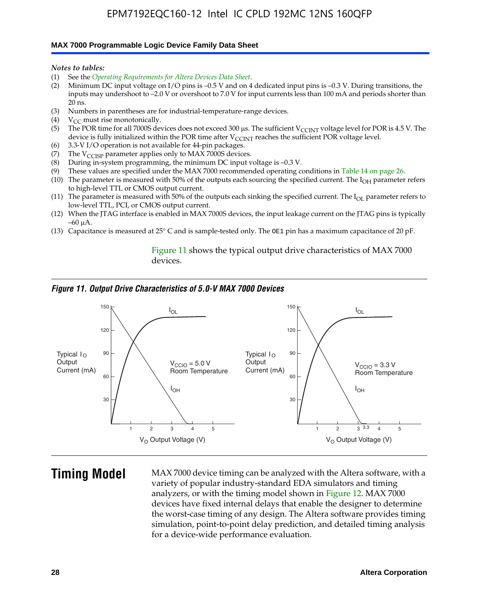#### **MAX 7000 Programmable Logic Device Family Data Sheet**

*Notes to tables:*

- (1) See the *Operating Requirements for Altera Devices Data Sheet*.
- (2) Minimum DC input voltage on I/O pins is –0.5 V and on 4 dedicated input pins is –0.3 V. During transitions, the inputs may undershoot to –2.0 V or overshoot to 7.0 V for input currents less than 100 mA and periods shorter than  $20$  ns.
- (3) Numbers in parentheses are for industrial-temperature-range devices.<br>(4)  $V_{CC}$  must rise monotonically.
- $V_{CC}$  must rise monotonically.
- (5) The POR time for all 7000S devices does not exceed 300 µs. The sufficient V<sub>CCINT</sub> voltage level for POR is 4.5 V. The device is fully initialized within the POR time after  $V_{\text{CCINT}}$  reaches the sufficient POR voltage level.
- (6) 3.3-V I/O operation is not available for 44-pin packages.
- (7) The  $V_{\text{CCISP}}$  parameter applies only to MAX 7000S devices.
- (8) During in-system programming, the minimum DC input voltage is –0.3 V.
- (9) These values are specified under the MAX 7000 recommended operating conditions in Table 14 on page 26.
- (10) The parameter is measured with 50% of the outputs each sourcing the specified current. The  $I_{OH}$  parameter refers to high-level TTL or CMOS output current.
- (11) The parameter is measured with 50% of the outputs each sinking the specified current. The  $I_{OL}$  parameter refers to low-level TTL, PCI, or CMOS output current.
- (12) When the JTAG interface is enabled in MAX 7000S devices, the input leakage current on the JTAG pins is typically –60 μA.
- (13) Capacitance is measured at 25° C and is sample-tested only. The OE1 pin has a maximum capacitance of 20 pF.

Figure 11 shows the typical output drive characteristics of MAX 7000 devices.

#### *Figure 11. Output Drive Characteristics of 5.0-V MAX 7000 Devices*



**Timing Model** MAX 7000 device timing can be analyzed with the Altera software, with a variety of popular industry-standard EDA simulators and timing analyzers, or with the timing model shown in Figure 12. MAX 7000 devices have fixed internal delays that enable the designer to determine the worst-case timing of any design. The Altera software provides timing simulation, point-to-point delay prediction, and detailed timing analysis for a device-wide performance evaluation.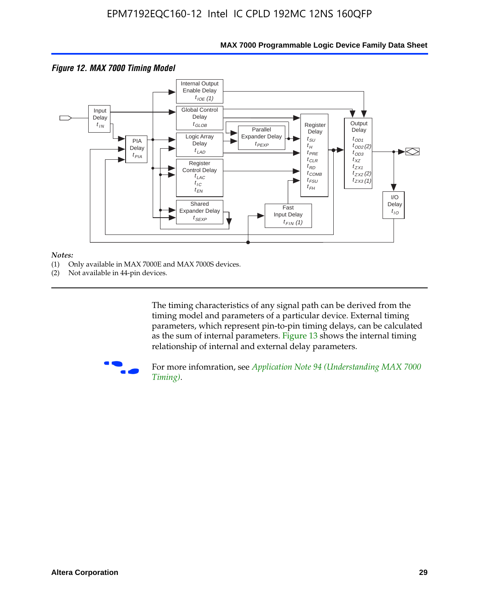

#### **MAX 7000 Programmable Logic Device Family Data Sheet**

#### *Notes:*

- (1) Only available in MAX 7000E and MAX 7000S devices.
- (2) Not available in 44-pin devices.

[The tim](http://www.altera.com/literature/an/an094.pdf)ing characteristics [of any signal path can be derived from the](http://www.altera.com/literature/an/an094.pdf)  timing model and parameters of a particular device. External timing parameters, which represent pin-to-pin timing delays, can be calculated as the sum of internal parameters. Figure 13 shows the internal timing relationship of internal and external delay parameters.



For more infomration, see *Application Note 94 (Understanding MAX 7000 Timing)*.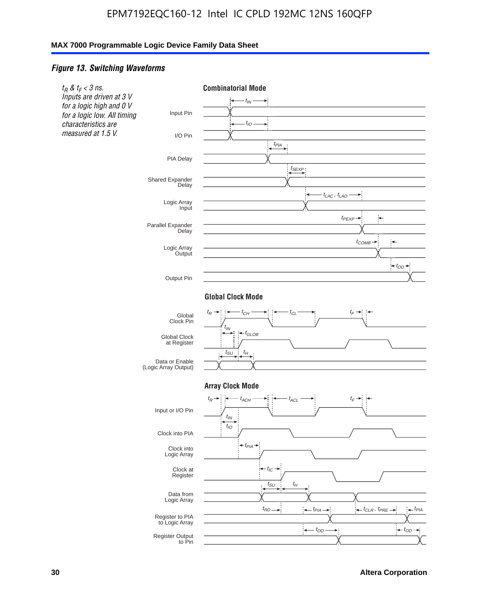#### *Figure 13. Switching Waveforms*

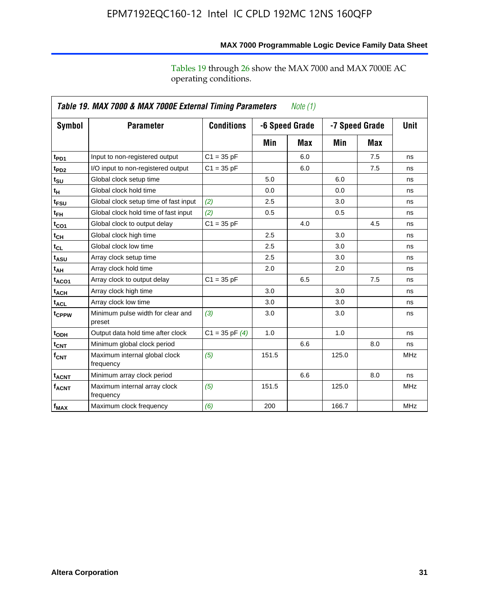operating conditions.

|                            | Table 19. MAX 7000 & MAX 7000E External Timing Parameters<br><i>Note</i> $(1)$ |                    |       |                                  |       |             |            |  |
|----------------------------|--------------------------------------------------------------------------------|--------------------|-------|----------------------------------|-------|-------------|------------|--|
| Symbol                     | <b>Parameter</b>                                                               | <b>Conditions</b>  |       | -7 Speed Grade<br>-6 Speed Grade |       | <b>Unit</b> |            |  |
|                            |                                                                                |                    | Min   | Max                              | Min   | Max         |            |  |
| t <sub>PD1</sub>           | Input to non-registered output                                                 | $C1 = 35 pF$       |       | 6.0                              |       | 7.5         | ns         |  |
| t <sub>PD2</sub>           | I/O input to non-registered output                                             | $C1 = 35 pF$       |       | 6.0                              |       | 7.5         | ns         |  |
| t <sub>su</sub>            | Global clock setup time                                                        |                    | 5.0   |                                  | 6.0   |             | ns         |  |
| tμ                         | Global clock hold time                                                         |                    | 0.0   |                                  | 0.0   |             | ns         |  |
| t <sub>FSU</sub>           | Global clock setup time of fast input                                          | (2)                | 2.5   |                                  | 3.0   |             | ns         |  |
| t <sub>FH</sub>            | Global clock hold time of fast input                                           | (2)                | 0.5   |                                  | 0.5   |             | ns         |  |
| t <sub>CO1</sub>           | Global clock to output delay                                                   | $C1 = 35 pF$       |       | 4.0                              |       | 4.5         | ns         |  |
| $t_{\mathsf{CH}}$          | Global clock high time                                                         |                    | 2.5   |                                  | 3.0   |             | ns         |  |
| $t_{CL}$                   | Global clock low time                                                          |                    | 2.5   |                                  | 3.0   |             | ns         |  |
| t <sub>ASU</sub>           | Array clock setup time                                                         |                    | 2.5   |                                  | 3.0   |             | ns         |  |
| $t_{\mathsf{A}\mathsf{H}}$ | Array clock hold time                                                          |                    | 2.0   |                                  | 2.0   |             | ns         |  |
| t <sub>ACO1</sub>          | Array clock to output delay                                                    | $C1 = 35 pF$       |       | 6.5                              |       | 7.5         | ns         |  |
| t <sub>АСН</sub>           | Array clock high time                                                          |                    | 3.0   |                                  | 3.0   |             | ns         |  |
| t <sub>ACL</sub>           | Array clock low time                                                           |                    | 3.0   |                                  | 3.0   |             | ns         |  |
| t <sub>CPPW</sub>          | Minimum pulse width for clear and<br>preset                                    | (3)                | 3.0   |                                  | 3.0   |             | ns         |  |
| t <sub>ODH</sub>           | Output data hold time after clock                                              | $C1 = 35$ pF $(4)$ | 1.0   |                                  | 1.0   |             | ns         |  |
| $t_{\mathsf{CNT}}$         | Minimum global clock period                                                    |                    |       | 6.6                              |       | 8.0         | ns         |  |
| $f_{\mathsf{CNT}}$         | Maximum internal global clock<br>frequency                                     | (5)                | 151.5 |                                  | 125.0 |             | <b>MHz</b> |  |
| <b>t<sub>ACNT</sub></b>    | Minimum array clock period                                                     |                    |       | 6.6                              |       | 8.0         | ns         |  |
| <b>f<sub>ACNT</sub></b>    | Maximum internal array clock<br>frequency                                      | (5)                | 151.5 |                                  | 125.0 |             | <b>MHz</b> |  |
| $f_{MAX}$                  | Maximum clock frequency                                                        | (6)                | 200   |                                  | 166.7 |             | <b>MHz</b> |  |

**MAX 7000 Programmable Logic Device Family Data Sheet**

Tables 19 through 26 show the MAX 7000 and MAX 7000E AC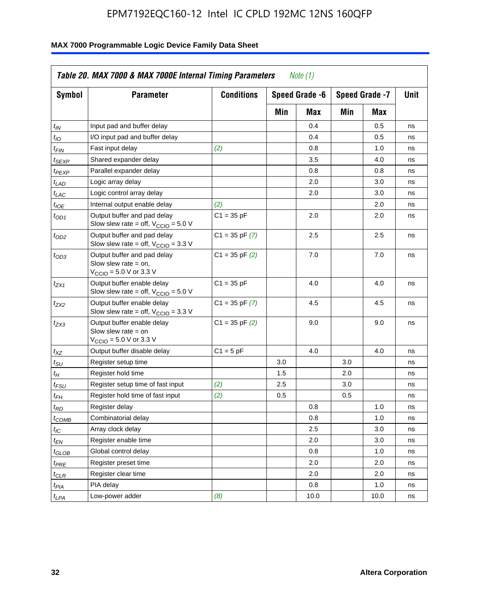| <b>Symbol</b>               | <b>Parameter</b>                                                                                             | <b>Conditions</b>  |     | Speed Grade -6 |            | Speed Grade -7 | Unit |
|-----------------------------|--------------------------------------------------------------------------------------------------------------|--------------------|-----|----------------|------------|----------------|------|
|                             |                                                                                                              |                    | Min | Max            | Min<br>Max |                |      |
| $t_{IN}$                    | Input pad and buffer delay                                                                                   |                    |     | 0.4            |            | 0.5            | ns   |
| $t_{IO}$                    | I/O input pad and buffer delay                                                                               |                    |     | 0.4            |            | 0.5            | ns   |
| $t_{FIN}$                   | Fast input delay                                                                                             | (2)                |     | 0.8            |            | 1.0            | ns   |
| <sup>t</sup> SEXP           | Shared expander delay                                                                                        |                    |     | 3.5            |            | 4.0            | ns   |
| t <sub>PEXP</sub>           | Parallel expander delay                                                                                      |                    |     | 0.8            |            | 0.8            | ns   |
| $t_{LAD}$                   | Logic array delay                                                                                            |                    |     | 2.0            |            | 3.0            | ns   |
| $t_{LAC}$                   | Logic control array delay                                                                                    |                    |     | 2.0            |            | 3.0            | ns   |
| $t_{IOE}$                   | Internal output enable delay                                                                                 | (2)                |     |                |            | 2.0            | ns   |
| $t_{OD1}$                   | Output buffer and pad delay<br>Slow slew rate = off, $V_{\text{CCIO}} = 5.0 V$                               | $C1 = 35 pF$       |     | 2.0            |            | 2.0            | ns   |
| $t_{OD2}$                   | Output buffer and pad delay<br>Slow slew rate = off, $V_{\text{CCIO}} = 3.3$ V                               | $C1 = 35$ pF $(7)$ |     | 2.5            |            | 2.5            | ns   |
| $t_{OD3}$                   | Output buffer and pad delay<br>Slow slew rate $=$ on,<br>$V_{\text{CCIO}} = 5.0 \text{ V or } 3.3 \text{ V}$ | $C1 = 35$ pF $(2)$ |     | 7.0            |            | 7.0            | ns   |
| $t_{ZX1}$                   | Output buffer enable delay<br>Slow slew rate = off, $V_{\text{CCIO}} = 5.0 V$                                | $C1 = 35 pF$       |     | 4.0            |            | 4.0            | ns   |
| $t_{ZX2}$                   | Output buffer enable delay<br>Slow slew rate = off, $V_{\text{CCIO}} = 3.3 \text{ V}$                        | $C1 = 35$ pF $(7)$ |     | 4.5            |            | 4.5            | ns   |
| t <sub>ZX3</sub>            | Output buffer enable delay<br>Slow slew rate $=$ on<br>$V_{\text{CCIO}} = 5.0 \text{ V or } 3.3 \text{ V}$   | $C1 = 35$ pF $(2)$ |     | 9.0            |            | 9.0            | ns   |
| $t_{XZ}$                    | Output buffer disable delay                                                                                  | $C1 = 5 pF$        |     | 4.0            |            | 4.0            | ns   |
| $t_{\scriptstyle\text{SU}}$ | Register setup time                                                                                          |                    | 3.0 |                | 3.0        |                | ns   |
| $t_H$                       | Register hold time                                                                                           |                    | 1.5 |                | 2.0        |                | ns   |
| t <sub>FSU</sub>            | Register setup time of fast input                                                                            | (2)                | 2.5 |                | 3.0        |                | ns   |
| $t_{FH}$                    | Register hold time of fast input                                                                             | (2)                | 0.5 |                | 0.5        |                | ns   |
| t <sub>RD</sub>             | Register delay                                                                                               |                    |     | 0.8            |            | 1.0            | ns   |
| $t_{\mathsf{COMB}}$         | Combinatorial delay                                                                                          |                    |     | 0.8            |            | 1.0            | ns   |
| $t_{IC}$                    | Array clock delay                                                                                            |                    |     | 2.5            |            | 3.0            | ns   |
| $t_{EN}$                    | Register enable time                                                                                         |                    |     | 2.0            |            | 3.0            | ns   |
| t <sub>GLOB</sub>           | Global control delay                                                                                         |                    |     | 0.8            |            | 1.0            | ns   |
| $t_{PRE}$                   | Register preset time                                                                                         |                    |     | 2.0            |            | 2.0            | ns   |
| $t_{\sf CLR}$               | Register clear time                                                                                          |                    |     | 2.0            |            | 2.0            | ns   |
| $t_{PIA}$                   | PIA delay                                                                                                    |                    |     | 0.8            |            | 1.0            | ns   |
| $t_{LPA}$                   | Low-power adder                                                                                              | (8)                |     | 10.0           |            | 10.0           | ns   |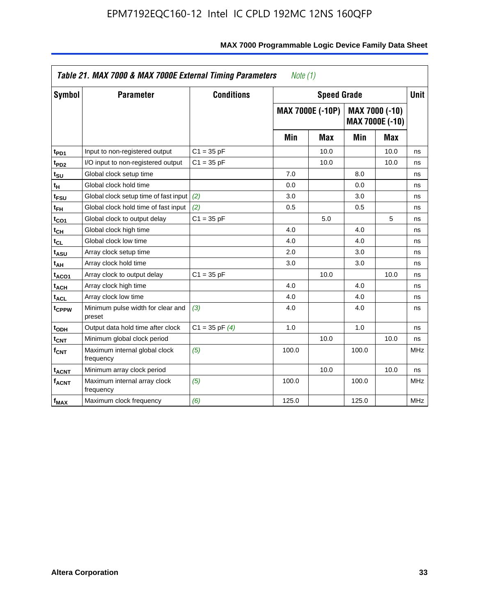| Symbol                  | <b>Parameter</b>                            | <b>Conditions</b>  |       | <b>Speed Grade</b>      |       |                                          | <b>Unit</b> |
|-------------------------|---------------------------------------------|--------------------|-------|-------------------------|-------|------------------------------------------|-------------|
|                         |                                             |                    |       | <b>MAX 7000E (-10P)</b> |       | MAX 7000 (-10)<br><b>MAX 7000E (-10)</b> |             |
|                         |                                             |                    | Min   | Max                     | Min   | Max                                      |             |
| t <sub>PD1</sub>        | Input to non-registered output              | $C1 = 35 pF$       |       | 10.0                    |       | 10.0                                     | ns          |
| t <sub>PD2</sub>        | I/O input to non-registered output          | $C1 = 35 pF$       |       | 10.0                    |       | 10.0                                     | ns          |
| t <sub>su</sub>         | Global clock setup time                     |                    | 7.0   |                         | 8.0   |                                          | ns          |
| tμ                      | Global clock hold time                      |                    | 0.0   |                         | 0.0   |                                          | ns          |
| t <sub>FSU</sub>        | Global clock setup time of fast input       | (2)                | 3.0   |                         | 3.0   |                                          | ns          |
| t <sub>FH</sub>         | Global clock hold time of fast input        | (2)                | 0.5   |                         | 0.5   |                                          | ns          |
| t <sub>CO1</sub>        | Global clock to output delay                | $C1 = 35 pF$       |       | 5.0                     |       | 5                                        | ns          |
| $t_{\mathsf{CH}}$       | Global clock high time                      |                    | 4.0   |                         | 4.0   |                                          | ns          |
| t <sub>CL</sub>         | Global clock low time                       |                    | 4.0   |                         | 4.0   |                                          | ns          |
| t <sub>ASU</sub>        | Array clock setup time                      |                    | 2.0   |                         | 3.0   |                                          | ns          |
| t <sub>АН</sub>         | Array clock hold time                       |                    | 3.0   |                         | 3.0   |                                          | ns          |
| t <sub>ACO1</sub>       | Array clock to output delay                 | $C1 = 35 pF$       |       | 10.0                    |       | 10.0                                     | ns          |
| t <sub>ACH</sub>        | Array clock high time                       |                    | 4.0   |                         | 4.0   |                                          | ns          |
| $t_{\sf ACL}$           | Array clock low time                        |                    | 4.0   |                         | 4.0   |                                          | ns          |
| t <sub>CPPW</sub>       | Minimum pulse width for clear and<br>preset | (3)                | 4.0   |                         | 4.0   |                                          | ns          |
| t <sub>ODH</sub>        | Output data hold time after clock           | $C1 = 35$ pF $(4)$ | 1.0   |                         | 1.0   |                                          | ns          |
| $t_{\mathsf{CNT}}$      | Minimum global clock period                 |                    |       | 10.0                    |       | 10.0                                     | ns          |
| $f_{\mathsf{CNT}}$      | Maximum internal global clock<br>frequency  | (5)                | 100.0 |                         | 100.0 |                                          | <b>MHz</b>  |
| <b>t<sub>ACNT</sub></b> | Minimum array clock period                  |                    |       | 10.0                    |       | 10.0                                     | ns          |
| f <sub>ACNT</sub>       | Maximum internal array clock<br>frequency   | (5)                | 100.0 |                         | 100.0 |                                          | <b>MHz</b>  |
| $f_{MAX}$               | Maximum clock frequency                     | (6)                | 125.0 |                         | 125.0 |                                          | <b>MHz</b>  |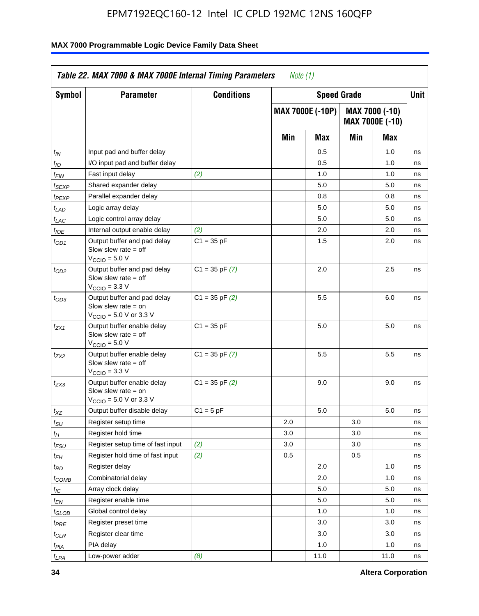| Symbol                      | <b>Parameter</b>                                                                                            | <b>Conditions</b>  |     | <b>Speed Grade</b>      |     |                                   | Unit |  |
|-----------------------------|-------------------------------------------------------------------------------------------------------------|--------------------|-----|-------------------------|-----|-----------------------------------|------|--|
|                             |                                                                                                             |                    |     | <b>MAX 7000E (-10P)</b> |     | MAX 7000 (-10)<br>MAX 7000E (-10) |      |  |
|                             |                                                                                                             |                    |     | Min                     | Max | Min                               | Max  |  |
| $t_{IN}$                    | Input pad and buffer delay                                                                                  |                    |     | 0.5                     |     | 1.0                               | ns   |  |
| $t_{IO}$                    | I/O input pad and buffer delay                                                                              |                    |     | 0.5                     |     | 1.0                               | ns   |  |
| t <sub>FIN</sub>            | Fast input delay                                                                                            | (2)                |     | 1.0                     |     | 1.0                               | ns   |  |
| $t_{SEXP}$                  | Shared expander delay                                                                                       |                    |     | 5.0                     |     | 5.0                               | ns   |  |
| $t_{PEXP}$                  | Parallel expander delay                                                                                     |                    |     | 0.8                     |     | 0.8                               | ns   |  |
| t <sub>LAD</sub>            | Logic array delay                                                                                           |                    |     | 5.0                     |     | 5.0                               | ns   |  |
| $t_{LAC}$                   | Logic control array delay                                                                                   |                    |     | 5.0                     |     | 5.0                               | ns   |  |
| $t_{IOE}$                   | Internal output enable delay                                                                                | (2)                |     | 2.0                     |     | 2.0                               | ns   |  |
| $t_{OD1}$                   | Output buffer and pad delay<br>Slow slew rate $=$ off<br>V <sub>CCIO</sub> = 5.0 V                          | $C1 = 35 pF$       |     | 1.5                     |     | 2.0                               | ns   |  |
| $t_{OD2}$                   | Output buffer and pad delay<br>Slow slew rate $=$ off<br>$V_{\text{CCIO}} = 3.3 \text{ V}$                  | $C1 = 35$ pF $(7)$ |     | 2.0                     |     | 2.5                               | ns   |  |
| $t_{OD3}$                   | Output buffer and pad delay<br>Slow slew rate $=$ on<br>$V_{\text{CCIO}} = 5.0 \text{ V or } 3.3 \text{ V}$ | $C1 = 35$ pF $(2)$ |     | 5.5                     |     | 6.0                               | ns   |  |
| t <sub>ZX1</sub>            | Output buffer enable delay<br>Slow slew rate $=$ off<br>$VCCIO = 5.0 V$                                     | $C1 = 35 pF$       |     | 5.0                     |     | 5.0                               | ns   |  |
| t <sub>ZX2</sub>            | Output buffer enable delay<br>Slow slew rate $=$ off<br>$VCCIO = 3.3 V$                                     | $C1 = 35$ pF $(7)$ |     | 5.5                     |     | 5.5                               | ns   |  |
| t <sub>ZX3</sub>            | Output buffer enable delay<br>Slow slew rate $=$ on<br>$V_{\text{CCIO}} = 5.0 \text{ V or } 3.3 \text{ V}$  | $C1 = 35$ pF $(2)$ |     | 9.0                     |     | 9.0                               | ns   |  |
| $t_{XZ}$                    | Output buffer disable delay                                                                                 | $C1 = 5 pF$        |     | 5.0                     |     | 5.0                               | ns   |  |
| $t_{\scriptstyle\text{SU}}$ | Register setup time                                                                                         |                    | 2.0 |                         | 3.0 |                                   | ns   |  |
| $t_H$                       | Register hold time                                                                                          |                    | 3.0 |                         | 3.0 |                                   | ns   |  |
| $t_{\it FSU}$               | Register setup time of fast input                                                                           | (2)                | 3.0 |                         | 3.0 |                                   | ns   |  |
| $t_{FH}$                    | Register hold time of fast input                                                                            | (2)                | 0.5 |                         | 0.5 |                                   | ns   |  |
| t <sub>RD</sub>             | Register delay                                                                                              |                    |     | 2.0                     |     | 1.0                               | ns   |  |
| $t_{COMB}$                  | Combinatorial delay                                                                                         |                    |     | 2.0                     |     | 1.0                               | ns   |  |
| ЧC                          | Array clock delay                                                                                           |                    |     | 5.0                     |     | 5.0                               | ns   |  |
| $t_{EN}$                    | Register enable time                                                                                        |                    |     | 5.0                     |     | 5.0                               | ns   |  |
| $t_{GLOB}$                  | Global control delay                                                                                        |                    |     | 1.0                     |     | 1.0                               | ns   |  |
| $t_{PRE}$                   | Register preset time                                                                                        |                    |     | 3.0                     |     | 3.0                               | ns   |  |
| $t_{CLR}$                   | Register clear time                                                                                         |                    |     | 3.0                     |     | 3.0                               | ns   |  |
| t <sub>PIA</sub>            | PIA delay                                                                                                   |                    |     | 1.0                     |     | 1.0                               | ns   |  |
| $t_{LPA}$                   | Low-power adder                                                                                             | (8)                |     | 11.0                    |     | 11.0                              | ns   |  |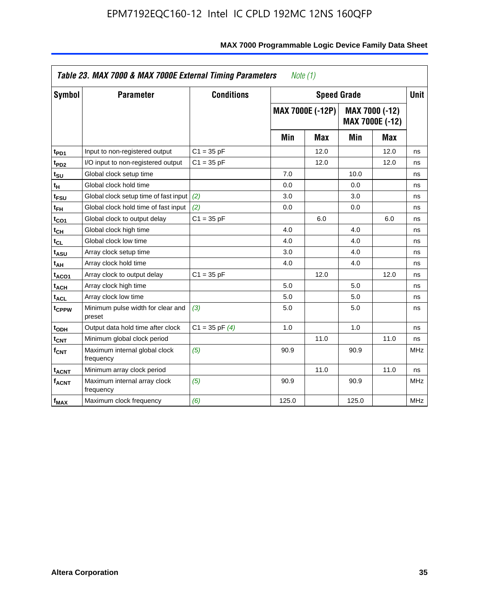| Symbol                       | <b>Parameter</b>                            | <b>Conditions</b>  |       | <b>Speed Grade</b>      |       |                                          | <b>Unit</b> |
|------------------------------|---------------------------------------------|--------------------|-------|-------------------------|-------|------------------------------------------|-------------|
|                              |                                             |                    |       | <b>MAX 7000E (-12P)</b> |       | MAX 7000 (-12)<br><b>MAX 7000E (-12)</b> |             |
|                              |                                             |                    | Min   | Max                     | Min   | <b>Max</b>                               |             |
| t <sub>PD1</sub>             | Input to non-registered output              | $C1 = 35 pF$       |       | 12.0                    |       | 12.0                                     | ns          |
| t <sub>PD2</sub>             | I/O input to non-registered output          | $C1 = 35 pF$       |       | 12.0                    |       | 12.0                                     | ns          |
| t <sub>su</sub>              | Global clock setup time                     |                    | 7.0   |                         | 10.0  |                                          | ns          |
| tμ                           | Global clock hold time                      |                    | 0.0   |                         | 0.0   |                                          | ns          |
| t <sub>FSU</sub>             | Global clock setup time of fast input       | (2)                | 3.0   |                         | 3.0   |                                          | ns          |
| $t_{FH}$                     | Global clock hold time of fast input        | (2)                | 0.0   |                         | 0.0   |                                          | ns          |
| t <sub>CO1</sub>             | Global clock to output delay                | $C1 = 35 pF$       |       | 6.0                     |       | 6.0                                      | ns          |
| $t_{\mathsf{CH}}$            | Global clock high time                      |                    | 4.0   |                         | 4.0   |                                          | ns          |
| $\mathfrak{t}_{\texttt{CL}}$ | Global clock low time                       |                    | 4.0   |                         | 4.0   |                                          | ns          |
| t <sub>ASU</sub>             | Array clock setup time                      |                    | 3.0   |                         | 4.0   |                                          | ns          |
| t <sub>АН</sub>              | Array clock hold time                       |                    | 4.0   |                         | 4.0   |                                          | ns          |
| t <sub>ACO1</sub>            | Array clock to output delay                 | $C1 = 35 pF$       |       | 12.0                    |       | 12.0                                     | ns          |
| t <sub>ACH</sub>             | Array clock high time                       |                    | 5.0   |                         | 5.0   |                                          | ns          |
| $t_{\sf ACL}$                | Array clock low time                        |                    | 5.0   |                         | 5.0   |                                          | ns          |
| t <sub>CPPW</sub>            | Minimum pulse width for clear and<br>preset | (3)                | 5.0   |                         | 5.0   |                                          | ns          |
| t <sub>ODH</sub>             | Output data hold time after clock           | $C1 = 35$ pF $(4)$ | 1.0   |                         | 1.0   |                                          | ns          |
| $t_{\mathsf{CNT}}$           | Minimum global clock period                 |                    |       | 11.0                    |       | 11.0                                     | ns          |
| $f_{\mathsf{CNT}}$           | Maximum internal global clock<br>frequency  | (5)                | 90.9  |                         | 90.9  |                                          | <b>MHz</b>  |
| <b>t<sub>ACNT</sub></b>      | Minimum array clock period                  |                    |       | 11.0                    |       | 11.0                                     | ns          |
| f <sub>ACNT</sub>            | Maximum internal array clock<br>frequency   | (5)                | 90.9  |                         | 90.9  |                                          | <b>MHz</b>  |
| f <sub>MAX</sub>             | Maximum clock frequency                     | (6)                | 125.0 |                         | 125.0 |                                          | MHz         |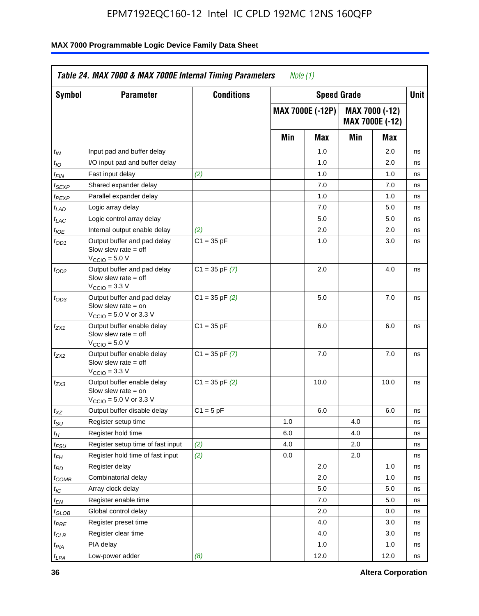| Symbol                      | <b>Parameter</b>                                                                                            | <b>Conditions</b>  |     | <b>Speed Grade</b>      |     |                                          | Unit |
|-----------------------------|-------------------------------------------------------------------------------------------------------------|--------------------|-----|-------------------------|-----|------------------------------------------|------|
|                             |                                                                                                             |                    |     | <b>MAX 7000E (-12P)</b> |     | MAX 7000 (-12)<br><b>MAX 7000E (-12)</b> |      |
|                             |                                                                                                             |                    | Min | <b>Max</b>              | Min | Max                                      |      |
| t <sub>IN</sub>             | Input pad and buffer delay                                                                                  |                    |     | 1.0                     |     | 2.0                                      | ns   |
| $t_{IO}$                    | I/O input pad and buffer delay                                                                              |                    |     | 1.0                     |     | 2.0                                      | ns   |
| $t_{\textit{FIN}}$          | Fast input delay                                                                                            | (2)                |     | 1.0                     |     | 1.0                                      | ns   |
| t <sub>SEXP</sub>           | Shared expander delay                                                                                       |                    |     | 7.0                     |     | 7.0                                      | ns   |
| t <sub>PEXP</sub>           | Parallel expander delay                                                                                     |                    |     | 1.0                     |     | 1.0                                      | ns   |
| $t_{LAD}$                   | Logic array delay                                                                                           |                    |     | 7.0                     |     | 5.0                                      | ns   |
| t <sub>LAC</sub>            | Logic control array delay                                                                                   |                    |     | 5.0                     |     | 5.0                                      | ns   |
| $t_{\text{IOE}}$            | Internal output enable delay                                                                                | (2)                |     | 2.0                     |     | 2.0                                      | ns   |
| $t_{OD1}$                   | Output buffer and pad delay<br>Slow slew rate $=$ off<br>$V_{\text{CCIO}} = 5.0 V$                          | $C1 = 35 pF$       |     | 1.0                     |     | 3.0                                      | ns   |
| $t_{OD2}$                   | Output buffer and pad delay<br>Slow slew rate $=$ off<br>$VCCIO = 3.3 V$                                    | $C1 = 35$ pF $(7)$ |     | 2.0                     |     | 4.0                                      | ns   |
| t <sub>OD3</sub>            | Output buffer and pad delay<br>Slow slew rate $=$ on<br>$V_{\text{CCIO}} = 5.0 \text{ V or } 3.3 \text{ V}$ | $C1 = 35$ pF $(2)$ |     | 5.0                     |     | 7.0                                      | ns   |
| $t_{ZX1}$                   | Output buffer enable delay<br>Slow slew rate $=$ off<br>$V_{\text{CCIO}} = 5.0 V$                           | $C1 = 35 pF$       |     | 6.0                     |     | 6.0                                      | ns   |
| tzx2                        | Output buffer enable delay<br>Slow slew rate $=$ off<br>$VCCIO = 3.3 V$                                     | $C1 = 35$ pF $(7)$ |     | 7.0                     |     | 7.0                                      | ns   |
| $t_{ZX3}$                   | Output buffer enable delay<br>Slow slew rate $=$ on<br>$V_{\text{CCIO}} = 5.0 \text{ V or } 3.3 \text{ V}$  | $C1 = 35$ pF $(2)$ |     | 10.0                    |     | 10.0                                     | ns   |
| $t_{XZ}$                    | Output buffer disable delay                                                                                 | $C1 = 5$ pF        |     | 6.0                     |     | 6.0                                      | ns   |
| $t_{\scriptstyle\text{SU}}$ | Register setup time                                                                                         |                    | 1.0 |                         | 4.0 |                                          | ns   |
| $t_H$                       | Register hold time                                                                                          |                    | 6.0 |                         | 4.0 |                                          | ns   |
| t <sub>FSU</sub>            | Register setup time of fast input                                                                           | (2)                | 4.0 |                         | 2.0 |                                          | ns   |
| t <sub>FH</sub>             | Register hold time of fast input                                                                            | (2)                | 0.0 |                         | 2.0 |                                          | ns   |
| $t_{RD}$                    | Register delay                                                                                              |                    |     | 2.0                     |     | 1.0                                      | ns   |
| $t_{COMB}$                  | Combinatorial delay                                                                                         |                    |     | 2.0                     |     | 1.0                                      | ns   |
| ЧC                          | Array clock delay                                                                                           |                    |     | 5.0                     |     | 5.0                                      | ns   |
| $t_{EN}$                    | Register enable time                                                                                        |                    |     | 7.0                     |     | 5.0                                      | ns   |
| $t_{GLOB}$                  | Global control delay                                                                                        |                    |     | 2.0                     |     | 0.0                                      | ns   |
| t <sub>PRE</sub>            | Register preset time                                                                                        |                    |     | 4.0                     |     | 3.0                                      | ns   |
| $t_{CLR}$                   | Register clear time                                                                                         |                    |     | 4.0                     |     | 3.0                                      | ns   |
| $t_{PIA}$                   | PIA delay                                                                                                   |                    |     | 1.0                     |     | 1.0                                      | ns   |
| t <sub>LPA</sub>            | Low-power adder                                                                                             | (8)                |     | 12.0                    |     | 12.0                                     | ns   |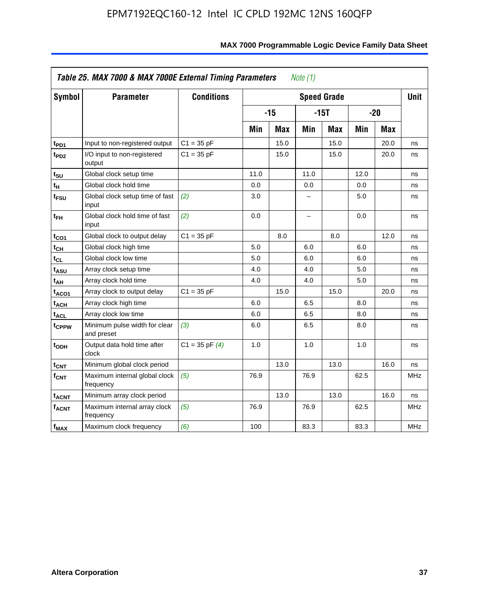| Symbol                  | <b>Parameter</b>                            | <b>Conditions</b>  |      |            |                          | <b>Speed Grade</b> |      |            | <b>Unit</b> |
|-------------------------|---------------------------------------------|--------------------|------|------------|--------------------------|--------------------|------|------------|-------------|
|                         |                                             |                    |      | $-15$      |                          | $-15T$             |      | $-20$      |             |
|                         |                                             |                    | Min  | <b>Max</b> | Min                      | Max                | Min  | <b>Max</b> |             |
| $t_{PD1}$               | Input to non-registered output              | $C1 = 35 pF$       |      | 15.0       |                          | 15.0               |      | 20.0       | ns          |
| $t_{PD2}$               | I/O input to non-registered<br>output       | $C1 = 35 pF$       |      | 15.0       |                          | 15.0               |      | 20.0       | ns          |
| tsu                     | Global clock setup time                     |                    | 11.0 |            | 11.0                     |                    | 12.0 |            | ns          |
| $t_H$                   | Global clock hold time                      |                    | 0.0  |            | 0.0                      |                    | 0.0  |            | ns          |
| t <sub>FSU</sub>        | Global clock setup time of fast<br>input    | (2)                | 3.0  |            |                          |                    | 5.0  |            | ns          |
| $t_{FH}$                | Global clock hold time of fast<br>input     | (2)                | 0.0  |            | $\overline{\phantom{0}}$ |                    | 0.0  |            | ns          |
| $t_{CO1}$               | Global clock to output delay                | $C1 = 35 pF$       |      | 8.0        |                          | 8.0                |      | 12.0       | ns          |
| $t_{CH}$                | Global clock high time                      |                    | 5.0  |            | 6.0                      |                    | 6.0  |            | ns          |
| $t_{CL}$                | Global clock low time                       |                    | 5.0  |            | 6.0                      |                    | 6.0  |            | ns          |
| t <sub>ASU</sub>        | Array clock setup time                      |                    | 4.0  |            | 4.0                      |                    | 5.0  |            | ns          |
| t <sub>АН</sub>         | Array clock hold time                       |                    | 4.0  |            | 4.0                      |                    | 5.0  |            | ns          |
| t <sub>ACO1</sub>       | Array clock to output delay                 | $C1 = 35 pF$       |      | 15.0       |                          | 15.0               |      | 20.0       | ns          |
| $t_{ACH}$               | Array clock high time                       |                    | 6.0  |            | 6.5                      |                    | 8.0  |            | ns          |
| <b>t<sub>ACL</sub></b>  | Array clock low time                        |                    | 6.0  |            | 6.5                      |                    | 8.0  |            | ns          |
| t <sub>CPPW</sub>       | Minimum pulse width for clear<br>and preset | (3)                | 6.0  |            | 6.5                      |                    | 8.0  |            | ns          |
| $t$ <sub>ODH</sub>      | Output data hold time after<br>clock        | $C1 = 35$ pF $(4)$ | 1.0  |            | 1.0                      |                    | 1.0  |            | ns          |
| $t_{\mathsf{CNT}}$      | Minimum global clock period                 |                    |      | 13.0       |                          | 13.0               |      | 16.0       | ns          |
| f <sub>CNT</sub>        | Maximum internal global clock<br>frequency  | (5)                | 76.9 |            | 76.9                     |                    | 62.5 |            | <b>MHz</b>  |
| <b>t<sub>ACNT</sub></b> | Minimum array clock period                  |                    |      | 13.0       |                          | 13.0               |      | 16.0       | ns          |
| $f_{ACNT}$              | Maximum internal array clock<br>frequency   | (5)                | 76.9 |            | 76.9                     |                    | 62.5 |            | <b>MHz</b>  |
| f <sub>MAX</sub>        | Maximum clock frequency                     | (6)                | 100  |            | 83.3                     |                    | 83.3 |            | MHz         |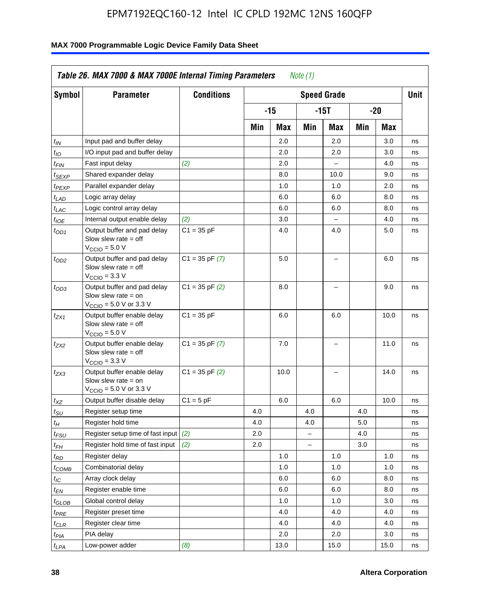| <b>Symbol</b>                 | <b>Parameter</b>                                                                                            | <b>Conditions</b>  |     |      |                          | <b>Speed Grade</b>       |     |      | <b>Unit</b> |
|-------------------------------|-------------------------------------------------------------------------------------------------------------|--------------------|-----|------|--------------------------|--------------------------|-----|------|-------------|
|                               |                                                                                                             |                    |     | -15  |                          | $-15T$                   |     | -20  |             |
|                               |                                                                                                             |                    | Min | Max  | Min                      | Max                      | Min | Max  |             |
| $t_{IN}$                      | Input pad and buffer delay                                                                                  |                    |     | 2.0  |                          | 2.0                      |     | 3.0  | ns          |
| $t_{IO}$                      | I/O input pad and buffer delay                                                                              |                    |     | 2.0  |                          | 2.0                      |     | 3.0  | ns          |
| $t_{\textit{FIN}}$            | Fast input delay                                                                                            | (2)                |     | 2.0  |                          | $\equiv$                 |     | 4.0  | ns          |
| $t_{SEXP}$                    | Shared expander delay                                                                                       |                    |     | 8.0  |                          | 10.0                     |     | 9.0  | ns          |
| t <sub>PEXP</sub>             | Parallel expander delay                                                                                     |                    |     | 1.0  |                          | 1.0                      |     | 2.0  | ns          |
| t <sub>LAD</sub>              | Logic array delay                                                                                           |                    |     | 6.0  |                          | 6.0                      |     | 8.0  | ns          |
| $t_{LAC}$                     | Logic control array delay                                                                                   |                    |     | 6.0  |                          | 6.0                      |     | 8.0  | ns          |
| $t_{IOE}$                     | Internal output enable delay                                                                                | (2)                |     | 3.0  |                          | $\overline{\phantom{0}}$ |     | 4.0  | ns          |
| $t_{OD1}$                     | Output buffer and pad delay<br>Slow slew rate $=$ off<br>$V_{\text{CCIO}} = 5.0 V$                          | $C1 = 35 pF$       |     | 4.0  |                          | 4.0                      |     | 5.0  | ns          |
| $t_{OD2}$                     | Output buffer and pad delay<br>Slow slew rate $=$ off<br>$V_{\text{CCIO}} = 3.3 \text{ V}$                  | $C1 = 35 pF(7)$    |     | 5.0  |                          | $\overline{\phantom{0}}$ |     | 6.0  | ns          |
| $t_{OD3}$                     | Output buffer and pad delay<br>Slow slew rate $=$ on<br>$V_{\text{CCIO}} = 5.0 \text{ V or } 3.3 \text{ V}$ | $C1 = 35$ pF $(2)$ |     | 8.0  |                          |                          |     | 9.0  | ns          |
| $t_{ZX1}$                     | Output buffer enable delay<br>Slow slew rate $=$ off<br>$V_{\text{CCIO}} = 5.0 V$                           | $C1 = 35 pF$       |     | 6.0  |                          | 6.0                      |     | 10.0 | ns          |
| t <sub>ZX2</sub>              | Output buffer enable delay<br>Slow slew rate $=$ off<br>$V_{\text{CCIO}} = 3.3 \text{ V}$                   | $C1 = 35$ pF $(7)$ |     | 7.0  |                          | L,                       |     | 11.0 | ns          |
| t <sub>ZX3</sub>              | Output buffer enable delay<br>Slow slew rate $=$ on<br>$V_{\text{CCIO}} = 5.0 \text{ V or } 3.3 \text{ V}$  | $C1 = 35$ pF $(2)$ |     | 10.0 |                          |                          |     | 14.0 | ns          |
| $t_{\mathsf{XZ}}$             | Output buffer disable delay                                                                                 | $C1 = 5pF$         |     | 6.0  |                          | 6.0                      |     | 10.0 | ns          |
| $t_{\scriptstyle\text{SU}}$   | Register setup time                                                                                         |                    | 4.0 |      | 4.0                      |                          | 4.0 |      | ns          |
| tμ                            | Register hold time                                                                                          |                    | 4.0 |      | 4.0                      |                          | 5.0 |      | ns          |
| t <sub>FSU</sub>              | Register setup time of fast input                                                                           | (2)                | 2.0 |      | $\overline{\phantom{0}}$ |                          | 4.0 |      | ns          |
| t <sub>FH</sub>               | Register hold time of fast input                                                                            | (2)                | 2.0 |      | L.                       |                          | 3.0 |      | ns          |
| $t_{RD}$                      | Register delay                                                                                              |                    |     | 1.0  |                          | 1.0                      |     | 1.0  | ns          |
| $t_{COMB}$                    | Combinatorial delay                                                                                         |                    |     | 1.0  |                          | 1.0                      |     | 1.0  | ns          |
| $t_{IC}$                      | Array clock delay                                                                                           |                    |     | 6.0  |                          | 6.0                      |     | 8.0  | ns          |
| $t_{EN}$                      | Register enable time                                                                                        |                    |     | 6.0  |                          | 6.0                      |     | 8.0  | ns          |
| $t_{\scriptstyle\text{GLOB}}$ | Global control delay                                                                                        |                    |     | 1.0  |                          | 1.0                      |     | 3.0  | ns          |
| $t_{PRE}$                     | Register preset time                                                                                        |                    |     | 4.0  |                          | 4.0                      |     | 4.0  | ns          |
| $t_{\sf CLR}$                 | Register clear time                                                                                         |                    |     | 4.0  |                          | 4.0                      |     | 4.0  | ns          |
| $t_{PIA}$                     | PIA delay                                                                                                   |                    |     | 2.0  |                          | 2.0                      |     | 3.0  | ns          |
| $t_{LPA}$                     | Low-power adder                                                                                             | (8)                |     | 13.0 |                          | 15.0                     |     | 15.0 | ns          |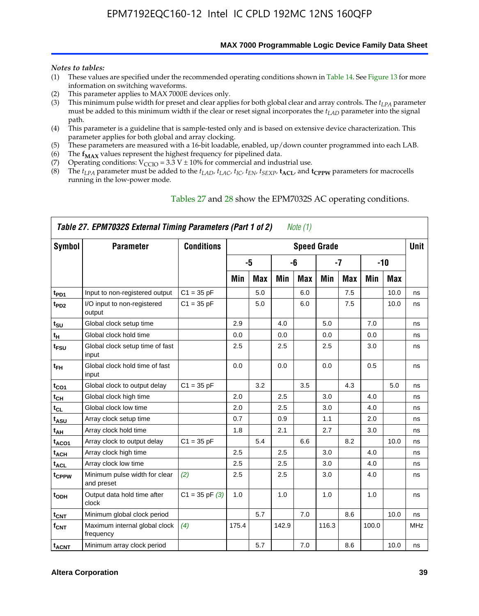**MAX 7000 Programmable Logic Device Family Data Sheet**

#### *Notes to tables:*

- (1) These values are specified under the recommended operating conditions shown in Table 14. See Figure 13 for more information on switching waveforms.
- (2) This parameter applies to MAX 7000E devices only.
- (3) This minimum pulse width for preset and clear applies for both global clear and array controls. The *tLPA* parameter must be added to this minimum width if the clear or reset signal incorporates the *tLAD* parameter into the signal path.
- (4) This parameter is a guideline that is sample-tested only and is based on extensive device characterization. This parameter applies for both global and array clocking.
- (5) These parameters are measured with a 16-bit loadable, enabled, up/down counter programmed into each LAB.
- (6) The  $f_{MAX}$  values represent the highest frequency for pipelined data.
- (7) Operating conditions:  $V_{\text{CCIO}} = 3.3 \text{ V} \pm 10\%$  for commercial and industrial use.
- (8) The  $t_{LPA}$  parameter must be added to the  $t_{LAD}$ ,  $t_{LAC}$ ,  $t_{IC}$ ,  $t_{EN}$ ,  $t_{SEXP}$ ,  $t_{ACL}$ , and  $t_{CPPW}$  parameters for macrocells running in the low-power mode.

|                         | Table 27. EPM7032S External Timing Parameters (Part 1 of 2) |                    |       |            |       | Note $(1)$ |                    |            |       |       |      |
|-------------------------|-------------------------------------------------------------|--------------------|-------|------------|-------|------------|--------------------|------------|-------|-------|------|
| Symbol                  | <b>Parameter</b>                                            | <b>Conditions</b>  |       |            |       |            | <b>Speed Grade</b> |            |       |       | Unit |
|                         |                                                             |                    |       | $-5$       |       | -6         |                    | $-7$       |       | $-10$ |      |
|                         |                                                             |                    | Min   | <b>Max</b> | Min   | Max        | Min                | <b>Max</b> | Min   | Max   |      |
| t <sub>PD1</sub>        | Input to non-registered output                              | $C1 = 35 pF$       |       | 5.0        |       | 6.0        |                    | 7.5        |       | 10.0  | ns   |
| $t_{PD2}$               | I/O input to non-registered<br>output                       | $C1 = 35 pF$       |       | 5.0        |       | 6.0        |                    | 7.5        |       | 10.0  | ns   |
| tsu                     | Global clock setup time                                     |                    | 2.9   |            | 4.0   |            | 5.0                |            | 7.0   |       | ns   |
| $t_H$                   | Global clock hold time                                      |                    | 0.0   |            | 0.0   |            | 0.0                |            | 0.0   |       | ns   |
| t <sub>FSU</sub>        | Global clock setup time of fast<br>input                    |                    | 2.5   |            | 2.5   |            | 2.5                |            | 3.0   |       | ns   |
| $t_{FH}$                | Global clock hold time of fast<br>input                     |                    | 0.0   |            | 0.0   |            | 0.0                |            | 0.5   |       | ns   |
| t <sub>CO1</sub>        | Global clock to output delay                                | $C1 = 35 pF$       |       | 3.2        |       | 3.5        |                    | 4.3        |       | 5.0   | ns   |
| $t_{CH}$                | Global clock high time                                      |                    | 2.0   |            | 2.5   |            | 3.0                |            | 4.0   |       | ns   |
| $t_{CL}$                | Global clock low time                                       |                    | 2.0   |            | 2.5   |            | 3.0                |            | 4.0   |       | ns   |
| t <sub>ASU</sub>        | Array clock setup time                                      |                    | 0.7   |            | 0.9   |            | 1.1                |            | 2.0   |       | ns   |
| t <sub>АН</sub>         | Array clock hold time                                       |                    | 1.8   |            | 2.1   |            | 2.7                |            | 3.0   |       | ns   |
| t <sub>ACO1</sub>       | Array clock to output delay                                 | $C1 = 35 pF$       |       | 5.4        |       | 6.6        |                    | 8.2        |       | 10.0  | ns   |
| <b>t<sub>ACH</sub></b>  | Array clock high time                                       |                    | 2.5   |            | 2.5   |            | 3.0                |            | 4.0   |       | ns   |
| $t_{\sf ACL}$           | Array clock low time                                        |                    | 2.5   |            | 2.5   |            | 3.0                |            | 4.0   |       | ns   |
| tcppw                   | Minimum pulse width for clear<br>and preset                 | (2)                | 2.5   |            | 2.5   |            | 3.0                |            | 4.0   |       | ns   |
| t <sub>ODH</sub>        | Output data hold time after<br>clock                        | $C1 = 35$ pF $(3)$ | 1.0   |            | 1.0   |            | 1.0                |            | 1.0   |       | ns   |
| $t_{\text{CNT}}$        | Minimum global clock period                                 |                    |       | 5.7        |       | 7.0        |                    | 8.6        |       | 10.0  | ns   |
| $f_{\mathsf{CNT}}$      | Maximum internal global clock<br>frequency                  | (4)                | 175.4 |            | 142.9 |            | 116.3              |            | 100.0 |       | MHz  |
| <b>t<sub>ACNT</sub></b> | Minimum array clock period                                  |                    |       | 5.7        |       | 7.0        |                    | 8.6        |       | 10.0  | ns   |

#### Tables 27 and 28 show the EPM7032S AC operating conditions.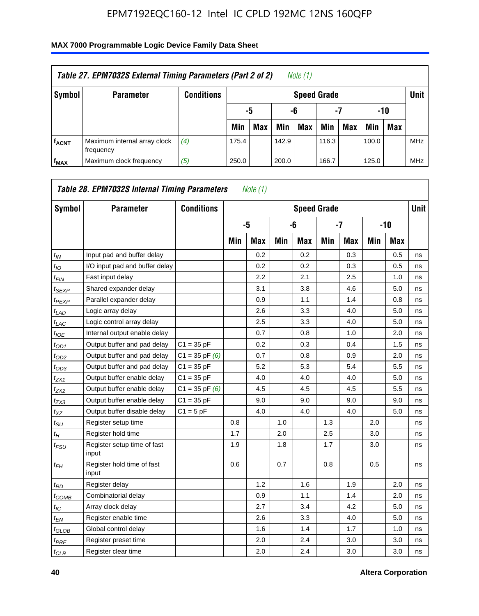| Table 27. EPM7032S External Timing Parameters (Part 2 of 2)<br>Note (1) |                                           |                   |       |                       |       |                    |       |     |       |            |            |  |  |
|-------------------------------------------------------------------------|-------------------------------------------|-------------------|-------|-----------------------|-------|--------------------|-------|-----|-------|------------|------------|--|--|
| Symbol                                                                  | <b>Parameter</b>                          | <b>Conditions</b> |       |                       |       | <b>Speed Grade</b> |       |     |       |            | Unit       |  |  |
|                                                                         |                                           |                   |       | -7<br>-10<br>-6<br>-5 |       |                    |       |     |       |            |            |  |  |
|                                                                         |                                           |                   | Min   | <b>Max</b>            | Min   | <b>Max</b>         | Min   | Max | Min   | <b>Max</b> |            |  |  |
| <b>fACNT</b>                                                            | Maximum internal array clock<br>frequency | (4)               | 175.4 |                       | 142.9 |                    | 116.3 |     | 100.0 |            | <b>MHz</b> |  |  |
| f <sub>MAX</sub>                                                        | Maximum clock frequency                   | (5)               | 250.0 |                       | 200.0 |                    | 166.7 |     | 125.0 |            | <b>MHz</b> |  |  |

| Symbol                        | <b>Parameter</b>                     | <b>Conditions</b>  |     |            |     |            | <b>Speed Grade</b> |            |     |            | <b>Unit</b> |
|-------------------------------|--------------------------------------|--------------------|-----|------------|-----|------------|--------------------|------------|-----|------------|-------------|
|                               |                                      |                    |     | -5         |     | -6         |                    | $-7$       |     | $-10$      |             |
|                               |                                      |                    | Min | <b>Max</b> | Min | <b>Max</b> | Min                | <b>Max</b> | Min | <b>Max</b> |             |
| $t_{IN}$                      | Input pad and buffer delay           |                    |     | 0.2        |     | 0.2        |                    | 0.3        |     | 0.5        | ns          |
| $t_{IO}$                      | I/O input pad and buffer delay       |                    |     | 0.2        |     | 0.2        |                    | 0.3        |     | 0.5        | ns          |
| $t_{\text{FIN}}$              | Fast input delay                     |                    |     | 2.2        |     | 2.1        |                    | 2.5        |     | 1.0        | ns          |
| t <sub>SEXP</sub>             | Shared expander delay                |                    |     | 3.1        |     | 3.8        |                    | 4.6        |     | 5.0        | ns          |
| <sup>t</sup> PEXP             | Parallel expander delay              |                    |     | 0.9        |     | 1.1        |                    | 1.4        |     | 0.8        | ns          |
| $t_{LAD}$                     | Logic array delay                    |                    |     | 2.6        |     | 3.3        |                    | 4.0        |     | 5.0        | ns          |
| $t_{LAC}$                     | Logic control array delay            |                    |     | 2.5        |     | 3.3        |                    | 4.0        |     | 5.0        | ns          |
| $t_{IOE}$                     | Internal output enable delay         |                    |     | 0.7        |     | 0.8        |                    | 1.0        |     | 2.0        | ns          |
| $t_{OD1}$                     | Output buffer and pad delay          | $C1 = 35 pF$       |     | 0.2        |     | 0.3        |                    | 0.4        |     | 1.5        | ns          |
| $t_{OD2}$                     | Output buffer and pad delay          | $C1 = 35$ pF $(6)$ |     | 0.7        |     | 0.8        |                    | 0.9        |     | 2.0        | ns          |
| $t_{OD3}$                     | Output buffer and pad delay          | $C1 = 35 pF$       |     | 5.2        |     | 5.3        |                    | 5.4        |     | 5.5        | ns          |
| $t_{ZX1}$                     | Output buffer enable delay           | $C1 = 35 pF$       |     | 4.0        |     | 4.0        |                    | 4.0        |     | 5.0        | ns          |
| t <sub>ZX2</sub>              | Output buffer enable delay           | $C1 = 35$ pF $(6)$ |     | 4.5        |     | 4.5        |                    | 4.5        |     | 5.5        | ns          |
| $t_{ZX3}$                     | Output buffer enable delay           | $C1 = 35 pF$       |     | 9.0        |     | 9.0        |                    | 9.0        |     | 9.0        | ns          |
| $t_{XZ}$                      | Output buffer disable delay          | $C1 = 5pF$         |     | 4.0        |     | 4.0        |                    | 4.0        |     | 5.0        | ns          |
| $t_{\scriptstyle\text{SU}}$   | Register setup time                  |                    | 0.8 |            | 1.0 |            | 1.3                |            | 2.0 |            | ns          |
| $t_H$                         | Register hold time                   |                    | 1.7 |            | 2.0 |            | 2.5                |            | 3.0 |            | ns          |
| $t_{\mathit{FSU}}$            | Register setup time of fast<br>input |                    | 1.9 |            | 1.8 |            | 1.7                |            | 3.0 |            | ns          |
| t <sub>FH</sub>               | Register hold time of fast<br>input  |                    | 0.6 |            | 0.7 |            | 0.8                |            | 0.5 |            | ns          |
| $t_{RD}$                      | Register delay                       |                    |     | 1.2        |     | 1.6        |                    | 1.9        |     | 2.0        | ns          |
| $t_{COMB}$                    | Combinatorial delay                  |                    |     | 0.9        |     | 1.1        |                    | 1.4        |     | 2.0        | ns          |
| $t_{IC}$                      | Array clock delay                    |                    |     | 2.7        |     | 3.4        |                    | 4.2        |     | 5.0        | ns          |
| $t_{EN}$                      | Register enable time                 |                    |     | 2.6        |     | 3.3        |                    | 4.0        |     | 5.0        | ns          |
| $t_{\scriptstyle\text{GLOB}}$ | Global control delay                 |                    |     | 1.6        |     | 1.4        |                    | 1.7        |     | 1.0        | ns          |
| $t_{PRE}$                     | Register preset time                 |                    |     | 2.0        |     | 2.4        |                    | 3.0        |     | 3.0        | ns          |
| $t_{CLR}$                     | Register clear time                  |                    |     | 2.0        |     | 2.4        |                    | 3.0        |     | 3.0        | ns          |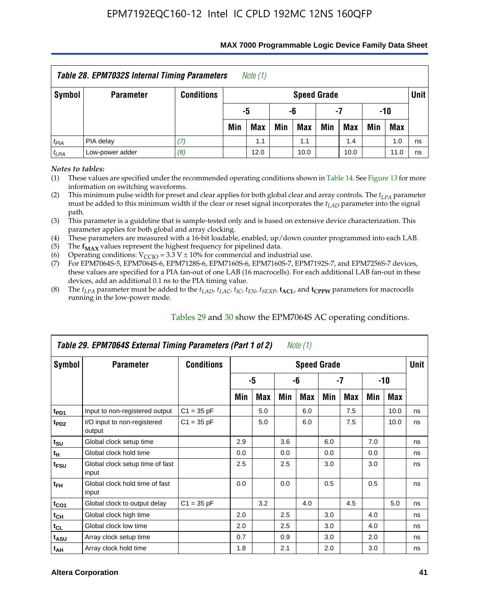| <b>Table 28. EPM7032S Internal Timing Parameters</b><br>Note $(1)$ |                  |                   |     |                       |     |                    |     |            |     |            |             |  |
|--------------------------------------------------------------------|------------------|-------------------|-----|-----------------------|-----|--------------------|-----|------------|-----|------------|-------------|--|
| Symbol                                                             | <b>Parameter</b> | <b>Conditions</b> |     |                       |     | <b>Speed Grade</b> |     |            |     |            | <b>Unit</b> |  |
|                                                                    |                  |                   |     | -5<br>-10<br>-6<br>-7 |     |                    |     |            |     |            |             |  |
|                                                                    |                  |                   | Min | Max                   | Min | <b>Max</b>         | Min | <b>Max</b> | Min | <b>Max</b> |             |  |
| $t_{PIA}$                                                          | PIA delay        |                   |     | 1.1                   |     | 1.1                |     | 1.4        |     | 1.0        | ns          |  |
| $t_{LPA}$                                                          | Low-power adder  | (8)               |     | 12.0                  |     | 10.0               |     | 10.0       |     | 11.0       | ns          |  |

#### **MAX 7000 Programmable Logic Device Family Data Sheet**

*Notes to tables:*

(1) These values are specified under the recommended operating conditions shown in Table 14. See Figure 13 for more information on switching waveforms.

(2) This minimum pulse width for preset and clear applies for both global clear and array controls. The  $t_{LPA}$  parameter must be added to this minimum width if the clear or reset signal incorporates the *tLAD* parameter into the signal path.

(3) This parameter is a guideline that is sample-tested only and is based on extensive device characterization. This parameter applies for both global and array clocking.

(4) These parameters are measured with a 16-bit loadable, enabled, up/down counter programmed into each LAB.

(5) The  $f_{MAX}$  values represent the highest frequency for pipelined data.

(6) Operating conditions:  $V_{\text{CCIO}} = 3.3 \text{ V} \pm 10\%$  for commercial and industrial use.

(7) For EPM7064S-5, EPM7064S-6, EPM7128S-6, EPM7160S-6, EPM7160S-7, EPM7192S-7, and EPM7256S-7 devices, these values are specified for a PIA fan-out of one LAB (16 macrocells). For each additional LAB fan-out in these devices, add an additional 0.1 ns to the PIA timing value.

(8) The  $t_{LPA}$  parameter must be added to the  $t_{LAD}$ ,  $t_{LAC}$ ,  $t_{IC}$ ,  $t_{EN}$ ,  $t_{SEXP}$ ,  $t_{ACL}$ , and  $t_{CPPW}$  parameters for macrocells running in the low-power mode.

|                  | Table 29. EPM7064S External Timing Parameters (Part 1 of 2) |                   |     |     |     | Note (1)           |     |     |     |      |      |
|------------------|-------------------------------------------------------------|-------------------|-----|-----|-----|--------------------|-----|-----|-----|------|------|
| Symbol           | <b>Parameter</b>                                            | <b>Conditions</b> |     |     |     | <b>Speed Grade</b> |     |     |     |      | Unit |
|                  |                                                             |                   |     | -5  |     | -6                 |     | -7  |     | -10  |      |
|                  |                                                             |                   | Min | Max | Min | Max                | Min | Max | Min | Max  |      |
| t <sub>PD1</sub> | Input to non-registered output                              | $C1 = 35 pF$      |     | 5.0 |     | 6.0                |     | 7.5 |     | 10.0 | ns   |
| t <sub>PD2</sub> | I/O input to non-registered<br>output                       | $C1 = 35 pF$      |     | 5.0 |     | 6.0                |     | 7.5 |     | 10.0 | ns   |
| $t_{\text{SU}}$  | Global clock setup time                                     |                   | 2.9 |     | 3.6 |                    | 6.0 |     | 7.0 |      | ns   |
| $t_H$            | Global clock hold time                                      |                   | 0.0 |     | 0.0 |                    | 0.0 |     | 0.0 |      | ns   |
| t <sub>FSU</sub> | Global clock setup time of fast<br>input                    |                   | 2.5 |     | 2.5 |                    | 3.0 |     | 3.0 |      | ns   |
| $t_{FH}$         | Global clock hold time of fast<br>input                     |                   | 0.0 |     | 0.0 |                    | 0.5 |     | 0.5 |      | ns   |
| $t_{CO1}$        | Global clock to output delay                                | $C1 = 35 pF$      |     | 3.2 |     | 4.0                |     | 4.5 |     | 5.0  | ns   |
| $t_{CH}$         | Global clock high time                                      |                   | 2.0 |     | 2.5 |                    | 3.0 |     | 4.0 |      | ns   |
| $t_{CL}$         | Global clock low time                                       |                   | 2.0 |     | 2.5 |                    | 3.0 |     | 4.0 |      | ns   |
| t <sub>ASU</sub> | Array clock setup time                                      |                   | 0.7 |     | 0.9 |                    | 3.0 |     | 2.0 |      | ns   |
| $t_{AH}$         | Array clock hold time                                       |                   | 1.8 |     | 2.1 |                    | 2.0 |     | 3.0 |      | ns   |

Tables 29 and 30 show the EPM7064S AC operating conditions.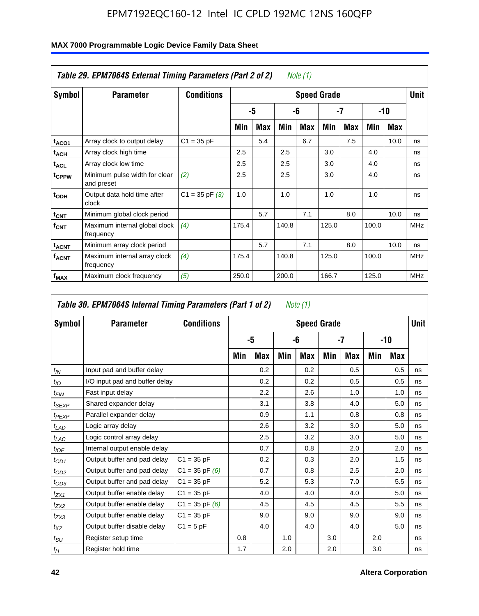|                              | Table 29. EPM7064S External Timing Parameters (Part 2 of 2) |                    |       |     |       | Note $(1)$ |                    |            |       |      |            |
|------------------------------|-------------------------------------------------------------|--------------------|-------|-----|-------|------------|--------------------|------------|-------|------|------------|
| Symbol                       | <b>Parameter</b>                                            | <b>Conditions</b>  |       |     |       |            | <b>Speed Grade</b> |            |       |      | Unit       |
|                              |                                                             |                    |       | -5  |       | -6         |                    | -7         |       | -10  |            |
|                              |                                                             |                    | Min   | Max | Min   | Max        | Min                | <b>Max</b> | Min   | Max  |            |
| t <sub>ACO1</sub>            | Array clock to output delay                                 | $C1 = 35 pF$       |       | 5.4 |       | 6.7        |                    | 7.5        |       | 10.0 | ns         |
| t <sub>АСН</sub>             | Array clock high time                                       |                    | 2.5   |     | 2.5   |            | 3.0                |            | 4.0   |      | ns         |
| <sup>t</sup> ACL             | Array clock low time                                        |                    | 2.5   |     | 2.5   |            | 3.0                |            | 4.0   |      | ns         |
| t <sub>CPPW</sub>            | Minimum pulse width for clear<br>and preset                 | (2)                | 2.5   |     | 2.5   |            | 3.0                |            | 4.0   |      | ns         |
| t <sub>ODH</sub>             | Output data hold time after<br>clock                        | $C1 = 35$ pF $(3)$ | 1.0   |     | 1.0   |            | 1.0                |            | 1.0   |      | ns         |
| $t_{\text{CNT}}$             | Minimum global clock period                                 |                    |       | 5.7 |       | 7.1        |                    | 8.0        |       | 10.0 | ns         |
| $f_{\text{CNT}}$             | Maximum internal global clock<br>frequency                  | (4)                | 175.4 |     | 140.8 |            | 125.0              |            | 100.0 |      | <b>MHz</b> |
| $\mathsf{t}_{\mathsf{ACNT}}$ | Minimum array clock period                                  |                    |       | 5.7 |       | 7.1        |                    | 8.0        |       | 10.0 | ns         |
| <b>f<sub>ACNT</sub></b>      | Maximum internal array clock<br>frequency                   | (4)                | 175.4 |     | 140.8 |            | 125.0              |            | 100.0 |      | <b>MHz</b> |
| f <sub>MAX</sub>             | Maximum clock frequency                                     | (5)                | 250.0 |     | 200.0 |            | 166.7              |            | 125.0 |      | MHz        |

| Symbol           | <b>Parameter</b>               | <b>Conditions</b>  |     |            |     | <b>Speed Grade</b> |     |            |     |     | <b>Unit</b> |
|------------------|--------------------------------|--------------------|-----|------------|-----|--------------------|-----|------------|-----|-----|-------------|
|                  |                                |                    |     | -5         |     | -6                 |     | -7         |     | -10 |             |
|                  |                                |                    | Min | <b>Max</b> | Min | Max                | Min | <b>Max</b> | Min | Max |             |
| $t_{IN}$         | Input pad and buffer delay     |                    |     | 0.2        |     | 0.2                |     | 0.5        |     | 0.5 | ns          |
| $t_{IO}$         | I/O input pad and buffer delay |                    |     | 0.2        |     | 0.2                |     | 0.5        |     | 0.5 | ns          |
| t <sub>FIN</sub> | Fast input delay               |                    |     | 2.2        |     | 2.6                |     | 1.0        |     | 1.0 | ns          |
| $t_{SEXP}$       | Shared expander delay          |                    |     | 3.1        |     | 3.8                |     | 4.0        |     | 5.0 | ns          |
| $t_{PEXP}$       | Parallel expander delay        |                    |     | 0.9        |     | 1.1                |     | 0.8        |     | 0.8 | ns          |
| $t_{LAD}$        | Logic array delay              |                    |     | 2.6        |     | 3.2                |     | 3.0        |     | 5.0 | ns          |
| $t_{LAC}$        | Logic control array delay      |                    |     | 2.5        |     | 3.2                |     | 3.0        |     | 5.0 | ns          |
| $t_{IOE}$        | Internal output enable delay   |                    |     | 0.7        |     | 0.8                |     | 2.0        |     | 2.0 | ns          |
| $t_{OD1}$        | Output buffer and pad delay    | $C1 = 35 pF$       |     | 0.2        |     | 0.3                |     | 2.0        |     | 1.5 | ns          |
| $t_{OD2}$        | Output buffer and pad delay    | $C1 = 35 pF(6)$    |     | 0.7        |     | 0.8                |     | 2.5        |     | 2.0 | ns          |
| $t_{OD3}$        | Output buffer and pad delay    | $C1 = 35 pF$       |     | 5.2        |     | 5.3                |     | 7.0        |     | 5.5 | ns          |
| $t_{ZX1}$        | Output buffer enable delay     | $C1 = 35 pF$       |     | 4.0        |     | 4.0                |     | 4.0        |     | 5.0 | ns          |
| $t_{ZX2}$        | Output buffer enable delay     | $C1 = 35$ pF $(6)$ |     | 4.5        |     | 4.5                |     | 4.5        |     | 5.5 | ns          |
| $t_{ZX3}$        | Output buffer enable delay     | $C1 = 35 pF$       |     | 9.0        |     | 9.0                |     | 9.0        |     | 9.0 | ns          |
| $t_{XZ}$         | Output buffer disable delay    | $C1 = 5pF$         |     | 4.0        |     | 4.0                |     | 4.0        |     | 5.0 | ns          |
| $t_{\text{SU}}$  | Register setup time            |                    | 0.8 |            | 1.0 |                    | 3.0 |            | 2.0 |     | ns          |
| $t_H$            | Register hold time             |                    | 1.7 |            | 2.0 |                    | 2.0 |            | 3.0 |     | ns          |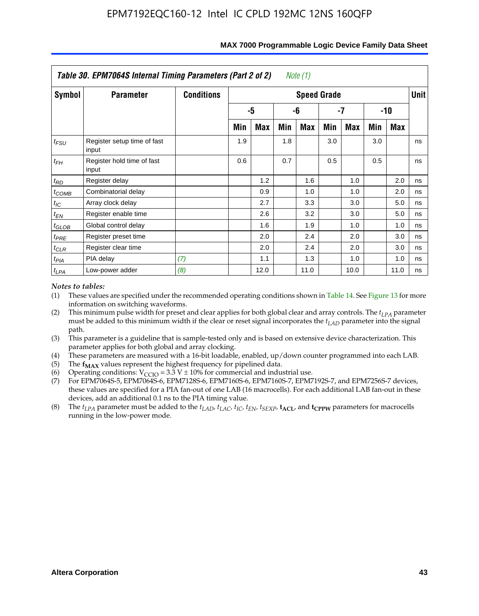|                   | Table 30. EPM7064S Internal Timing Parameters (Part 2 of 2) |                   |     |      |     | Note $(1)$         |     |      |     |       |             |
|-------------------|-------------------------------------------------------------|-------------------|-----|------|-----|--------------------|-----|------|-----|-------|-------------|
| Symbol            | <b>Parameter</b>                                            | <b>Conditions</b> |     |      |     | <b>Speed Grade</b> |     |      |     |       | <b>Unit</b> |
|                   |                                                             |                   |     | -5   |     | -6                 |     | -7   |     | $-10$ |             |
|                   |                                                             |                   | Min | Max  | Min | Max                | Min | Max  | Min | Max   |             |
| $t_{FSU}$         | Register setup time of fast<br>input                        |                   | 1.9 |      | 1.8 |                    | 3.0 |      | 3.0 |       | ns          |
| $t_{FH}$          | Register hold time of fast<br>input                         |                   | 0.6 |      | 0.7 |                    | 0.5 |      | 0.5 |       | ns          |
| $t_{RD}$          | Register delay                                              |                   |     | 1.2  |     | 1.6                |     | 1.0  |     | 2.0   | ns          |
| $t_{COMB}$        | Combinatorial delay                                         |                   |     | 0.9  |     | 1.0                |     | 1.0  |     | 2.0   | ns          |
| $t_{IC}$          | Array clock delay                                           |                   |     | 2.7  |     | 3.3                |     | 3.0  |     | 5.0   | ns          |
| $t_{EN}$          | Register enable time                                        |                   |     | 2.6  |     | 3.2                |     | 3.0  |     | 5.0   | ns          |
| $t_{\text{GLOB}}$ | Global control delay                                        |                   |     | 1.6  |     | 1.9                |     | 1.0  |     | 1.0   | ns          |
| $t_{PRE}$         | Register preset time                                        |                   |     | 2.0  |     | 2.4                |     | 2.0  |     | 3.0   | ns          |
| $t_{CLR}$         | Register clear time                                         |                   |     | 2.0  |     | 2.4                |     | 2.0  |     | 3.0   | ns          |
| $t_{PIA}$         | PIA delay                                                   | (7)               |     | 1.1  |     | 1.3                |     | 1.0  |     | 1.0   | ns          |
| $t_{LPA}$         | Low-power adder                                             | (8)               |     | 12.0 |     | 11.0               |     | 10.0 |     | 11.0  | ns          |

#### **MAX 7000 Programmable Logic Device Family Data Sheet**

#### *Notes to tables:*

- (1) These values are specified under the recommended operating conditions shown in Table 14. See Figure 13 for more information on switching waveforms.
- (2) This minimum pulse width for preset and clear applies for both global clear and array controls. The  $t_{LPA}$  parameter must be added to this minimum width if the clear or reset signal incorporates the *t<sub>LAD</sub>* parameter into the signal path.
- (3) This parameter is a guideline that is sample-tested only and is based on extensive device characterization. This parameter applies for both global and array clocking.
- (4) These parameters are measured with a 16-bit loadable, enabled, up/down counter programmed into each LAB.
- (5) The  $f_{MAX}$  values represent the highest frequency for pipelined data.
- (6) Operating conditions:  $V_{\text{CCIO}} = 3.3 \text{ V} \pm 10\%$  for commercial and industrial use.
- (7) For EPM7064S-5, EPM7064S-6, EPM7128S-6, EPM7160S-6, EPM7160S-7, EPM7192S-7, and EPM7256S-7 devices, these values are specified for a PIA fan-out of one LAB (16 macrocells). For each additional LAB fan-out in these devices, add an additional 0.1 ns to the PIA timing value.
- (8) The  $t_{LPA}$  parameter must be added to the  $t_{LAD}$ ,  $t_{LAC}$ ,  $t_{IC}$ ,  $t_{EN}$ ,  $t_{SEXP}$ ,  $t_{ACL}$ , and  $t_{CPPW}$  parameters for macrocells running in the low-power mode.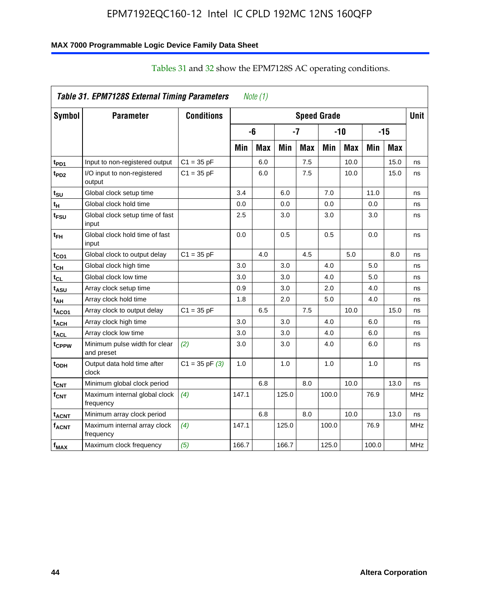#### **MAX 7000 Programmable Logic Device Family Data Sheet**

|                         | Table 31. EPM7128S External Timing Parameters |                    |       | Note (1)   |       |            |                    |       |       |       |             |
|-------------------------|-----------------------------------------------|--------------------|-------|------------|-------|------------|--------------------|-------|-------|-------|-------------|
| Symbol                  | <b>Parameter</b>                              | <b>Conditions</b>  |       |            |       |            | <b>Speed Grade</b> |       |       |       | <b>Unit</b> |
|                         |                                               |                    |       | -6         |       | -7         |                    | $-10$ |       | $-15$ |             |
|                         |                                               |                    | Min   | <b>Max</b> | Min   | <b>Max</b> | Min                | Max   | Min   | Max   |             |
| t <sub>PD1</sub>        | Input to non-registered output                | $C1 = 35 pF$       |       | 6.0        |       | 7.5        |                    | 10.0  |       | 15.0  | ns          |
| $t_{PD2}$               | I/O input to non-registered<br>output         | $C1 = 35 pF$       |       | 6.0        |       | 7.5        |                    | 10.0  |       | 15.0  | ns          |
| t <sub>SU</sub>         | Global clock setup time                       |                    | 3.4   |            | 6.0   |            | 7.0                |       | 11.0  |       | ns          |
| t <sub>H</sub>          | Global clock hold time                        |                    | 0.0   |            | 0.0   |            | 0.0                |       | 0.0   |       | ns          |
| t <sub>FSU</sub>        | Global clock setup time of fast<br>input      |                    | 2.5   |            | 3.0   |            | 3.0                |       | 3.0   |       | ns          |
| t <sub>ЕН</sub>         | Global clock hold time of fast<br>input       |                    | 0.0   |            | 0.5   |            | 0.5                |       | 0.0   |       | ns          |
| t <sub>CO1</sub>        | Global clock to output delay                  | $C1 = 35 pF$       |       | 4.0        |       | 4.5        |                    | 5.0   |       | 8.0   | ns          |
| $t_{\mathsf{CH}}$       | Global clock high time                        |                    | 3.0   |            | 3.0   |            | 4.0                |       | 5.0   |       | ns          |
| $t_{CL}$                | Global clock low time                         |                    | 3.0   |            | 3.0   |            | 4.0                |       | 5.0   |       | ns          |
| $t_{ASU}$               | Array clock setup time                        |                    | 0.9   |            | 3.0   |            | 2.0                |       | 4.0   |       | ns          |
| t <sub>АН</sub>         | Array clock hold time                         |                    | 1.8   |            | 2.0   |            | 5.0                |       | 4.0   |       | ns          |
| t <sub>ACO1</sub>       | Array clock to output delay                   | $C1 = 35 pF$       |       | 6.5        |       | 7.5        |                    | 10.0  |       | 15.0  | ns          |
| t <sub>АСН</sub>        | Array clock high time                         |                    | 3.0   |            | 3.0   |            | 4.0                |       | 6.0   |       | ns          |
| t <sub>ACL</sub>        | Array clock low time                          |                    | 3.0   |            | 3.0   |            | 4.0                |       | 6.0   |       | ns          |
| tcppw                   | Minimum pulse width for clear<br>and preset   | (2)                | 3.0   |            | 3.0   |            | 4.0                |       | 6.0   |       | ns          |
| t <sub>ODH</sub>        | Output data hold time after<br>clock          | $C1 = 35$ pF $(3)$ | 1.0   |            | 1.0   |            | 1.0                |       | 1.0   |       | ns          |
| $t_{\mathsf{CNT}}$      | Minimum global clock period                   |                    |       | 6.8        |       | 8.0        |                    | 10.0  |       | 13.0  | ns          |
| $f_{\text{CNT}}$        | Maximum internal global clock<br>frequency    | (4)                | 147.1 |            | 125.0 |            | 100.0              |       | 76.9  |       | MHz         |
| t <sub>ACNT</sub>       | Minimum array clock period                    |                    |       | 6.8        |       | 8.0        |                    | 10.0  |       | 13.0  | ns          |
| <b>f<sub>ACNT</sub></b> | Maximum internal array clock<br>frequency     | (4)                | 147.1 |            | 125.0 |            | 100.0              |       | 76.9  |       | <b>MHz</b>  |
| f <sub>MAX</sub>        | Maximum clock frequency                       | (5)                | 166.7 |            | 166.7 |            | 125.0              |       | 100.0 |       | <b>MHz</b>  |

### Tables 31 and 32 show the EPM7128S AC operating conditions.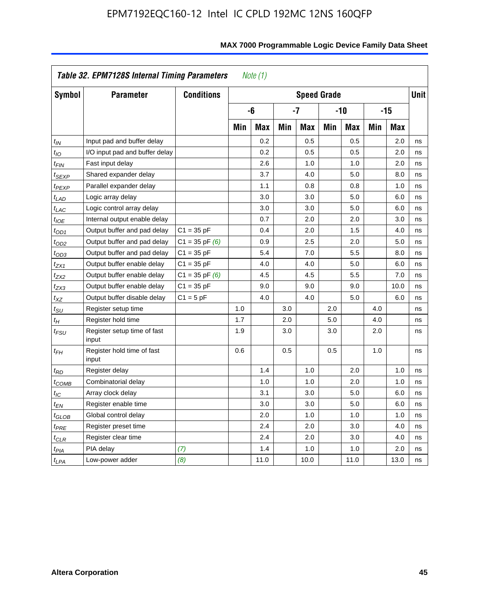|                            | Table 32. EPM7128S Internal Timing Parameters |                    |     | Note $(1)$ |     |                    |     |            |     |            |             |
|----------------------------|-----------------------------------------------|--------------------|-----|------------|-----|--------------------|-----|------------|-----|------------|-------------|
| Symbol                     | <b>Parameter</b>                              | <b>Conditions</b>  |     |            |     | <b>Speed Grade</b> |     |            |     |            | <b>Unit</b> |
|                            |                                               |                    |     | -6         |     | $-7$               |     | $-10$      |     | $-15$      |             |
|                            |                                               |                    | Min | <b>Max</b> | Min | <b>Max</b>         | Min | <b>Max</b> | Min | <b>Max</b> |             |
| $t_{IN}$                   | Input pad and buffer delay                    |                    |     | 0.2        |     | 0.5                |     | 0.5        |     | 2.0        | ns          |
| $t_{IO}$                   | I/O input pad and buffer delay                |                    |     | 0.2        |     | 0.5                |     | 0.5        |     | 2.0        | ns          |
| $t_{\textit{FIN}}$         | Fast input delay                              |                    |     | 2.6        |     | 1.0                |     | 1.0        |     | 2.0        | ns          |
| <sup>t</sup> SEXP          | Shared expander delay                         |                    |     | 3.7        |     | 4.0                |     | 5.0        |     | 8.0        | ns          |
| t <sub>PEXP</sub>          | Parallel expander delay                       |                    |     | 1.1        |     | 0.8                |     | 0.8        |     | 1.0        | ns          |
| $t_{LAD}$                  | Logic array delay                             |                    |     | 3.0        |     | 3.0                |     | 5.0        |     | 6.0        | ns          |
| $t_{LAC}$                  | Logic control array delay                     |                    |     | 3.0        |     | 3.0                |     | 5.0        |     | 6.0        | ns          |
| $t_{IOE}$                  | Internal output enable delay                  |                    |     | 0.7        |     | 2.0                |     | 2.0        |     | 3.0        | ns          |
| $t_{OD1}$                  | Output buffer and pad delay                   | $C1 = 35 pF$       |     | 0.4        |     | 2.0                |     | 1.5        |     | 4.0        | ns          |
| $t_{OD2}$                  | Output buffer and pad delay                   | $C1 = 35$ pF $(6)$ |     | 0.9        |     | 2.5                |     | 2.0        |     | 5.0        | ns          |
| $t_{OD3}$                  | Output buffer and pad delay                   | $C1 = 35 pF$       |     | 5.4        |     | 7.0                |     | 5.5        |     | 8.0        | ns          |
| $t_{ZX1}$                  | Output buffer enable delay                    | $C1 = 35 pF$       |     | 4.0        |     | 4.0                |     | 5.0        |     | 6.0        | ns          |
| $t_{ZX2}$                  | Output buffer enable delay                    | $C1 = 35$ pF $(6)$ |     | 4.5        |     | 4.5                |     | 5.5        |     | 7.0        | ns          |
| t <sub>ZX3</sub>           | Output buffer enable delay                    | $C1 = 35 pF$       |     | 9.0        |     | 9.0                |     | 9.0        |     | 10.0       | ns          |
| $t_{XZ}$                   | Output buffer disable delay                   | $C1 = 5pF$         |     | 4.0        |     | 4.0                |     | 5.0        |     | 6.0        | ns          |
| $t_{\text{SU}}$            | Register setup time                           |                    | 1.0 |            | 3.0 |                    | 2.0 |            | 4.0 |            | ns          |
| $t_H$                      | Register hold time                            |                    | 1.7 |            | 2.0 |                    | 5.0 |            | 4.0 |            | ns          |
| $t_{\it FSU}$              | Register setup time of fast<br>input          |                    | 1.9 |            | 3.0 |                    | 3.0 |            | 2.0 |            | ns          |
| t <sub>FH</sub>            | Register hold time of fast<br>input           |                    | 0.6 |            | 0.5 |                    | 0.5 |            | 1.0 |            | ns          |
| $t_{RD}$                   | Register delay                                |                    |     | 1.4        |     | 1.0                |     | 2.0        |     | 1.0        | ns          |
| $t_{\mathsf{COMB}}$        | Combinatorial delay                           |                    |     | 1.0        |     | 1.0                |     | 2.0        |     | 1.0        | ns          |
| $t_{IC}$                   | Array clock delay                             |                    |     | 3.1        |     | 3.0                |     | 5.0        |     | 6.0        | ns          |
| $t_{EN}$                   | Register enable time                          |                    |     | 3.0        |     | 3.0                |     | 5.0        |     | 6.0        | ns          |
| $t_{\scriptstyle\rm GLOB}$ | Global control delay                          |                    |     | 2.0        |     | 1.0                |     | 1.0        |     | 1.0        | ns          |
| $t_{PRE}$                  | Register preset time                          |                    |     | 2.4        |     | 2.0                |     | 3.0        |     | 4.0        | ns          |
| $t_{\sf CLR}$              | Register clear time                           |                    |     | 2.4        |     | 2.0                |     | 3.0        |     | 4.0        | ns          |
| $t_{PIA}$                  | PIA delay                                     | (7)                |     | 1.4        |     | 1.0                |     | 1.0        |     | 2.0        | ns          |
| t <sub>LPA</sub>           | Low-power adder                               | (8)                |     | 11.0       |     | 10.0               |     | 11.0       |     | 13.0       | ns          |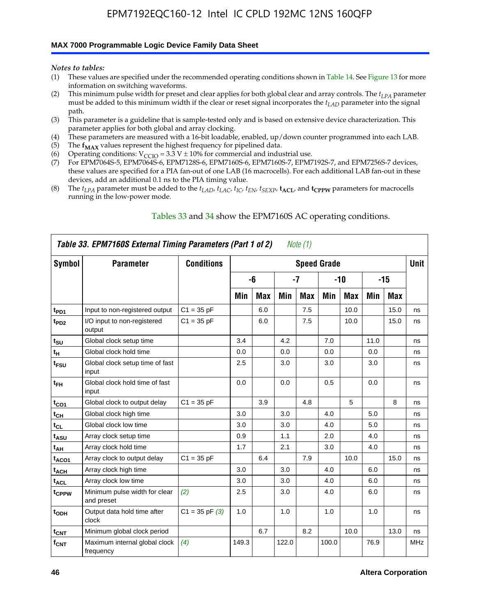#### **MAX 7000 Programmable Logic Device Family Data Sheet**

*Notes to tables:*

- (1) These values are specified under the recommended operating conditions shown in Table 14. See Figure 13 for more information on switching waveforms.
- (2) This minimum pulse width for preset and clear applies for both global clear and array controls. The  $t_{LPA}$  parameter must be added to this minimum width if the clear or reset signal incorporates the *tLAD* parameter into the signal path.
- (3) This parameter is a guideline that is sample-tested only and is based on extensive device characterization. This parameter applies for both global and array clocking.
- (4) These parameters are measured with a 16-bit loadable, enabled, up/down counter programmed into each LAB.
- (5) The  $f_{MAX}$  values represent the highest frequency for pipelined data.
- (6) Operating conditions:  $V_{\text{CCIO}} = 3.3 \text{ V} \pm 10\%$  for commercial and industrial use.
- (7) For EPM7064S-5, EPM7064S-6, EPM7128S-6, EPM7160S-6, EPM7160S-7, EPM7192S-7, and EPM7256S-7 devices, these values are specified for a PIA fan-out of one LAB (16 macrocells). For each additional LAB fan-out in these devices, add an additional 0.1 ns to the PIA timing value.
- (8) The  $t_{LPA}$  parameter must be added to the  $t_{LAD}$ ,  $t_{LAC}$ ,  $t_{IC}$ ,  $t_{EN}$ ,  $t_{SEXP}$ ,  $t_{ACL}$ , and  $t_{CPPW}$  parameters for macrocells running in the low-power mode.

|                   | Table 33. EPM7160S External Timing Parameters (Part 1 of 2) |                    |       |            |       | Note (1) |                    |            |      |       |            |
|-------------------|-------------------------------------------------------------|--------------------|-------|------------|-------|----------|--------------------|------------|------|-------|------------|
| Symbol            | <b>Parameter</b>                                            | <b>Conditions</b>  |       |            |       |          | <b>Speed Grade</b> |            |      |       | Unit       |
|                   |                                                             |                    |       | -6         |       | $-7$     |                    | $-10$      |      | $-15$ |            |
|                   |                                                             |                    | Min   | <b>Max</b> | Min   | Max      | Min                | <b>Max</b> | Min  | Max   |            |
| t <sub>PD1</sub>  | Input to non-registered output                              | $C1 = 35 pF$       |       | 6.0        |       | 7.5      |                    | 10.0       |      | 15.0  | ns         |
| $t_{PD2}$         | I/O input to non-registered<br>output                       | $C1 = 35 pF$       |       | 6.0        |       | 7.5      |                    | 10.0       |      | 15.0  | ns         |
| $t_{\text{SU}}$   | Global clock setup time                                     |                    | 3.4   |            | 4.2   |          | 7.0                |            | 11.0 |       | ns         |
| $t_H$             | Global clock hold time                                      |                    | 0.0   |            | 0.0   |          | 0.0                |            | 0.0  |       | ns         |
| t <sub>FSU</sub>  | Global clock setup time of fast<br>input                    |                    | 2.5   |            | 3.0   |          | 3.0                |            | 3.0  |       | ns         |
| $t_{FH}$          | Global clock hold time of fast<br>input                     |                    | 0.0   |            | 0.0   |          | 0.5                |            | 0.0  |       | ns         |
| $t_{CO1}$         | Global clock to output delay                                | $C1 = 35 pF$       |       | 3.9        |       | 4.8      |                    | 5          |      | 8     | ns         |
| $t_{CH}$          | Global clock high time                                      |                    | 3.0   |            | 3.0   |          | 4.0                |            | 5.0  |       | ns         |
| $t_{CL}$          | Global clock low time                                       |                    | 3.0   |            | 3.0   |          | 4.0                |            | 5.0  |       | ns         |
| t <sub>ASU</sub>  | Array clock setup time                                      |                    | 0.9   |            | 1.1   |          | 2.0                |            | 4.0  |       | ns         |
| t <sub>AH</sub>   | Array clock hold time                                       |                    | 1.7   |            | 2.1   |          | 3.0                |            | 4.0  |       | ns         |
| t <sub>ACO1</sub> | Array clock to output delay                                 | $C1 = 35 pF$       |       | 6.4        |       | 7.9      |                    | 10.0       |      | 15.0  | ns         |
| $t_{ACH}$         | Array clock high time                                       |                    | 3.0   |            | 3.0   |          | 4.0                |            | 6.0  |       | ns         |
| t <sub>ACL</sub>  | Array clock low time                                        |                    | 3.0   |            | 3.0   |          | 4.0                |            | 6.0  |       | ns         |
| tcppw             | Minimum pulse width for clear<br>and preset                 | (2)                | 2.5   |            | 3.0   |          | 4.0                |            | 6.0  |       | ns         |
| $t_{ODH}$         | Output data hold time after<br>clock                        | $C1 = 35$ pF $(3)$ | 1.0   |            | 1.0   |          | 1.0                |            | 1.0  |       | ns         |
| $t_{\text{CNT}}$  | Minimum global clock period                                 |                    |       | 6.7        |       | 8.2      |                    | 10.0       |      | 13.0  | ns         |
| $f_{\text{CNT}}$  | Maximum internal global clock<br>frequency                  | (4)                | 149.3 |            | 122.0 |          | 100.0              |            | 76.9 |       | <b>MHz</b> |

#### Tables 33 and 34 show the EPM7160S AC operating conditions.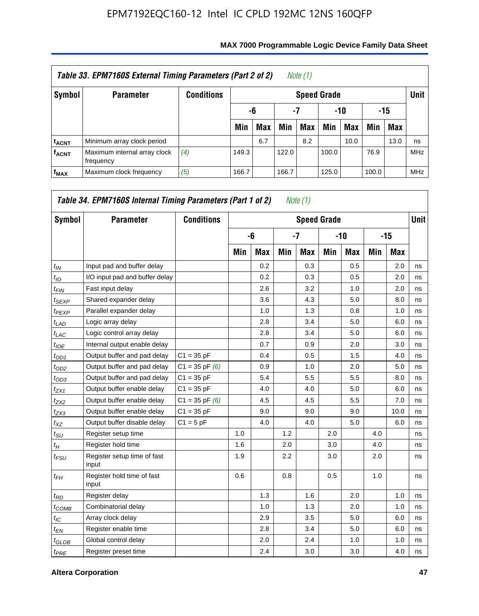|                         | Table 33. EPM7160S External Timing Parameters (Part 2 of 2) |                   |                    |                        |       | Note (1) |       |      |       |            |            |  |  |
|-------------------------|-------------------------------------------------------------|-------------------|--------------------|------------------------|-------|----------|-------|------|-------|------------|------------|--|--|
| Symbol                  | <b>Parameter</b>                                            | <b>Conditions</b> | <b>Speed Grade</b> |                        |       |          |       |      |       |            |            |  |  |
|                         |                                                             |                   |                    | -7<br>-10<br>-15<br>-6 |       |          |       |      |       |            |            |  |  |
|                         |                                                             |                   | Min                | <b>Max</b>             | Min   | Max      | Min   | Max  | Min   | <b>Max</b> |            |  |  |
| <b>t<sub>ACNT</sub></b> | Minimum array clock period                                  |                   |                    | 6.7                    |       | 8.2      |       | 10.0 |       | 13.0       | ns         |  |  |
| <b>f<sub>ACNT</sub></b> | Maximum internal array clock<br>frequency                   | (4)               | 149.3              |                        | 122.0 |          | 100.0 |      | 76.9  |            | <b>MHz</b> |  |  |
| $f_{MAX}$               | Maximum clock frequency                                     | (5)               | 166.7              |                        | 166.7 |          | 125.0 |      | 100.0 |            | <b>MHz</b> |  |  |

| Symbol                      | <b>Parameter</b>                     | <b>Conditions</b>  |     |            |         | <b>Speed Grade</b> |     |            |     |       | <b>Unit</b> |
|-----------------------------|--------------------------------------|--------------------|-----|------------|---------|--------------------|-----|------------|-----|-------|-------------|
|                             |                                      |                    |     | -6         |         | $-7$               |     | $-10$      |     | $-15$ |             |
|                             |                                      |                    | Min | <b>Max</b> | Min     | <b>Max</b>         | Min | <b>Max</b> | Min | Max   |             |
| $t_{\mathit{IN}}$           | Input pad and buffer delay           |                    |     | 0.2        |         | 0.3                |     | 0.5        |     | 2.0   | ns          |
| $t_{IO}$                    | I/O input pad and buffer delay       |                    |     | 0.2        |         | 0.3                |     | 0.5        |     | 2.0   | ns          |
| t <sub>FIN</sub>            | Fast input delay                     |                    |     | 2.6        |         | 3.2                |     | 1.0        |     | 2.0   | ns          |
| t <sub>SEXP</sub>           | Shared expander delay                |                    |     | 3.6        |         | 4.3                |     | 5.0        |     | 8.0   | ns          |
| t <sub>PEXP</sub>           | Parallel expander delay              |                    |     | 1.0        |         | 1.3                |     | 0.8        |     | 1.0   | ns          |
| t <sub>LAD</sub>            | Logic array delay                    |                    |     | 2.8        |         | 3.4                |     | 5.0        |     | 6.0   | ns          |
| $t_{LAC}$                   | Logic control array delay            |                    |     | 2.8        |         | 3.4                |     | 5.0        |     | 6.0   | ns          |
| $t_{IOE}$                   | Internal output enable delay         |                    |     | 0.7        |         | 0.9                |     | 2.0        |     | 3.0   | ns          |
| $t_{OD1}$                   | Output buffer and pad delay          | $C1 = 35 pF$       |     | 0.4        |         | 0.5                |     | 1.5        |     | 4.0   | ns          |
| t <sub>OD2</sub>            | Output buffer and pad delay          | $C1 = 35$ pF $(6)$ |     | 0.9        |         | 1.0                |     | 2.0        |     | 5.0   | ns          |
| $t_{OD3}$                   | Output buffer and pad delay          | $C1 = 35 pF$       |     | 5.4        |         | 5.5                |     | 5.5        |     | 8.0   | ns          |
| tzx1                        | Output buffer enable delay           | $C1 = 35 pF$       |     | 4.0        |         | 4.0                |     | 5.0        |     | 6.0   | ns          |
| $t_{ZX2}$                   | Output buffer enable delay           | $C1 = 35$ pF $(6)$ |     | 4.5        |         | 4.5                |     | 5.5        |     | 7.0   | ns          |
| t <sub>ZX3</sub>            | Output buffer enable delay           | $C1 = 35 pF$       |     | 9.0        |         | 9.0                |     | 9.0        |     | 10.0  | ns          |
| $t_{\mathsf{XZ}}$           | Output buffer disable delay          | $C1 = 5pF$         |     | 4.0        |         | 4.0                |     | 5.0        |     | 6.0   | ns          |
| $t_{\scriptstyle\text{SU}}$ | Register setup time                  |                    | 1.0 |            | 1.2     |                    | 2.0 |            | 4.0 |       | ns          |
| $t_H$                       | Register hold time                   |                    | 1.6 |            | 2.0     |                    | 3.0 |            | 4.0 |       | ns          |
| $t_{\mathit{FSU}}$          | Register setup time of fast<br>input |                    | 1.9 |            | $2.2\,$ |                    | 3.0 |            | 2.0 |       | ns          |
| $t_{FH}$                    | Register hold time of fast<br>input  |                    | 0.6 |            | 0.8     |                    | 0.5 |            | 1.0 |       | ns          |
| $t_{RD}$                    | Register delay                       |                    |     | 1.3        |         | 1.6                |     | 2.0        |     | 1.0   | ns          |
| $t_{\sf COMB}$              | Combinatorial delay                  |                    |     | 1.0        |         | 1.3                |     | 2.0        |     | 1.0   | ns          |
| $t_{IC}$                    | Array clock delay                    |                    |     | 2.9        |         | 3.5                |     | 5.0        |     | 6.0   | ns          |
| $t_{EN}$                    | Register enable time                 |                    |     | 2.8        |         | 3.4                |     | 5.0        |     | 6.0   | ns          |
| t <sub>GLOB</sub>           | Global control delay                 |                    |     | 2.0        |         | 2.4                |     | 1.0        |     | 1.0   | ns          |
| $t_{PRE}$                   | Register preset time                 |                    |     | 2.4        |         | 3.0                |     | 3.0        |     | 4.0   | ns          |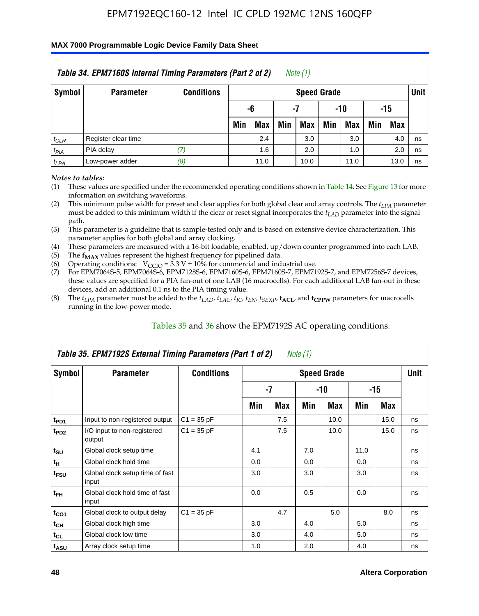#### **MAX 7000 Programmable Logic Device Family Data Sheet**

|           | Table 34. EPM7160S Internal Timing Parameters (Part 2 of 2) |                   |                        |      |     | Note (1)           |     |      |     |            |             |  |
|-----------|-------------------------------------------------------------|-------------------|------------------------|------|-----|--------------------|-----|------|-----|------------|-------------|--|
| Symbol    | <b>Parameter</b>                                            | <b>Conditions</b> |                        |      |     | <b>Speed Grade</b> |     |      |     |            | <b>Unit</b> |  |
|           |                                                             |                   | -6<br>-10<br>-15<br>-7 |      |     |                    |     |      |     |            |             |  |
|           |                                                             |                   | Min                    | Max  | Min | <b>Max</b>         | Min | Max  | Min | <b>Max</b> |             |  |
| $t_{CLR}$ | Register clear time                                         |                   |                        | 2.4  |     | 3.0                |     | 3.0  |     | 4.0        | ns          |  |
| $t_{PIA}$ | PIA delay                                                   | (7)               |                        | 1.6  |     | 2.0                |     | 1.0  |     | 2.0        | ns          |  |
| $t_{LPA}$ | Low-power adder                                             | (8)               |                        | 11.0 |     | 10.0               |     | 11.0 |     | 13.0       | ns          |  |

*Notes to tables:*

- (1) These values are specified under the recommended operating conditions shown in Table 14. See Figure 13 for more information on switching waveforms.
- (2) This minimum pulse width for preset and clear applies for both global clear and array controls. The  $t_{LPA}$  parameter must be added to this minimum width if the clear or reset signal incorporates the *t<sub>LAD</sub>* parameter into the signal path.
- (3) This parameter is a guideline that is sample-tested only and is based on extensive device characterization. This parameter applies for both global and array clocking.
- (4) These parameters are measured with a 16-bit loadable, enabled, up/down counter programmed into each LAB.
- (5) The  $f_{MAX}$  values represent the highest frequency for pipelined data.
- (6) Operating conditions:  $V_{\text{CCIO}} = 3.3 V \pm 10\%$  for commercial and industrial use.
- (7) For EPM7064S-5, EPM7064S-6, EPM7128S-6, EPM7160S-6, EPM7160S-7, EPM7192S-7, and EPM7256S-7 devices, these values are specified for a PIA fan-out of one LAB (16 macrocells). For each additional LAB fan-out in these devices, add an additional 0.1 ns to the PIA timing value.
- (8) The  $t_{LPA}$  parameter must be added to the  $t_{LAP}$ ,  $t_{LAC}$ ,  $t_{IC}$ ,  $t_{EN}$ ,  $t_{SEXP}$ ,  $t_{ACL}$ , and  $t_{CPPW}$  parameters for macrocells running in the low-power mode.

|                             | Table 35. EPM7192S External Timing Parameters (Part 1 of 2) |                   |     |      | Note (1) |                    |      |       |             |
|-----------------------------|-------------------------------------------------------------|-------------------|-----|------|----------|--------------------|------|-------|-------------|
| Symbol                      | <b>Parameter</b>                                            | <b>Conditions</b> |     |      |          | <b>Speed Grade</b> |      |       | <b>Unit</b> |
|                             |                                                             |                   |     | $-7$ |          | -10                |      | $-15$ |             |
|                             |                                                             |                   | Min | Max  | Min      | <b>Max</b>         | Min  | Max   |             |
| t <sub>PD1</sub>            | Input to non-registered output                              | $C1 = 35 pF$      |     | 7.5  |          | 10.0               |      | 15.0  | ns          |
| $t_{PD2}$                   | I/O input to non-registered<br>output                       | $C1 = 35 pF$      |     | 7.5  |          | 10.0               |      | 15.0  | ns          |
| $t_{\scriptstyle\text{SU}}$ | Global clock setup time                                     |                   | 4.1 |      | 7.0      |                    | 11.0 |       | ns          |
| $t_H$                       | Global clock hold time                                      |                   | 0.0 |      | 0.0      |                    | 0.0  |       | ns          |
| t <sub>FSU</sub>            | Global clock setup time of fast<br>input                    |                   | 3.0 |      | 3.0      |                    | 3.0  |       | ns          |
| $t_{FH}$                    | Global clock hold time of fast<br>input                     |                   | 0.0 |      | 0.5      |                    | 0.0  |       | ns          |
| $t_{CO1}$                   | Global clock to output delay                                | $C1 = 35 pF$      |     | 4.7  |          | 5.0                |      | 8.0   | ns          |
| $t_{CH}$                    | Global clock high time                                      |                   | 3.0 |      | 4.0      |                    | 5.0  |       | ns          |
| $t_{CL}$                    | Global clock low time                                       |                   | 3.0 |      | 4.0      |                    | 5.0  |       | ns          |
| t <sub>ASU</sub>            | Array clock setup time                                      |                   | 1.0 |      | 2.0      |                    | 4.0  |       | ns          |

#### Tables 35 and 36 show the EPM7192S AC operating conditions.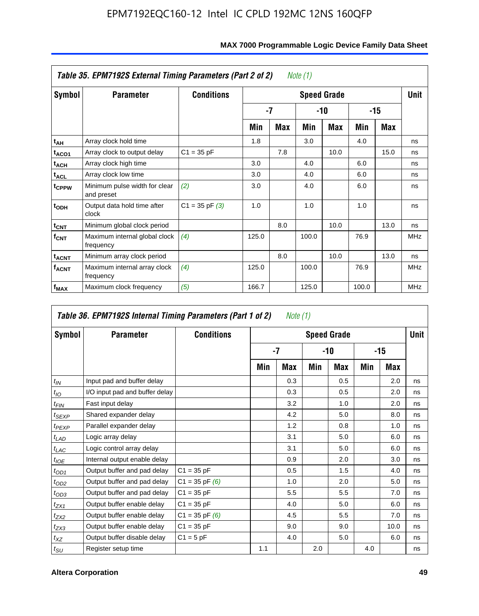|                         | Table 35. EPM7192S External Timing Parameters (Part 2 of 2) |                    |       |            | Note (1) |                    |       |      |            |
|-------------------------|-------------------------------------------------------------|--------------------|-------|------------|----------|--------------------|-------|------|------------|
| Symbol                  | <b>Parameter</b>                                            | <b>Conditions</b>  |       |            |          | <b>Speed Grade</b> |       |      | Unit       |
|                         |                                                             |                    |       | -7         |          | -10                |       | -15  |            |
|                         |                                                             |                    | Min   | <b>Max</b> | Min      | <b>Max</b>         | Min   | Max  |            |
| t <sub>АН</sub>         | Array clock hold time                                       |                    | 1.8   |            | 3.0      |                    | 4.0   |      | ns         |
| t <sub>ACO1</sub>       | Array clock to output delay                                 | $C1 = 35 pF$       |       | 7.8        |          | 10.0               |       | 15.0 | ns         |
| $t_{\sf ACH}$           | Array clock high time                                       |                    | 3.0   |            | 4.0      |                    | 6.0   |      | ns         |
| $t_{\sf ACL}$           | Array clock low time                                        |                    | 3.0   |            | 4.0      |                    | 6.0   |      | ns         |
| t <sub>CPPW</sub>       | Minimum pulse width for clear<br>and preset                 | (2)                | 3.0   |            | 4.0      |                    | 6.0   |      | ns         |
| $t_{ODH}$               | Output data hold time after<br>clock                        | $C1 = 35$ pF $(3)$ | 1.0   |            | 1.0      |                    | 1.0   |      | ns         |
| $t_{\text{CNT}}$        | Minimum global clock period                                 |                    |       | 8.0        |          | 10.0               |       | 13.0 | ns         |
| $f_{\text{CNT}}$        | Maximum internal global clock<br>frequency                  | (4)                | 125.0 |            | 100.0    |                    | 76.9  |      | <b>MHz</b> |
| $t_{ACNT}$              | Minimum array clock period                                  |                    |       | 8.0        |          | 10.0               |       | 13.0 | ns         |
| <b>f<sub>ACNT</sub></b> | Maximum internal array clock<br>frequency                   | (4)                | 125.0 |            | 100.0    |                    | 76.9  |      | <b>MHz</b> |
| f <sub>MAX</sub>        | Maximum clock frequency                                     | (5)                | 166.7 |            | 125.0    |                    | 100.0 |      | <b>MHz</b> |

|                             | Table 36. EPM7192S Internal Timing Parameters (Part 1 of 2) |                    |     | Note (1) |     |                    |     |       |      |
|-----------------------------|-------------------------------------------------------------|--------------------|-----|----------|-----|--------------------|-----|-------|------|
| Symbol                      | <b>Parameter</b>                                            | <b>Conditions</b>  |     |          |     | <b>Speed Grade</b> |     |       | Unit |
|                             |                                                             |                    |     | -7       |     | $-10$              |     | $-15$ |      |
|                             |                                                             |                    | Min | Max      | Min | Max                | Min | Max   |      |
| $t_{IN}$                    | Input pad and buffer delay                                  |                    |     | 0.3      |     | 0.5                |     | 2.0   | ns   |
| $t_{IO}$                    | I/O input pad and buffer delay                              |                    |     | 0.3      |     | 0.5                |     | 2.0   | ns   |
| $t_{FIN}$                   | Fast input delay                                            |                    |     | 3.2      |     | 1.0                |     | 2.0   | ns   |
| $t_{SEXP}$                  | Shared expander delay                                       |                    |     | 4.2      |     | 5.0                |     | 8.0   | ns   |
| $t_{PEXP}$                  | Parallel expander delay                                     |                    |     | 1.2      |     | 0.8                |     | 1.0   | ns   |
| $t_{LAD}$                   | Logic array delay                                           |                    |     | 3.1      |     | 5.0                |     | 6.0   | ns   |
| $t_{LAC}$                   | Logic control array delay                                   |                    |     | 3.1      |     | 5.0                |     | 6.0   | ns   |
| $t_{IOE}$                   | Internal output enable delay                                |                    |     | 0.9      |     | 2.0                |     | 3.0   | ns   |
| $t_{OD1}$                   | Output buffer and pad delay                                 | $C1 = 35 pF$       |     | 0.5      |     | 1.5                |     | 4.0   | ns   |
| $t_{OD2}$                   | Output buffer and pad delay                                 | $C1 = 35$ pF $(6)$ |     | 1.0      |     | 2.0                |     | 5.0   | ns   |
| $t_{OD3}$                   | Output buffer and pad delay                                 | $C1 = 35 pF$       |     | 5.5      |     | 5.5                |     | 7.0   | ns   |
| $t_{ZX1}$                   | Output buffer enable delay                                  | $C1 = 35 pF$       |     | 4.0      |     | 5.0                |     | 6.0   | ns   |
| $t_{ZX2}$                   | Output buffer enable delay                                  | $C1 = 35$ pF $(6)$ |     | 4.5      |     | 5.5                |     | 7.0   | ns   |
| $t_{ZX3}$                   | Output buffer enable delay                                  | $C1 = 35 pF$       |     | 9.0      |     | 9.0                |     | 10.0  | ns   |
| $t_{XZ}$                    | Output buffer disable delay                                 | $C1 = 5pF$         |     | 4.0      |     | 5.0                |     | 6.0   | ns   |
| $t_{\scriptstyle\text{SU}}$ | Register setup time                                         |                    | 1.1 |          | 2.0 |                    | 4.0 |       | ns   |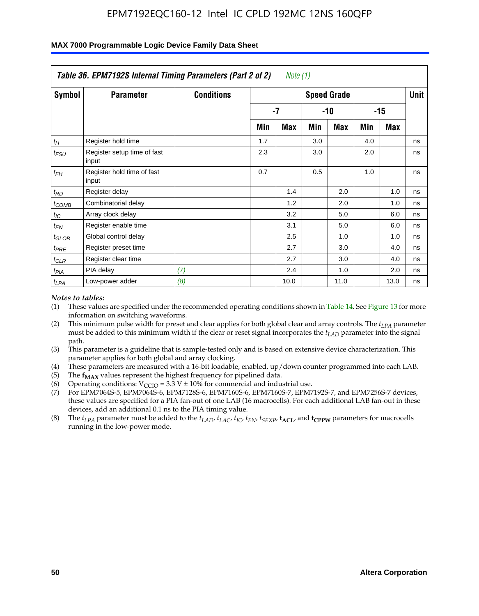|                    | Table 36. EPM7192S Internal Timing Parameters (Part 2 of 2) |                   |     | Note (1) |     |                    |     |       |      |
|--------------------|-------------------------------------------------------------|-------------------|-----|----------|-----|--------------------|-----|-------|------|
| Symbol             | <b>Parameter</b>                                            | <b>Conditions</b> |     |          |     | <b>Speed Grade</b> |     |       | Unit |
|                    |                                                             |                   |     | -7       |     | -10                |     | $-15$ |      |
|                    |                                                             |                   | Min | Max      | Min | Max                | Min | Max   |      |
| $t_H$              | Register hold time                                          |                   | 1.7 |          | 3.0 |                    | 4.0 |       | ns   |
| $t_{\mathit{FSU}}$ | Register setup time of fast<br>input                        |                   | 2.3 |          | 3.0 |                    | 2.0 |       | ns   |
| $t_{FH}$           | Register hold time of fast<br>input                         |                   | 0.7 |          | 0.5 |                    | 1.0 |       | ns   |
| $t_{RD}$           | Register delay                                              |                   |     | 1.4      |     | 2.0                |     | 1.0   | ns   |
| $t_{COMB}$         | Combinatorial delay                                         |                   |     | 1.2      |     | 2.0                |     | 1.0   | ns   |
| $t_{IC}$           | Array clock delay                                           |                   |     | 3.2      |     | 5.0                |     | 6.0   | ns   |
| $t_{EN}$           | Register enable time                                        |                   |     | 3.1      |     | 5.0                |     | 6.0   | ns   |
| $t_{GLOB}$         | Global control delay                                        |                   |     | 2.5      |     | 1.0                |     | 1.0   | ns   |
| $t_{PRE}$          | Register preset time                                        |                   |     | 2.7      |     | 3.0                |     | 4.0   | ns   |
| $t_{CLR}$          | Register clear time                                         |                   |     | 2.7      |     | 3.0                |     | 4.0   | ns   |
| t <sub>PIA</sub>   | PIA delay                                                   | (7)               |     | 2.4      |     | 1.0                |     | 2.0   | ns   |
| $t_{LPA}$          | Low-power adder                                             | (8)               |     | 10.0     |     | 11.0               |     | 13.0  | ns   |

#### **MAX 7000 Programmable Logic Device Family Data Sheet**

#### *Notes to tables:*

- (1) These values are specified under the recommended operating conditions shown in Table 14. See Figure 13 for more information on switching waveforms.
- (2) This minimum pulse width for preset and clear applies for both global clear and array controls. The *tLPA* parameter must be added to this minimum width if the clear or reset signal incorporates the *t<sub>LAD</sub>* parameter into the signal path.
- (3) This parameter is a guideline that is sample-tested only and is based on extensive device characterization. This parameter applies for both global and array clocking.
- (4) These parameters are measured with a 16-bit loadable, enabled, up/down counter programmed into each LAB.
- (5) The  $f_{MAX}$  values represent the highest frequency for pipelined data.
- (6) Operating conditions:  $V_{\text{CCIO}} = 3.3 \text{ V} \pm 10\%$  for commercial and industrial use.
- (7) For EPM7064S-5, EPM7064S-6, EPM7128S-6, EPM7160S-6, EPM7160S-7, EPM7192S-7, and EPM7256S-7 devices, these values are specified for a PIA fan-out of one LAB (16 macrocells). For each additional LAB fan-out in these devices, add an additional 0.1 ns to the PIA timing value.
- (8) The  $t_{LPA}$  parameter must be added to the  $t_{LAD}$ ,  $t_{LAC}$ ,  $t_{IC}$ ,  $t_{EN}$ ,  $t_{SIX}$ ,  $t_{ACL}$ , and  $t_{CPW}$  parameters for macrocells running in the low-power mode.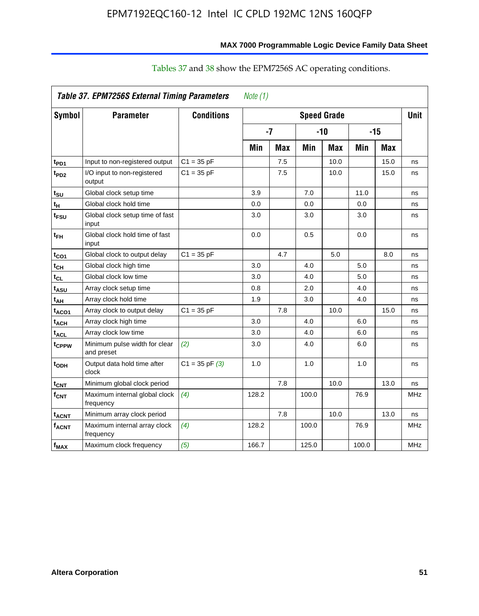|                              | <b>Table 37. EPM7256S External Timing Parameters</b> |                    | Note $(1)$ |      |       |                    |       |            |             |
|------------------------------|------------------------------------------------------|--------------------|------------|------|-------|--------------------|-------|------------|-------------|
| Symbol                       | <b>Parameter</b>                                     | <b>Conditions</b>  |            |      |       | <b>Speed Grade</b> |       |            | <b>Unit</b> |
|                              |                                                      |                    |            | $-7$ |       | $-10$              |       | $-15$      |             |
|                              |                                                      |                    | Min        | Max  | Min   | Max                | Min   | <b>Max</b> |             |
| t <sub>PD1</sub>             | Input to non-registered output                       | $C1 = 35 pF$       |            | 7.5  |       | 10.0               |       | 15.0       | ns          |
| t <sub>PD2</sub>             | I/O input to non-registered<br>output                | $C1 = 35 pF$       |            | 7.5  |       | 10.0               |       | 15.0       | ns          |
| t <sub>SU</sub>              | Global clock setup time                              |                    | 3.9        |      | 7.0   |                    | 11.0  |            | ns          |
| t <sub>H</sub>               | Global clock hold time                               |                    | 0.0        |      | 0.0   |                    | 0.0   |            | ns          |
| t <sub>FSU</sub>             | Global clock setup time of fast<br>input             |                    | 3.0        |      | 3.0   |                    | 3.0   |            | ns          |
| $t_{\mathsf{FH}}$            | Global clock hold time of fast<br>input              |                    | 0.0        |      | 0.5   |                    | 0.0   |            | ns          |
| t <sub>CO1</sub>             | Global clock to output delay                         | $C1 = 35 pF$       |            | 4.7  |       | 5.0                |       | 8.0        | ns          |
| t <sub>СН</sub>              | Global clock high time                               |                    | 3.0        |      | 4.0   |                    | 5.0   |            | ns          |
| $\mathfrak{t}_{\textsf{CL}}$ | Global clock low time                                |                    | 3.0        |      | 4.0   |                    | 5.0   |            | ns          |
| t <sub>ASU</sub>             | Array clock setup time                               |                    | 0.8        |      | 2.0   |                    | 4.0   |            | ns          |
| t <sub>АН</sub>              | Array clock hold time                                |                    | 1.9        |      | 3.0   |                    | 4.0   |            | ns          |
| t <sub>ACO1</sub>            | Array clock to output delay                          | $C1 = 35 pF$       |            | 7.8  |       | 10.0               |       | 15.0       | ns          |
| t <sub>АСН</sub>             | Array clock high time                                |                    | 3.0        |      | 4.0   |                    | 6.0   |            | ns          |
| t <sub>ACL</sub>             | Array clock low time                                 |                    | 3.0        |      | 4.0   |                    | 6.0   |            | ns          |
| t <sub>CPPW</sub>            | Minimum pulse width for clear<br>and preset          | (2)                | 3.0        |      | 4.0   |                    | 6.0   |            | ns          |
| t <sub>орн</sub>             | Output data hold time after<br>clock                 | $C1 = 35$ pF $(3)$ | 1.0        |      | 1.0   |                    | 1.0   |            | ns          |
| t <sub>CNT</sub>             | Minimum global clock period                          |                    |            | 7.8  |       | 10.0               |       | 13.0       | ns          |
| f <sub>СNT</sub>             | Maximum internal global clock<br>frequency           | (4)                | 128.2      |      | 100.0 |                    | 76.9  |            | <b>MHz</b>  |
| t <sub>acnt</sub>            | Minimum array clock period                           |                    |            | 7.8  |       | 10.0               |       | 13.0       | ns          |
| f <sub>acnt</sub>            | Maximum internal array clock<br>frequency            | (4)                | 128.2      |      | 100.0 |                    | 76.9  |            | <b>MHz</b>  |
| f <sub>MAX</sub>             | Maximum clock frequency                              | (5)                | 166.7      |      | 125.0 |                    | 100.0 |            | <b>MHz</b>  |

### Tables 37 and 38 show the EPM7256S AC operating conditions.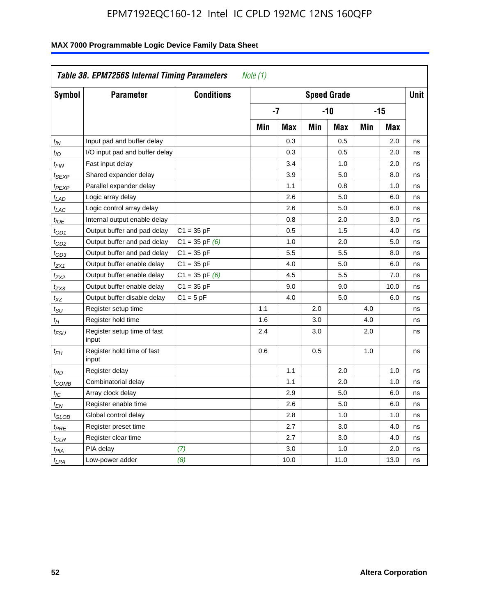| Symbol            | <b>Parameter</b>                     | <b>Conditions</b>  |     |      |     | <b>Speed Grade</b> |     |            | <b>Unit</b> |
|-------------------|--------------------------------------|--------------------|-----|------|-----|--------------------|-----|------------|-------------|
|                   |                                      |                    |     | $-7$ |     | $-10$              |     | $-15$      |             |
|                   |                                      |                    | Min | Max  | Min | <b>Max</b>         | Min | <b>Max</b> |             |
| t <sub>IN</sub>   | Input pad and buffer delay           |                    |     | 0.3  |     | 0.5                |     | 2.0        | ns          |
| $t_{\mathit{IO}}$ | I/O input pad and buffer delay       |                    |     | 0.3  |     | 0.5                |     | 2.0        | ns          |
| t <sub>FIN</sub>  | Fast input delay                     |                    |     | 3.4  |     | 1.0                |     | 2.0        | ns          |
| t <sub>SEXP</sub> | Shared expander delay                |                    |     | 3.9  |     | 5.0                |     | 8.0        | ns          |
| t <sub>PEXP</sub> | Parallel expander delay              |                    |     | 1.1  |     | 0.8                |     | 1.0        | ns          |
| t <sub>LAD</sub>  | Logic array delay                    |                    |     | 2.6  |     | 5.0                |     | 6.0        | ns          |
| $t_{LAC}$         | Logic control array delay            |                    |     | 2.6  |     | 5.0                |     | 6.0        | ns          |
| $t_{IOE}$         | Internal output enable delay         |                    |     | 0.8  |     | 2.0                |     | 3.0        | ns          |
| $t_{OD1}$         | Output buffer and pad delay          | $C1 = 35 pF$       |     | 0.5  |     | 1.5                |     | 4.0        | ns          |
| $t_{OD2}$         | Output buffer and pad delay          | $C1 = 35$ pF $(6)$ |     | 1.0  |     | 2.0                |     | 5.0        | ns          |
| $t_{OD3}$         | Output buffer and pad delay          | $C1 = 35 pF$       |     | 5.5  |     | 5.5                |     | 8.0        | ns          |
| t <sub>ZX1</sub>  | Output buffer enable delay           | $C1 = 35 pF$       |     | 4.0  |     | 5.0                |     | 6.0        | ns          |
| t <sub>ZX2</sub>  | Output buffer enable delay           | $C1 = 35$ pF $(6)$ |     | 4.5  |     | 5.5                |     | 7.0        | ns          |
| t <sub>ZX3</sub>  | Output buffer enable delay           | $C1 = 35 pF$       |     | 9.0  |     | 9.0                |     | 10.0       | ns          |
| $t_{\chi Z}$      | Output buffer disable delay          | $C1 = 5pF$         |     | 4.0  |     | 5.0                |     | 6.0        | ns          |
| tsu               | Register setup time                  |                    | 1.1 |      | 2.0 |                    | 4.0 |            | ns          |
| $t_H$             | Register hold time                   |                    | 1.6 |      | 3.0 |                    | 4.0 |            | ns          |
| t <sub>FSU</sub>  | Register setup time of fast<br>input |                    | 2.4 |      | 3.0 |                    | 2.0 |            | ns          |
| t <sub>FН</sub>   | Register hold time of fast<br>input  |                    | 0.6 |      | 0.5 |                    | 1.0 |            | ns          |
| $t_{RD}$          | Register delay                       |                    |     | 1.1  |     | 2.0                |     | 1.0        | ns          |
| $t_{\sf COMB}$    | Combinatorial delay                  |                    |     | 1.1  |     | 2.0                |     | 1.0        | ns          |
| $t_{IC}$          | Array clock delay                    |                    |     | 2.9  |     | 5.0                |     | 6.0        | ns          |
| $t_{EN}$          | Register enable time                 |                    |     | 2.6  |     | 5.0                |     | 6.0        | ns          |
| t <sub>GLOB</sub> | Global control delay                 |                    |     | 2.8  |     | 1.0                |     | 1.0        | ns          |
| $t_{PRE}$         | Register preset time                 |                    |     | 2.7  |     | 3.0                |     | 4.0        | ns          |
| $t_{CLR}$         | Register clear time                  |                    |     | 2.7  |     | 3.0                |     | 4.0        | ns          |
| t <sub>PIA</sub>  | PIA delay                            | (7)                |     | 3.0  |     | 1.0                |     | 2.0        | ns          |
| t <sub>LPA</sub>  | Low-power adder                      | (8)                |     | 10.0 |     | 11.0               |     | 13.0       | ns          |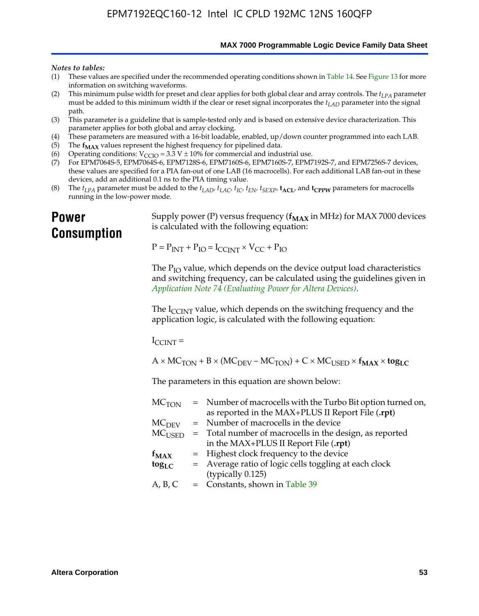**MAX 7000 Programmable Logic Device Family Data Sheet**

#### *Notes to tables:*

- (1) These values are specified under the recommended operating conditions shown in Table 14. See Figure 13 for more information on switching waveforms.
- (2) This minimum pulse width for preset and clear applies for both global clear and array controls. The  $t_{LPA}$  parameter must be added to this minimum width if the clear or reset signal incorporates the *tLAD* parameter into the signal path.
- (3) This parameter is a guideline that is sample-tested only and is based on extensive device characterization. This parameter applies for both global and array clocking.
- (4) These parameters are measured with a 16-bit loadable, enabled, up/down counter programmed into each LAB.
- (5) The  $f_{MAX}$  values represent the highest frequency for pipelined data.
- (6) Operating conditions:  $V_{\text{CCIO}} = 3.3 \text{ V} \pm 10\%$  for commercial and industrial use.
- (7) For EPM7064S-5, EPM7064S-6, EPM7128S-6, EPM7160S-6, EPM7160S-7, EPM7192S-7, and EPM7256S-7 devices, these values are specified for a PIA fan-out of one LAB (16 macrocells). For each additional LAB fan-out in these devices, add an additional 0.1 ns to the PIA timing value.
- (8) The  $t_{LPA}$  parameter must be added to the  $t_{LAD}$ ,  $t_{LAC}$ ,  $t_{IC}$ ,  $t_{EN}$ ,  $t_{SEXP}$ ,  $t_{ACL}$ , and  $t_{CPPW}$  parameters for macrocells running in the low-power mode.

### **Power Consumption**

[Supply power \(P\) versus frequency \(](http://www.altera.com/literature/an/an074.pdf) $f_{MAX}$  in MHz) for MAX 7000 devices is calculated with the following equation:

 $P = P_{INT} + P_{IO} = I_{CCLNT} \times V_{CC} + P_{IO}$ 

The  $P_{IO}$  value, which depends on the device output load characteristics and switching frequency, can be calculated using the guidelines given in *Application Note 74 (Evaluating Power for Altera Devices)*.

The  $I_{\text{CCINT}}$  value, which depends on the switching frequency and the application logic, is calculated with the following equation:

 $I_{\text{CCTNT}} =$ 

 $A \times MC_{TON} + B \times (MC_{DEFU} - MC_{TON}) + C \times MC_{LISED} \times f_{MAX} \times tog_{LC}$ 

The parameters in this equation are shown below:

| $MC$ <sub>TON</sub> | = Number of macrocells with the Turbo Bit option turned on,                |
|---------------------|----------------------------------------------------------------------------|
|                     | as reported in the MAX+PLUS II Report File (.rpt)                          |
| MC <sub>DFV</sub>   | = Number of macrocells in the device                                       |
|                     | $MC_{\text{USED}}$ = Total number of macrocells in the design, as reported |
|                     | in the MAX+PLUS II Report File (.rpt)                                      |
| $f_{MAX}$           | = Highest clock frequency to the device                                    |
| $tog_{LC}$          | = Average ratio of logic cells toggling at each clock                      |
|                     | (typically 0.125)                                                          |
| A, B, C             | = Constants, shown in Table 39                                             |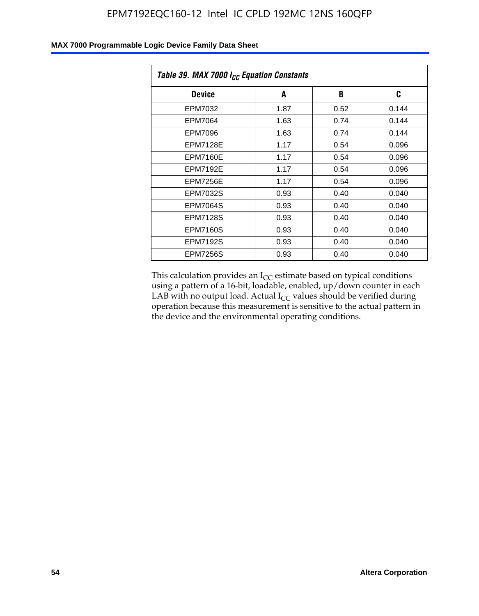| Table 39. MAX 7000 I <sub>CC</sub> Equation Constants |      |      |       |  |  |
|-------------------------------------------------------|------|------|-------|--|--|
| <b>Device</b>                                         | A    | B    | C     |  |  |
| EPM7032                                               | 1.87 | 0.52 | 0.144 |  |  |
| EPM7064                                               | 1.63 | 0.74 | 0.144 |  |  |
| EPM7096                                               | 1.63 | 0.74 | 0.144 |  |  |
| <b>EPM7128E</b>                                       | 1.17 | 0.54 | 0.096 |  |  |
| <b>EPM7160E</b>                                       | 1.17 | 0.54 | 0.096 |  |  |
| <b>EPM7192E</b>                                       | 1.17 | 0.54 | 0.096 |  |  |
| <b>EPM7256E</b>                                       | 1.17 | 0.54 | 0.096 |  |  |
| EPM7032S                                              | 0.93 | 0.40 | 0.040 |  |  |
| EPM7064S                                              | 0.93 | 0.40 | 0.040 |  |  |
| <b>EPM7128S</b>                                       | 0.93 | 0.40 | 0.040 |  |  |
| <b>EPM7160S</b>                                       | 0.93 | 0.40 | 0.040 |  |  |
| <b>EPM7192S</b>                                       | 0.93 | 0.40 | 0.040 |  |  |
| <b>EPM7256S</b>                                       | 0.93 | 0.40 | 0.040 |  |  |

This calculation provides an  $I_{CC}$  estimate based on typical conditions using a pattern of a 16-bit, loadable, enabled, up/down counter in each LAB with no output load. Actual  $I_{CC}$  values should be verified during operation because this measurement is sensitive to the actual pattern in the device and the environmental operating conditions.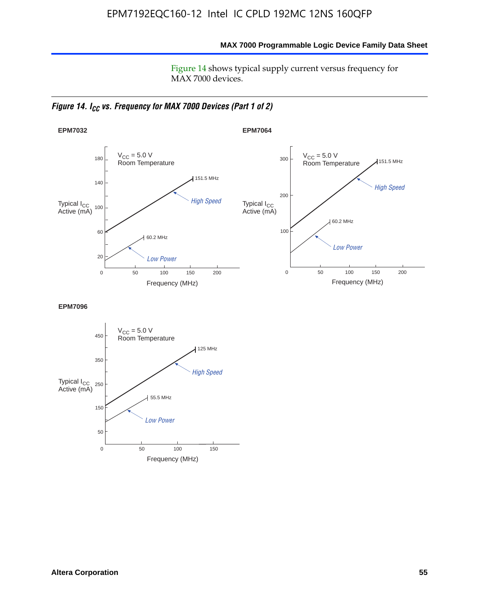**MAX 7000 Programmable Logic Device Family Data Sheet**

Figure 14 shows typical supply current versus frequency for MAX 7000 devices.

*Figure 14. I<sub>CC</sub> vs. Frequency for MAX 7000 Devices (Part 1 of 2)* 



**EPM7096**

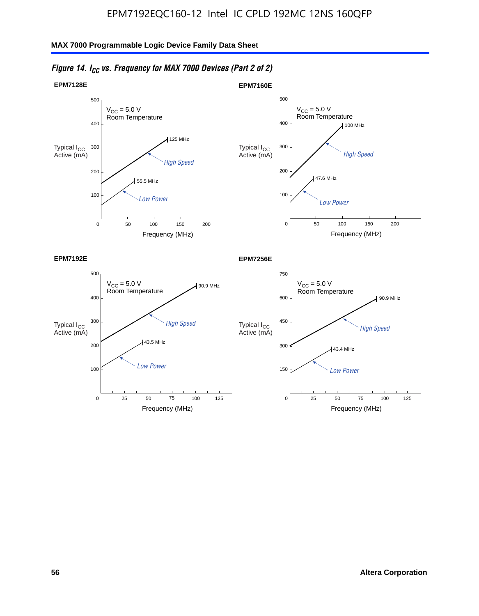

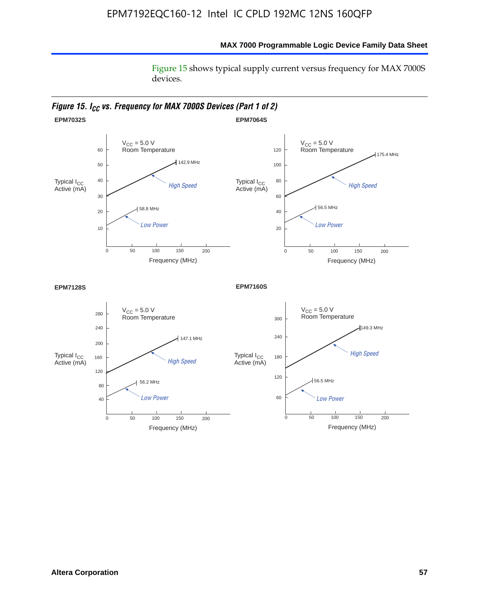Figure 15 shows typical supply current versus frequency for MAX 7000S devices.

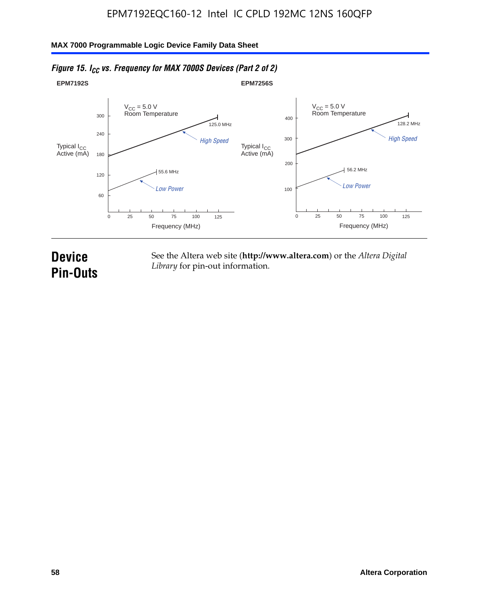

#### *Figure 15. I<sub>CC</sub> vs. Frequency for MAX 7000S Devices (Part 2 of 2)*

## **Device Pin-Outs**

See the Altera web site (**http://www.altera.com**) or the *Altera Digital Library* for pin-out information.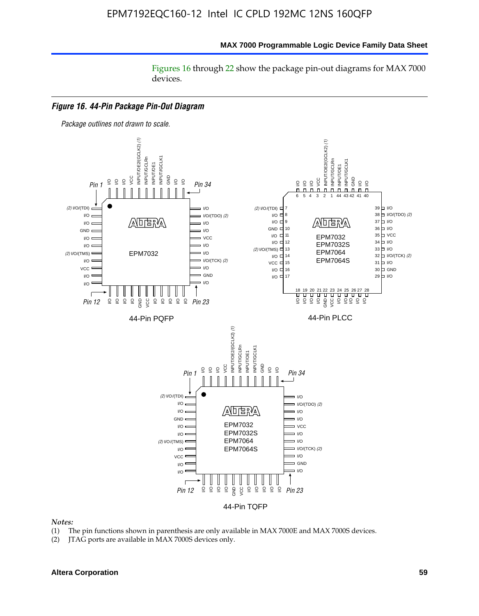#### **MAX 7000 Programmable Logic Device Family Data Sheet**

Figures 16 through 22 show the package pin-out diagrams for MAX 7000 devices.



#### *Notes:*

- (1) The pin functions shown in parenthesis are only available in MAX 7000E and MAX 7000S devices.
- (2) JTAG ports are available in MAX 7000S devices only.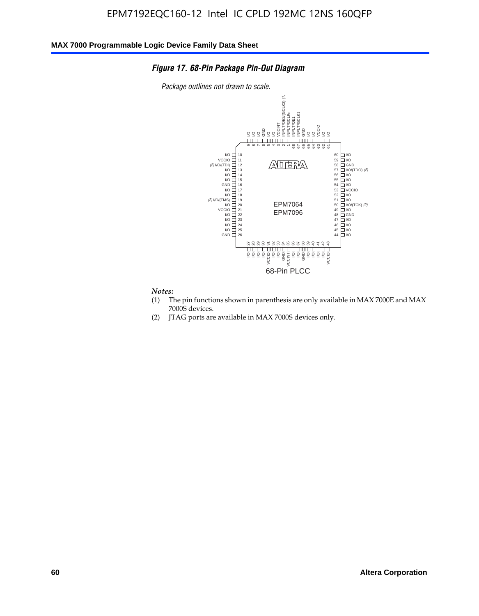#### *Figure 17. 68-Pin Package Pin-Out Diagram*

*Package outlines not drawn to scale.*



#### *Notes:*

- (1) The pin functions shown in parenthesis are only available in MAX 7000E and MAX 7000S devices.
- (2) JTAG ports are available in MAX 7000S devices only.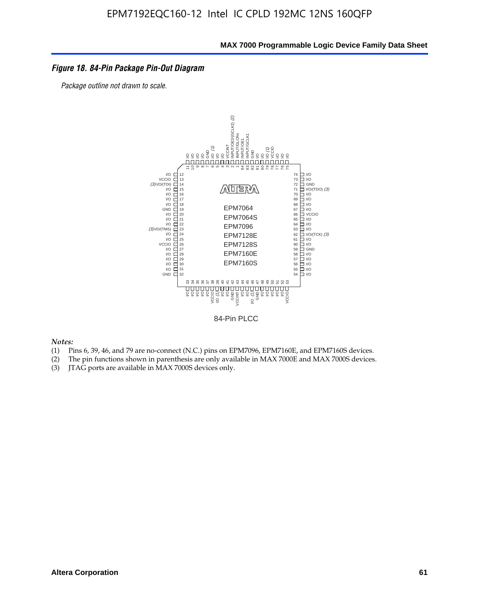#### *Figure 18. 84-Pin Package Pin-Out Diagram*

*Package outline not drawn to scale.*



84-Pin PLCC

*Notes:*

- (1) Pins 6, 39, 46, and 79 are no-connect (N.C.) pins on EPM7096, EPM7160E, and EPM7160S devices.
- (2) The pin functions shown in parenthesis are only available in MAX 7000E and MAX 7000S devices.
-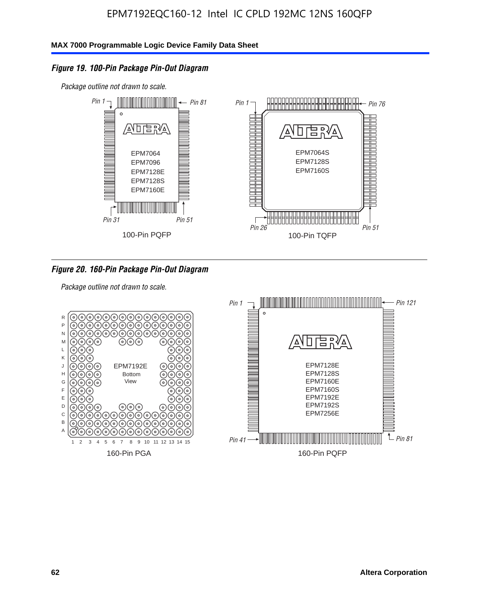#### *Figure 19. 100-Pin Package Pin-Out Diagram*

*Package outline not drawn to scale.*



#### *Figure 20. 160-Pin Package Pin-Out Diagram*

*Package outline not drawn to scale.*

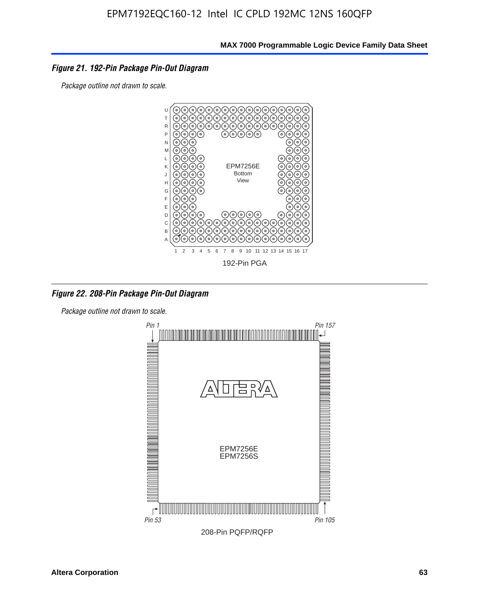#### *Figure 21. 192-Pin Package Pin-Out Diagram*

*Package outline not drawn to scale.*



*Figure 22. 208-Pin Package Pin-Out Diagram*

*Package outline not drawn to scale.*

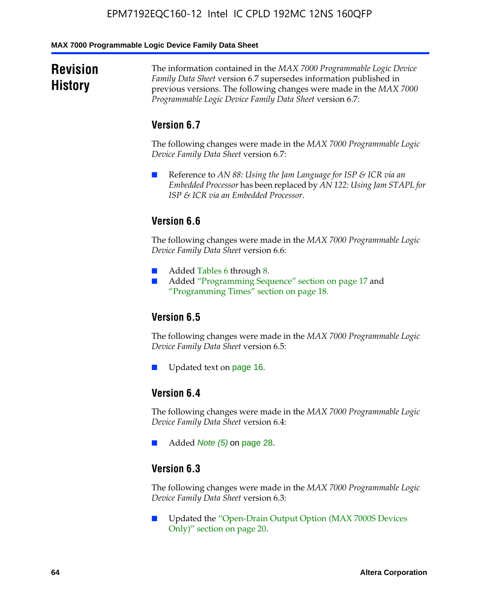#### **MAX 7000 Programmable Logic Device Family Data Sheet**

### **Revision History**

The information contained in the *MAX 7000 Programmable Logic Device Family Data Sheet* version 6.7 supersedes information published in previous versions. The following changes were made in the *MAX 7000 Programmable Logic Device Family Data Sheet* version 6.7:

#### **Version 6.7**

The following changes were made in the *MAX 7000 Programmable Logic Device Family Data Sheet* version 6.7:

■ Reference to *AN 88: Using the Jam Language for ISP & ICR via an Embedded Processor* has been replaced by *AN 122: Using Jam STAPL for ISP & ICR via an Embedded Processor*.

#### **Version 6.6**

The following changes were made in the *MAX 7000 Programmable Logic Device Family Data Sheet* version 6.6:

- Added Tables 6 through 8.
- Added "Programming Sequence" section on page 17 and "Programming Times" section on page 18.

#### **Version 6.5**

The following changes were made in the *MAX 7000 Programmable Logic Device Family Data Sheet* version 6.5:

Updated text on page 16.

#### **Version 6.4**

The following changes were made in the *MAX 7000 Programmable Logic Device Family Data Sheet* version 6.4:

■ Added *Note (5)* on page 28.

#### **Version 6.3**

The following changes were made in the *MAX 7000 Programmable Logic Device Family Data Sheet* version 6.3:

■ Updated the "Open-Drain Output Option (MAX 7000S Devices Only)" section on page 20.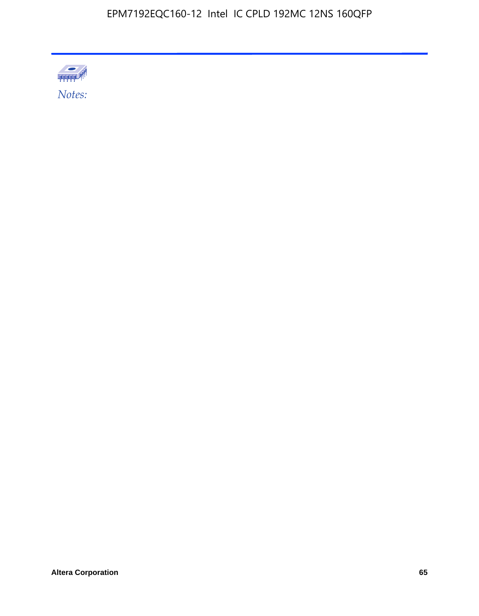

Altera Corporation 65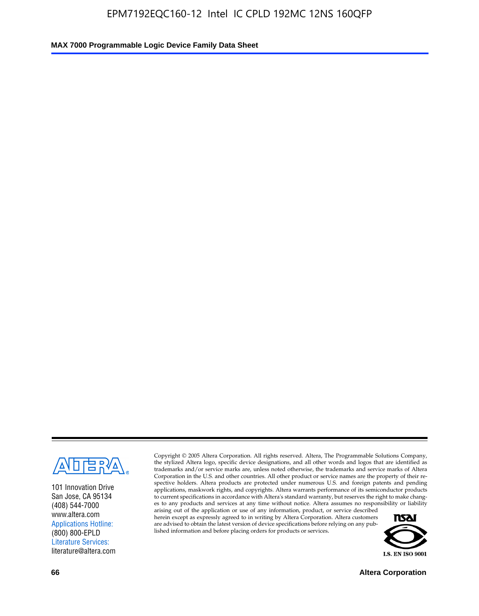

101 Innovation Drive San Jose, CA 95134 (408) 544-7000 www.altera.com Applications Hotline: (800) 800-EPLD Literature Services: literature@altera.com

Copyright © 2005 Altera Corporation. All rights reserved. Altera, The Programmable Solutions Company, the stylized Altera logo, specific device designations, and all other words and logos that are identified as trademarks and/or service marks are, unless noted otherwise, the trademarks and service marks of Altera Corporation in the U.S. and other countries. All other product or service names are the property of their respective holders. Altera products are protected under numerous U.S. and foreign patents and pending applications, maskwork rights, and copyrights. Altera warrants performance of its semiconductor products to current specifications in accordance with Altera's standard warranty, but reserves the right to make changes to any products and services at any time without notice. Altera assumes no responsibility or liability

arising out of the application or use of any information, product, or service described herein except as expressly agreed to in writing by Altera Corporation. Altera customers are advised to obtain the latest version of device specifications before relying on any published information and before placing orders for products or services.



**66 Altera Corporation**